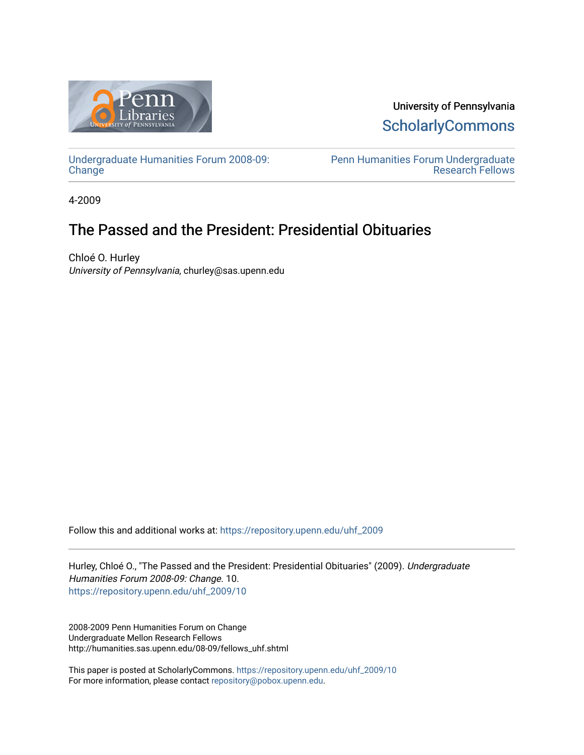

University of Pennsylvania **ScholarlyCommons** 

[Undergraduate Humanities Forum 2008-09:](https://repository.upenn.edu/uhf_2009)  [Change](https://repository.upenn.edu/uhf_2009)

[Penn Humanities Forum Undergraduate](https://repository.upenn.edu/uhf_fellows)  [Research Fellows](https://repository.upenn.edu/uhf_fellows) 

4-2009

# The Passed and the President: Presidential Obituaries

Chloé O. Hurley University of Pennsylvania, churley@sas.upenn.edu

Follow this and additional works at: [https://repository.upenn.edu/uhf\\_2009](https://repository.upenn.edu/uhf_2009?utm_source=repository.upenn.edu%2Fuhf_2009%2F10&utm_medium=PDF&utm_campaign=PDFCoverPages) 

Hurley, Chloé O., "The Passed and the President: Presidential Obituaries" (2009). Undergraduate Humanities Forum 2008-09: Change. 10. [https://repository.upenn.edu/uhf\\_2009/10](https://repository.upenn.edu/uhf_2009/10?utm_source=repository.upenn.edu%2Fuhf_2009%2F10&utm_medium=PDF&utm_campaign=PDFCoverPages) 

2008-2009 Penn Humanities Forum on Change Undergraduate Mellon Research Fellows http://humanities.sas.upenn.edu/08-09/fellows\_uhf.shtml

This paper is posted at ScholarlyCommons. [https://repository.upenn.edu/uhf\\_2009/10](https://repository.upenn.edu/uhf_2009/10)  For more information, please contact [repository@pobox.upenn.edu.](mailto:repository@pobox.upenn.edu)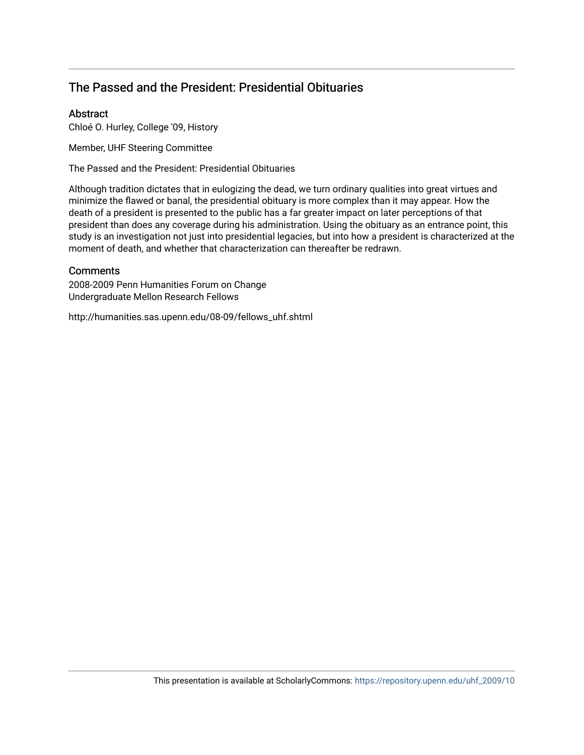## The Passed and the President: Presidential Obituaries

## **Abstract**

Chloé O. Hurley, College '09, History

Member, UHF Steering Committee

The Passed and the President: Presidential Obituaries

Although tradition dictates that in eulogizing the dead, we turn ordinary qualities into great virtues and minimize the flawed or banal, the presidential obituary is more complex than it may appear. How the death of a president is presented to the public has a far greater impact on later perceptions of that president than does any coverage during his administration. Using the obituary as an entrance point, this study is an investigation not just into presidential legacies, but into how a president is characterized at the moment of death, and whether that characterization can thereafter be redrawn.

## **Comments**

2008-2009 Penn Humanities Forum on Change Undergraduate Mellon Research Fellows

http://humanities.sas.upenn.edu/08-09/fellows\_uhf.shtml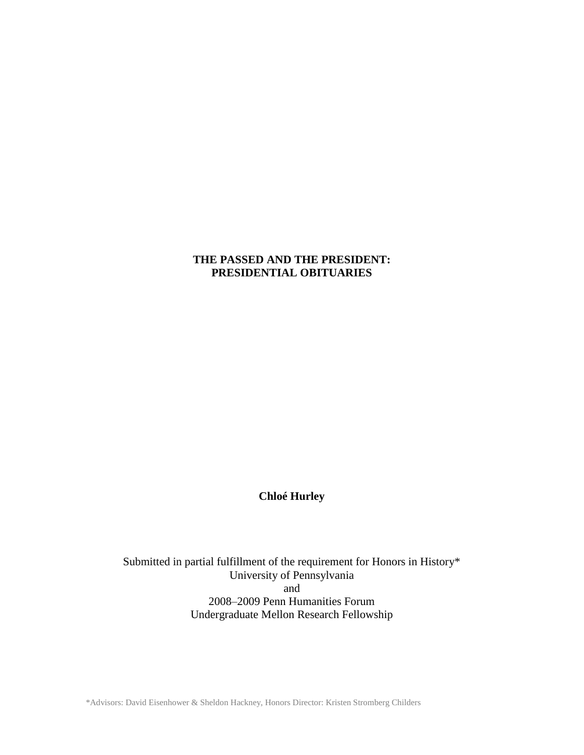## **THE PASSED AND THE PRESIDENT: PRESIDENTIAL OBITUARIES**

**Chloé Hurley**

Submitted in partial fulfillment of the requirement for Honors in History\* University of Pennsylvania and 2008–2009 Penn Humanities Forum Undergraduate Mellon Research Fellowship

\*Advisors: David Eisenhower & Sheldon Hackney, Honors Director: Kristen Stromberg Childers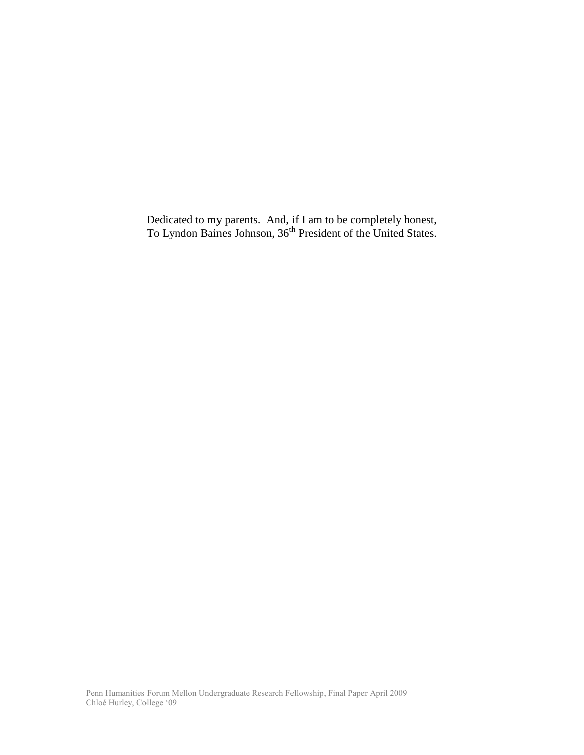Dedicated to my parents. And, if I am to be completely honest, To Lyndon Baines Johnson, 36<sup>th</sup> President of the United States.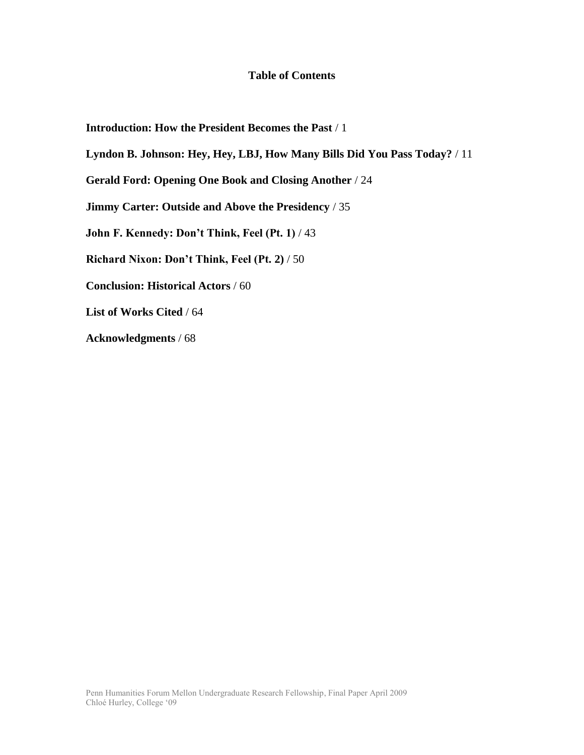## **Table of Contents**

**Introduction: How the President Becomes the Past** / 1

**Lyndon B. Johnson: Hey, Hey, LBJ, How Many Bills Did You Pass Today?** / 11

**Gerald Ford: Opening One Book and Closing Another** / 24

**Jimmy Carter: Outside and Above the Presidency** / 35

**John F. Kennedy: Don't Think, Feel (Pt. 1)** / 43

**Richard Nixon: Don't Think, Feel (Pt. 2)** / 50

**Conclusion: Historical Actors** / 60

**List of Works Cited** / 64

**Acknowledgments** / 68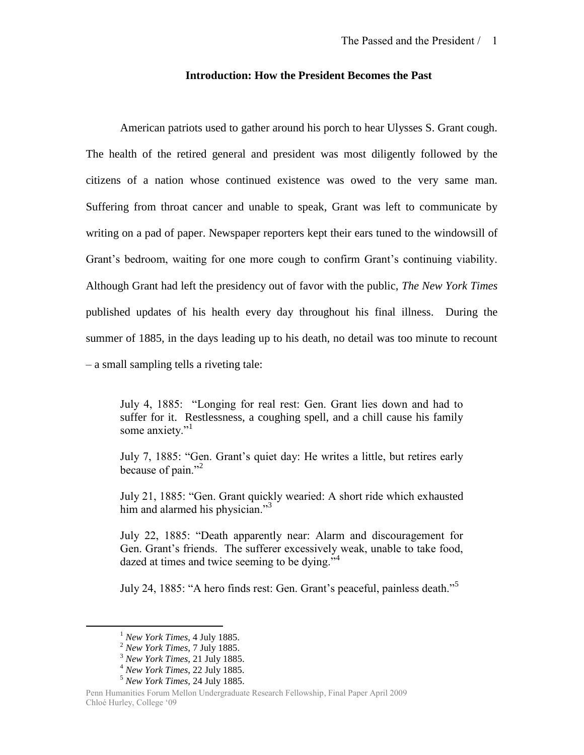### **Introduction: How the President Becomes the Past**

American patriots used to gather around his porch to hear Ulysses S. Grant cough. The health of the retired general and president was most diligently followed by the citizens of a nation whose continued existence was owed to the very same man. Suffering from throat cancer and unable to speak, Grant was left to communicate by writing on a pad of paper. Newspaper reporters kept their ears tuned to the windowsill of Grant"s bedroom, waiting for one more cough to confirm Grant"s continuing viability. Although Grant had left the presidency out of favor with the public, *The New York Times* published updates of his health every day throughout his final illness. During the summer of 1885, in the days leading up to his death, no detail was too minute to recount – a small sampling tells a riveting tale:

July 4, 1885: "Longing for real rest: Gen. Grant lies down and had to suffer for it. Restlessness, a coughing spell, and a chill cause his family some anxiety."<sup>1</sup>

July 7, 1885: "Gen. Grant"s quiet day: He writes a little, but retires early because of pain."<sup>2</sup>

July 21, 1885: "Gen. Grant quickly wearied: A short ride which exhausted him and alarmed his physician."<sup>3</sup>

July 22, 1885: "Death apparently near: Alarm and discouragement for Gen. Grant's friends. The sufferer excessively weak, unable to take food, dazed at times and twice seeming to be dying."<sup>4</sup>

July 24, 1885: "A hero finds rest: Gen. Grant's peaceful, painless death."<sup>5</sup>

<sup>1</sup> *New York Times*, 4 July 1885.

<sup>2</sup> *New York Times,* 7 July 1885.

<sup>3</sup> *New York Times,* 21 July 1885.

<sup>4</sup> *New York Times*, 22 July 1885.

<sup>5</sup> *New York Times,* 24 July 1885.

Penn Humanities Forum Mellon Undergraduate Research Fellowship, Final Paper April 2009 Chloé Hurley, College "09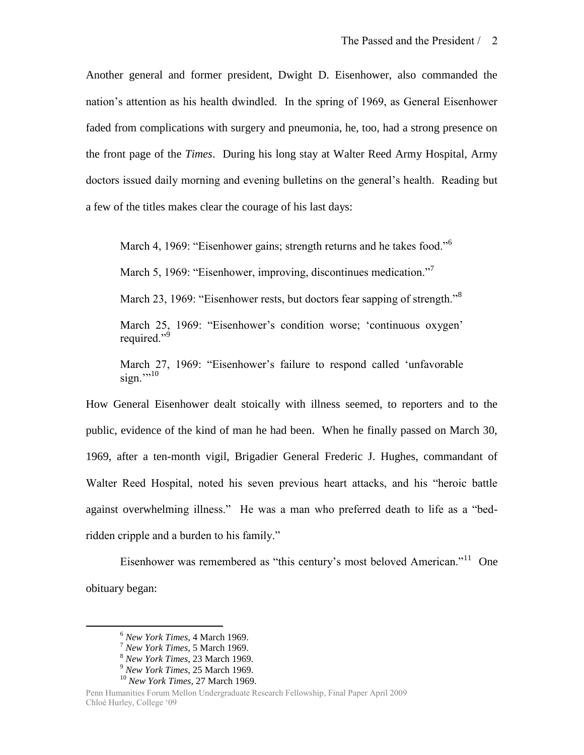Another general and former president, Dwight D. Eisenhower, also commanded the nation"s attention as his health dwindled. In the spring of 1969, as General Eisenhower faded from complications with surgery and pneumonia, he, too, had a strong presence on the front page of the *Times*. During his long stay at Walter Reed Army Hospital, Army doctors issued daily morning and evening bulletins on the general"s health. Reading but a few of the titles makes clear the courage of his last days:

March 4, 1969: "Eisenhower gains; strength returns and he takes food."<sup>6</sup>

March 5, 1969: "Eisenhower, improving, discontinues medication."

March 23, 1969: "Eisenhower rests, but doctors fear sapping of strength."<sup>8</sup>

March 25, 1969: "Eisenhower's condition worse; 'continuous oxygen' required."<sup>9</sup>

March 27, 1969: "Eisenhower's failure to respond called 'unfavorable sign." $^{10}$ 

How General Eisenhower dealt stoically with illness seemed, to reporters and to the public, evidence of the kind of man he had been. When he finally passed on March 30, 1969, after a ten-month vigil, Brigadier General Frederic J. Hughes, commandant of Walter Reed Hospital, noted his seven previous heart attacks, and his "heroic battle against overwhelming illness." He was a man who preferred death to life as a "bedridden cripple and a burden to his family."

Eisenhower was remembered as "this century's most beloved American."<sup>11</sup> One obituary began:

<sup>6</sup> *New York Times*, 4 March 1969.

<sup>7</sup> *New York Times*, 5 March 1969.

<sup>8</sup> *New York Times*, 23 March 1969.

<sup>9</sup> *New York Times*, 25 March 1969.

<sup>10</sup> *New York Times*, 27 March 1969.

Penn Humanities Forum Mellon Undergraduate Research Fellowship, Final Paper April 2009 Chloé Hurley, College "09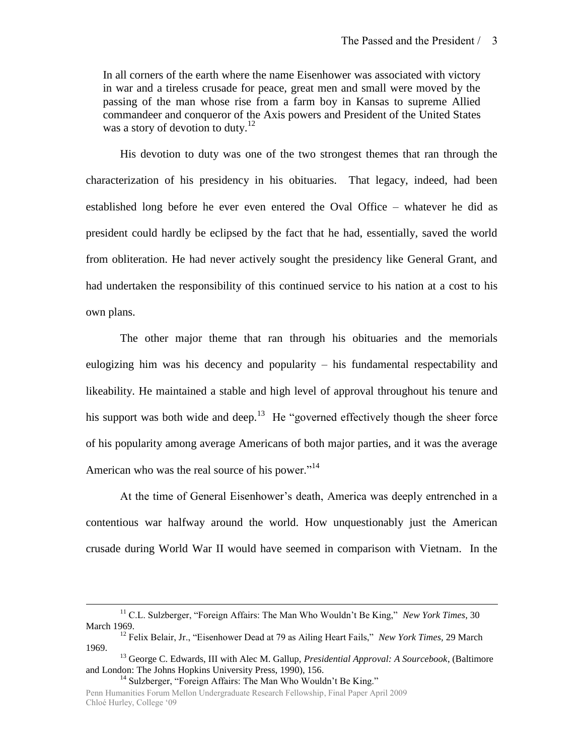In all corners of the earth where the name Eisenhower was associated with victory in war and a tireless crusade for peace, great men and small were moved by the passing of the man whose rise from a farm boy in Kansas to supreme Allied commandeer and conqueror of the Axis powers and President of the United States was a story of devotion to duty.<sup>12</sup>

His devotion to duty was one of the two strongest themes that ran through the characterization of his presidency in his obituaries. That legacy, indeed, had been established long before he ever even entered the Oval Office – whatever he did as president could hardly be eclipsed by the fact that he had, essentially, saved the world from obliteration. He had never actively sought the presidency like General Grant, and had undertaken the responsibility of this continued service to his nation at a cost to his own plans.

The other major theme that ran through his obituaries and the memorials eulogizing him was his decency and popularity – his fundamental respectability and likeability. He maintained a stable and high level of approval throughout his tenure and his support was both wide and deep.<sup>13</sup> He "governed effectively though the sheer force of his popularity among average Americans of both major parties, and it was the average American who was the real source of his power."<sup>14</sup>

At the time of General Eisenhower"s death, America was deeply entrenched in a contentious war halfway around the world. How unquestionably just the American crusade during World War II would have seemed in comparison with Vietnam. In the

<sup>11</sup> C.L. Sulzberger, "Foreign Affairs: The Man Who Wouldn"t Be King," *New York Times*, 30 March 1969.

<sup>12</sup> Felix Belair, Jr., "Eisenhower Dead at 79 as Ailing Heart Fails," *New York Times,* 29 March 1969.

<sup>13</sup> George C. Edwards, III with Alec M. Gallup, *Presidential Approval: A Sourcebook*, (Baltimore and London: The Johns Hopkins University Press, 1990), 156.

<sup>&</sup>lt;sup>14</sup> Sulzberger, "Foreign Affairs: The Man Who Wouldn't Be King."

Penn Humanities Forum Mellon Undergraduate Research Fellowship, Final Paper April 2009 Chloé Hurley, College "09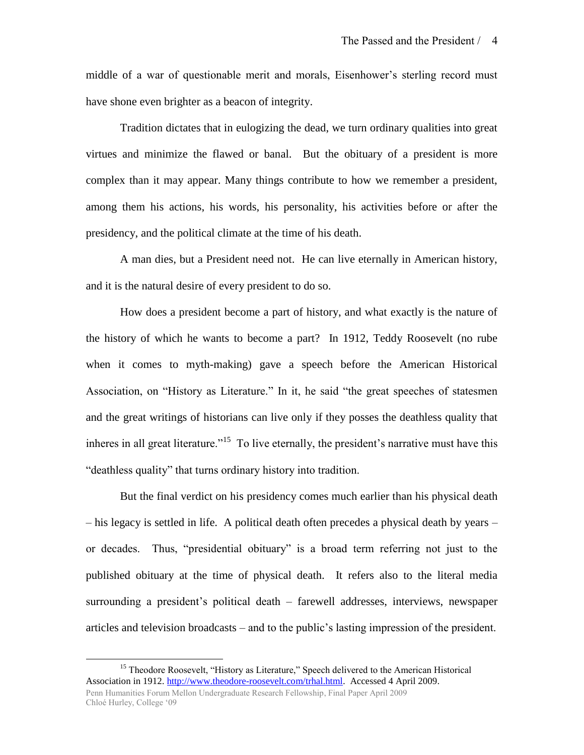middle of a war of questionable merit and morals, Eisenhower's sterling record must have shone even brighter as a beacon of integrity.

Tradition dictates that in eulogizing the dead, we turn ordinary qualities into great virtues and minimize the flawed or banal. But the obituary of a president is more complex than it may appear. Many things contribute to how we remember a president, among them his actions, his words, his personality, his activities before or after the presidency, and the political climate at the time of his death.

A man dies, but a President need not. He can live eternally in American history, and it is the natural desire of every president to do so.

How does a president become a part of history, and what exactly is the nature of the history of which he wants to become a part? In 1912, Teddy Roosevelt (no rube when it comes to myth-making) gave a speech before the American Historical Association, on "History as Literature." In it, he said "the great speeches of statesmen and the great writings of historians can live only if they posses the deathless quality that inheres in all great literature."<sup>15</sup> To live eternally, the president's narrative must have this "deathless quality" that turns ordinary history into tradition.

But the final verdict on his presidency comes much earlier than his physical death – his legacy is settled in life. A political death often precedes a physical death by years – or decades. Thus, "presidential obituary" is a broad term referring not just to the published obituary at the time of physical death. It refers also to the literal media surrounding a president"s political death – farewell addresses, interviews, newspaper articles and television broadcasts – and to the public"s lasting impression of the president.

Penn Humanities Forum Mellon Undergraduate Research Fellowship, Final Paper April 2009 Chloé Hurley, College "09 <sup>15</sup> Theodore Roosevelt, "History as Literature," Speech delivered to the American Historical Association in 1912. [http://www.theodore-roosevelt.com/trhal.html.](http://www.theodore-roosevelt.com/trhal.html) Accessed 4 April 2009.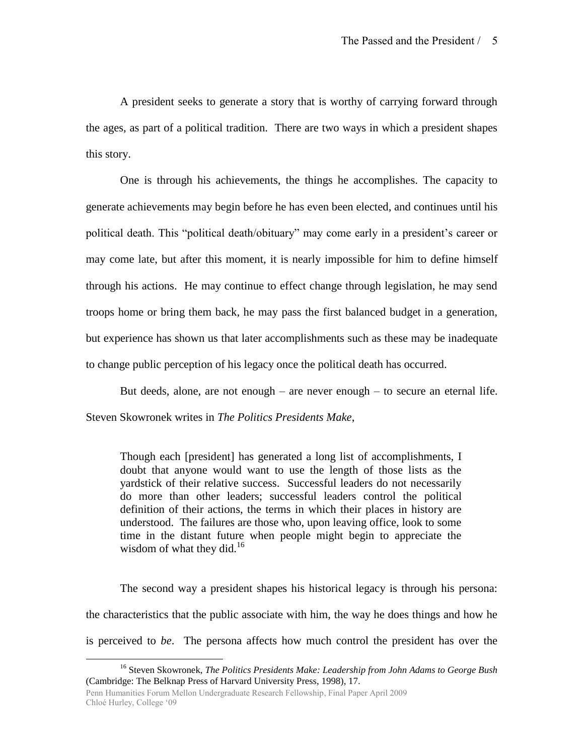A president seeks to generate a story that is worthy of carrying forward through the ages, as part of a political tradition. There are two ways in which a president shapes this story.

One is through his achievements, the things he accomplishes. The capacity to generate achievements may begin before he has even been elected, and continues until his political death. This "political death/obituary" may come early in a president's career or may come late, but after this moment, it is nearly impossible for him to define himself through his actions. He may continue to effect change through legislation, he may send troops home or bring them back, he may pass the first balanced budget in a generation, but experience has shown us that later accomplishments such as these may be inadequate to change public perception of his legacy once the political death has occurred.

But deeds, alone, are not enough – are never enough – to secure an eternal life. Steven Skowronek writes in *The Politics Presidents Make*,

Though each [president] has generated a long list of accomplishments, I doubt that anyone would want to use the length of those lists as the yardstick of their relative success. Successful leaders do not necessarily do more than other leaders; successful leaders control the political definition of their actions, the terms in which their places in history are understood. The failures are those who, upon leaving office, look to some time in the distant future when people might begin to appreciate the wisdom of what they did.<sup>16</sup>

The second way a president shapes his historical legacy is through his persona: the characteristics that the public associate with him, the way he does things and how he is perceived to *be*. The persona affects how much control the president has over the

<sup>16</sup> Steven Skowronek, *The Politics Presidents Make: Leadership from John Adams to George Bush* (Cambridge: The Belknap Press of Harvard University Press, 1998), 17.

Penn Humanities Forum Mellon Undergraduate Research Fellowship, Final Paper April 2009 Chloé Hurley, College "09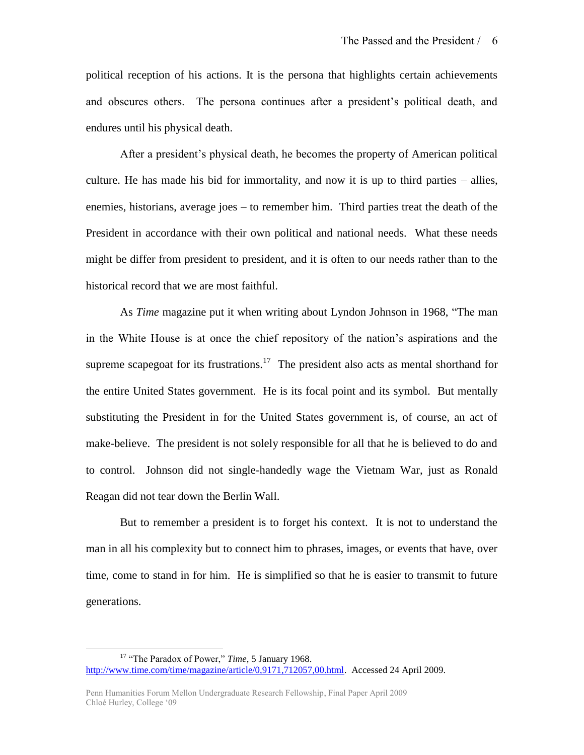political reception of his actions. It is the persona that highlights certain achievements and obscures others. The persona continues after a president's political death, and endures until his physical death.

After a president"s physical death, he becomes the property of American political culture. He has made his bid for immortality, and now it is up to third parties – allies, enemies, historians, average joes – to remember him. Third parties treat the death of the President in accordance with their own political and national needs. What these needs might be differ from president to president, and it is often to our needs rather than to the historical record that we are most faithful.

As *Time* magazine put it when writing about Lyndon Johnson in 1968, "The man in the White House is at once the chief repository of the nation"s aspirations and the supreme scapegoat for its frustrations.<sup>17</sup> The president also acts as mental shorthand for the entire United States government. He is its focal point and its symbol. But mentally substituting the President in for the United States government is, of course, an act of make-believe. The president is not solely responsible for all that he is believed to do and to control. Johnson did not single-handedly wage the Vietnam War, just as Ronald Reagan did not tear down the Berlin Wall.

But to remember a president is to forget his context. It is not to understand the man in all his complexity but to connect him to phrases, images, or events that have, over time, come to stand in for him. He is simplified so that he is easier to transmit to future generations.

<sup>&</sup>lt;sup>17</sup> "The Paradox of Power," *Time*, 5 January 1968. [http://www.time.com/time/magazine/article/0,9171,712057,00.html.](http://www.time.com/time/magazine/article/0,9171,712057,00.html) Accessed 24 April 2009.

Penn Humanities Forum Mellon Undergraduate Research Fellowship, Final Paper April 2009 Chloé Hurley, College "09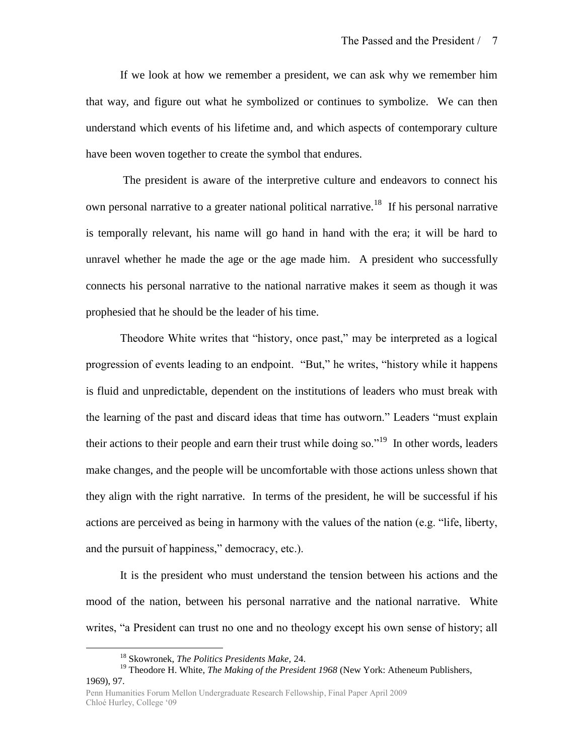If we look at how we remember a president, we can ask why we remember him that way, and figure out what he symbolized or continues to symbolize. We can then understand which events of his lifetime and, and which aspects of contemporary culture have been woven together to create the symbol that endures.

The president is aware of the interpretive culture and endeavors to connect his own personal narrative to a greater national political narrative.<sup>18</sup> If his personal narrative is temporally relevant, his name will go hand in hand with the era; it will be hard to unravel whether he made the age or the age made him. A president who successfully connects his personal narrative to the national narrative makes it seem as though it was prophesied that he should be the leader of his time.

Theodore White writes that "history, once past," may be interpreted as a logical progression of events leading to an endpoint. "But," he writes, "history while it happens is fluid and unpredictable, dependent on the institutions of leaders who must break with the learning of the past and discard ideas that time has outworn." Leaders "must explain their actions to their people and earn their trust while doing so."<sup>19</sup> In other words, leaders make changes, and the people will be uncomfortable with those actions unless shown that they align with the right narrative. In terms of the president, he will be successful if his actions are perceived as being in harmony with the values of the nation (e.g. "life, liberty, and the pursuit of happiness," democracy, etc.).

It is the president who must understand the tension between his actions and the mood of the nation, between his personal narrative and the national narrative. White writes, "a President can trust no one and no theology except his own sense of history; all

1969), 97.

<sup>18</sup> Skowronek, *The Politics Presidents Make,* 24.

<sup>&</sup>lt;sup>19</sup> Theodore H. White, *The Making of the President 1968* (New York: Atheneum Publishers,

Penn Humanities Forum Mellon Undergraduate Research Fellowship, Final Paper April 2009 Chloé Hurley, College "09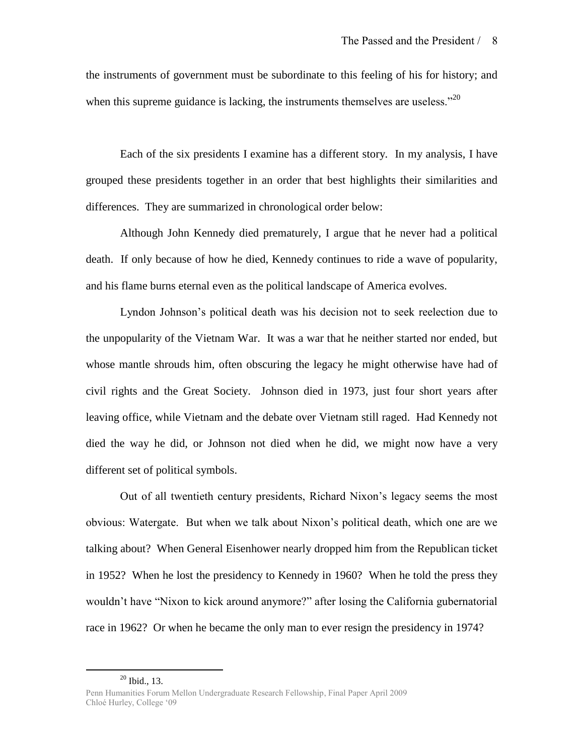the instruments of government must be subordinate to this feeling of his for history; and when this supreme guidance is lacking, the instruments themselves are useless."<sup>20</sup>

Each of the six presidents I examine has a different story. In my analysis, I have grouped these presidents together in an order that best highlights their similarities and differences. They are summarized in chronological order below:

Although John Kennedy died prematurely, I argue that he never had a political death. If only because of how he died, Kennedy continues to ride a wave of popularity, and his flame burns eternal even as the political landscape of America evolves.

Lyndon Johnson"s political death was his decision not to seek reelection due to the unpopularity of the Vietnam War. It was a war that he neither started nor ended, but whose mantle shrouds him, often obscuring the legacy he might otherwise have had of civil rights and the Great Society. Johnson died in 1973, just four short years after leaving office, while Vietnam and the debate over Vietnam still raged. Had Kennedy not died the way he did, or Johnson not died when he did, we might now have a very different set of political symbols.

Out of all twentieth century presidents, Richard Nixon"s legacy seems the most obvious: Watergate. But when we talk about Nixon"s political death, which one are we talking about? When General Eisenhower nearly dropped him from the Republican ticket in 1952? When he lost the presidency to Kennedy in 1960? When he told the press they wouldn't have "Nixon to kick around anymore?" after losing the California gubernatorial race in 1962? Or when he became the only man to ever resign the presidency in 1974?

<sup>20</sup> Ibid., 13.

Penn Humanities Forum Mellon Undergraduate Research Fellowship, Final Paper April 2009 Chloé Hurley, College "09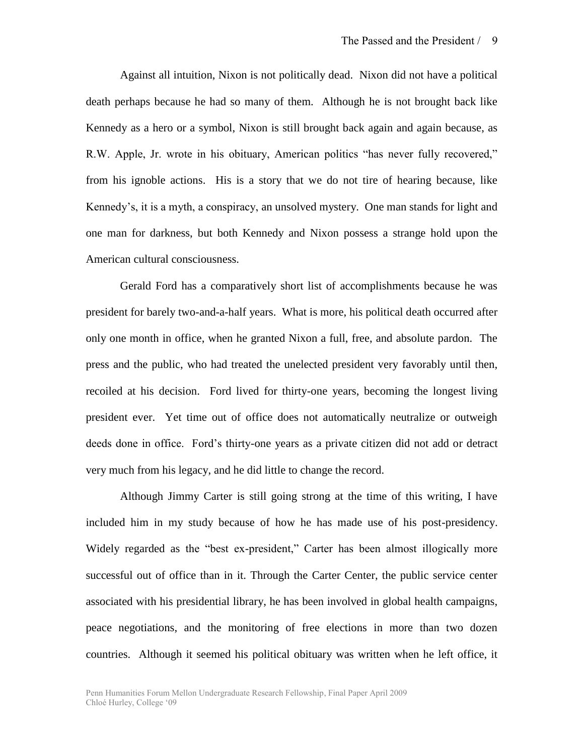Against all intuition, Nixon is not politically dead. Nixon did not have a political death perhaps because he had so many of them. Although he is not brought back like Kennedy as a hero or a symbol, Nixon is still brought back again and again because, as R.W. Apple, Jr. wrote in his obituary, American politics "has never fully recovered," from his ignoble actions. His is a story that we do not tire of hearing because, like Kennedy"s, it is a myth, a conspiracy, an unsolved mystery. One man stands for light and one man for darkness, but both Kennedy and Nixon possess a strange hold upon the American cultural consciousness.

Gerald Ford has a comparatively short list of accomplishments because he was president for barely two-and-a-half years. What is more, his political death occurred after only one month in office, when he granted Nixon a full, free, and absolute pardon. The press and the public, who had treated the unelected president very favorably until then, recoiled at his decision. Ford lived for thirty-one years, becoming the longest living president ever. Yet time out of office does not automatically neutralize or outweigh deeds done in office. Ford"s thirty-one years as a private citizen did not add or detract very much from his legacy, and he did little to change the record.

Although Jimmy Carter is still going strong at the time of this writing, I have included him in my study because of how he has made use of his post-presidency. Widely regarded as the "best ex-president," Carter has been almost illogically more successful out of office than in it. Through the Carter Center, the public service center associated with his presidential library, he has been involved in global health campaigns, peace negotiations, and the monitoring of free elections in more than two dozen countries. Although it seemed his political obituary was written when he left office, it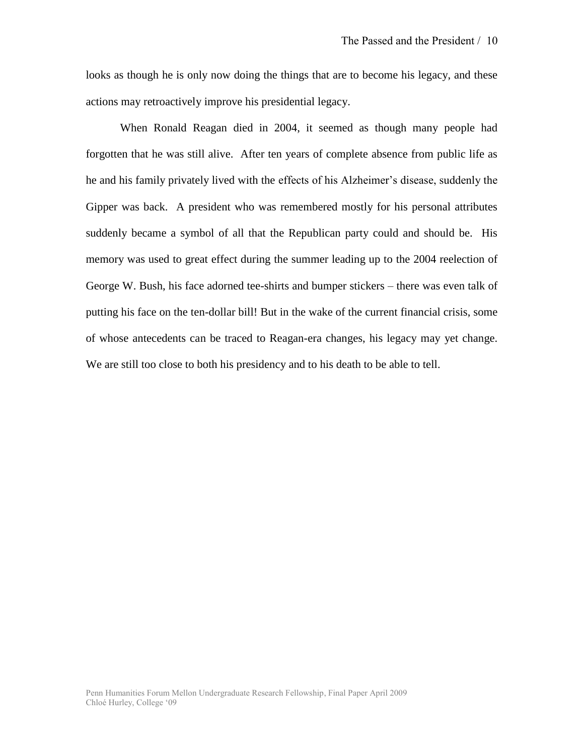looks as though he is only now doing the things that are to become his legacy, and these actions may retroactively improve his presidential legacy.

When Ronald Reagan died in 2004, it seemed as though many people had forgotten that he was still alive. After ten years of complete absence from public life as he and his family privately lived with the effects of his Alzheimer's disease, suddenly the Gipper was back. A president who was remembered mostly for his personal attributes suddenly became a symbol of all that the Republican party could and should be. His memory was used to great effect during the summer leading up to the 2004 reelection of George W. Bush, his face adorned tee-shirts and bumper stickers – there was even talk of putting his face on the ten-dollar bill! But in the wake of the current financial crisis, some of whose antecedents can be traced to Reagan-era changes, his legacy may yet change. We are still too close to both his presidency and to his death to be able to tell.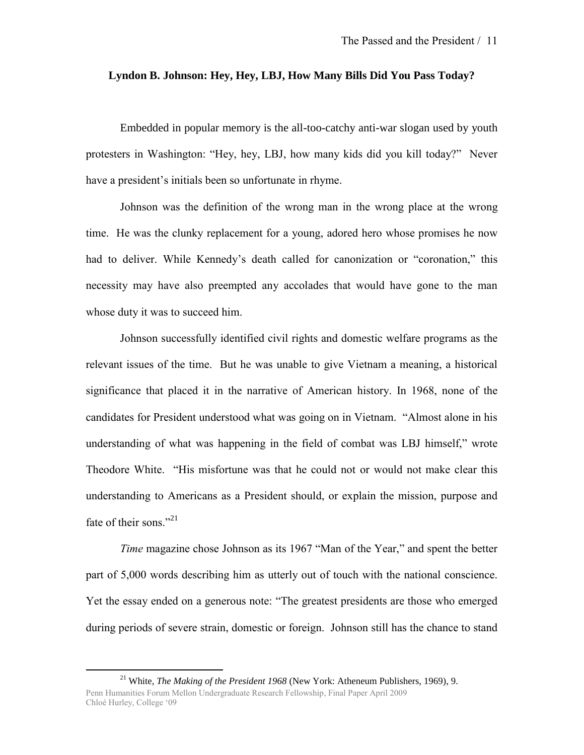### **Lyndon B. Johnson: Hey, Hey, LBJ, How Many Bills Did You Pass Today?**

Embedded in popular memory is the all-too-catchy anti-war slogan used by youth protesters in Washington: "Hey, hey, LBJ, how many kids did you kill today?" Never have a president's initials been so unfortunate in rhyme.

Johnson was the definition of the wrong man in the wrong place at the wrong time. He was the clunky replacement for a young, adored hero whose promises he now had to deliver. While Kennedy's death called for canonization or "coronation," this necessity may have also preempted any accolades that would have gone to the man whose duty it was to succeed him.

Johnson successfully identified civil rights and domestic welfare programs as the relevant issues of the time. But he was unable to give Vietnam a meaning, a historical significance that placed it in the narrative of American history. In 1968, none of the candidates for President understood what was going on in Vietnam. "Almost alone in his understanding of what was happening in the field of combat was LBJ himself," wrote Theodore White. "His misfortune was that he could not or would not make clear this understanding to Americans as a President should, or explain the mission, purpose and fate of their sons."<sup>21</sup>

*Time* magazine chose Johnson as its 1967 "Man of the Year," and spent the better part of 5,000 words describing him as utterly out of touch with the national conscience. Yet the essay ended on a generous note: "The greatest presidents are those who emerged during periods of severe strain, domestic or foreign. Johnson still has the chance to stand

Penn Humanities Forum Mellon Undergraduate Research Fellowship, Final Paper April 2009 Chloé Hurley, College "09 <sup>21</sup> White, *The Making of the President 1968* (New York: Atheneum Publishers, 1969), 9.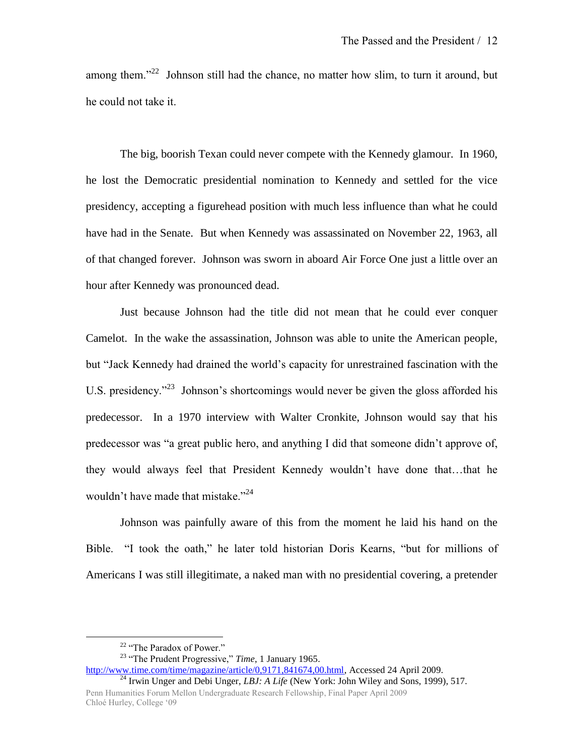among them."<sup>22</sup> Johnson still had the chance, no matter how slim, to turn it around, but he could not take it.

The big, boorish Texan could never compete with the Kennedy glamour. In 1960, he lost the Democratic presidential nomination to Kennedy and settled for the vice presidency, accepting a figurehead position with much less influence than what he could have had in the Senate. But when Kennedy was assassinated on November 22, 1963, all of that changed forever. Johnson was sworn in aboard Air Force One just a little over an hour after Kennedy was pronounced dead.

Just because Johnson had the title did not mean that he could ever conquer Camelot. In the wake the assassination, Johnson was able to unite the American people, but "Jack Kennedy had drained the world"s capacity for unrestrained fascination with the U.S. presidency."<sup>23</sup> Johnson's shortcomings would never be given the gloss afforded his predecessor. In a 1970 interview with Walter Cronkite, Johnson would say that his predecessor was "a great public hero, and anything I did that someone didn"t approve of, they would always feel that President Kennedy wouldn"t have done that…that he wouldn't have made that mistake."<sup>24</sup>

Johnson was painfully aware of this from the moment he laid his hand on the Bible. "I took the oath," he later told historian Doris Kearns, "but for millions of Americans I was still illegitimate, a naked man with no presidential covering, a pretender

<sup>&</sup>lt;sup>22</sup> "The Paradox of Power."

<sup>23</sup> "The Prudent Progressive," *Time*, 1 January 1965.

[http://www.time.com/time/magazine/article/0,9171,841674,00.html,](http://www.time.com/time/magazine/article/0,9171,841674,00.html) Accessed 24 April 2009.

Penn Humanities Forum Mellon Undergraduate Research Fellowship, Final Paper April 2009 <sup>24</sup> Irwin Unger and Debi Unger, *LBJ: A Life* (New York: John Wiley and Sons, 1999), 517.

Chloé Hurley, College "09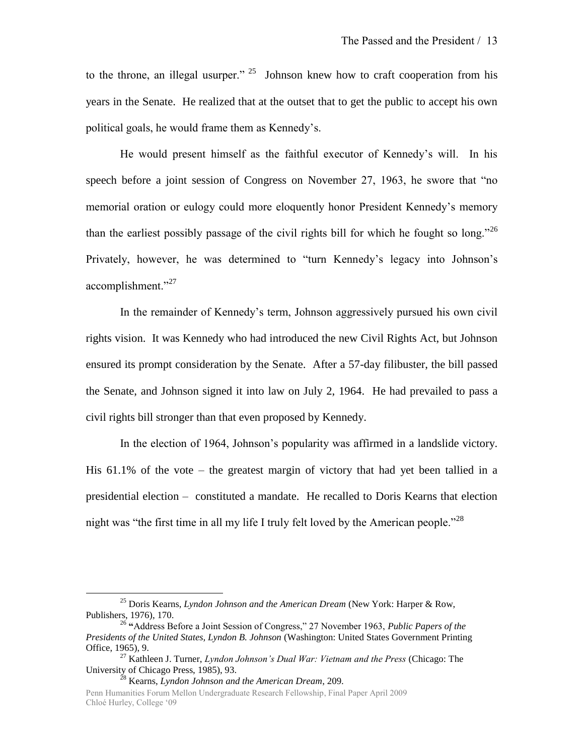to the throne, an illegal usurper."  $25$  Johnson knew how to craft cooperation from his years in the Senate. He realized that at the outset that to get the public to accept his own political goals, he would frame them as Kennedy"s.

He would present himself as the faithful executor of Kennedy"s will. In his speech before a joint session of Congress on November 27, 1963, he swore that "no memorial oration or eulogy could more eloquently honor President Kennedy"s memory than the earliest possibly passage of the civil rights bill for which he fought so long."<sup>26</sup> Privately, however, he was determined to "turn Kennedy"s legacy into Johnson"s accomplishment."<sup>27</sup>

In the remainder of Kennedy"s term, Johnson aggressively pursued his own civil rights vision. It was Kennedy who had introduced the new Civil Rights Act, but Johnson ensured its prompt consideration by the Senate. After a 57-day filibuster, the bill passed the Senate, and Johnson signed it into law on July 2, 1964. He had prevailed to pass a civil rights bill stronger than that even proposed by Kennedy.

In the election of 1964, Johnson"s popularity was affirmed in a landslide victory. His 61.1% of the vote – the greatest margin of victory that had yet been tallied in a presidential election – constituted a mandate. He recalled to Doris Kearns that election night was "the first time in all my life I truly felt loved by the American people."<sup>28</sup>

<sup>25</sup> Doris Kearns, *Lyndon Johnson and the American Dream* (New York: Harper & Row, Publishers, 1976), 170.

<sup>26</sup> **"**Address Before a Joint Session of Congress," 27 November 1963, *Public Papers of the Presidents of the United States, Lyndon B. Johnson* (Washington: United States Government Printing Office, 1965), 9.

<sup>27</sup> Kathleen J. Turner, *Lyndon Johnson's Dual War: Vietnam and the Press* (Chicago: The University of Chicago Press, 1985), 93.

<sup>28</sup> Kearns, *Lyndon Johnson and the American Dream*, 209.

Penn Humanities Forum Mellon Undergraduate Research Fellowship, Final Paper April 2009 Chloé Hurley, College "09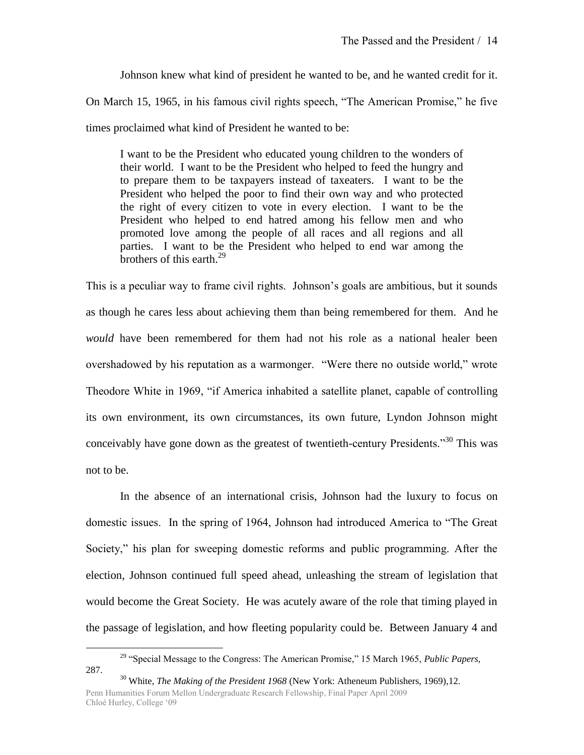Johnson knew what kind of president he wanted to be, and he wanted credit for it. On March 15, 1965, in his famous civil rights speech, "The American Promise," he five times proclaimed what kind of President he wanted to be:

I want to be the President who educated young children to the wonders of their world. I want to be the President who helped to feed the hungry and to prepare them to be taxpayers instead of taxeaters. I want to be the President who helped the poor to find their own way and who protected the right of every citizen to vote in every election. I want to be the President who helped to end hatred among his fellow men and who promoted love among the people of all races and all regions and all parties. I want to be the President who helped to end war among the brothers of this earth. $^{29}$ 

This is a peculiar way to frame civil rights. Johnson"s goals are ambitious, but it sounds as though he cares less about achieving them than being remembered for them. And he *would* have been remembered for them had not his role as a national healer been overshadowed by his reputation as a warmonger. "Were there no outside world," wrote Theodore White in 1969, "if America inhabited a satellite planet, capable of controlling its own environment, its own circumstances, its own future, Lyndon Johnson might conceivably have gone down as the greatest of twentieth-century Presidents."<sup>30</sup> This was not to be.

In the absence of an international crisis, Johnson had the luxury to focus on domestic issues. In the spring of 1964, Johnson had introduced America to "The Great Society," his plan for sweeping domestic reforms and public programming. After the election, Johnson continued full speed ahead, unleashing the stream of legislation that would become the Great Society. He was acutely aware of the role that timing played in the passage of legislation, and how fleeting popularity could be. Between January 4 and

<sup>29</sup> "Special Message to the Congress: The American Promise," 15 March 1965, *Public Papers*, 287.

Penn Humanities Forum Mellon Undergraduate Research Fellowship, Final Paper April 2009 Chloé Hurley, College "09 <sup>30</sup> White, *The Making of the President 1968* (New York: Atheneum Publishers, 1969), 12.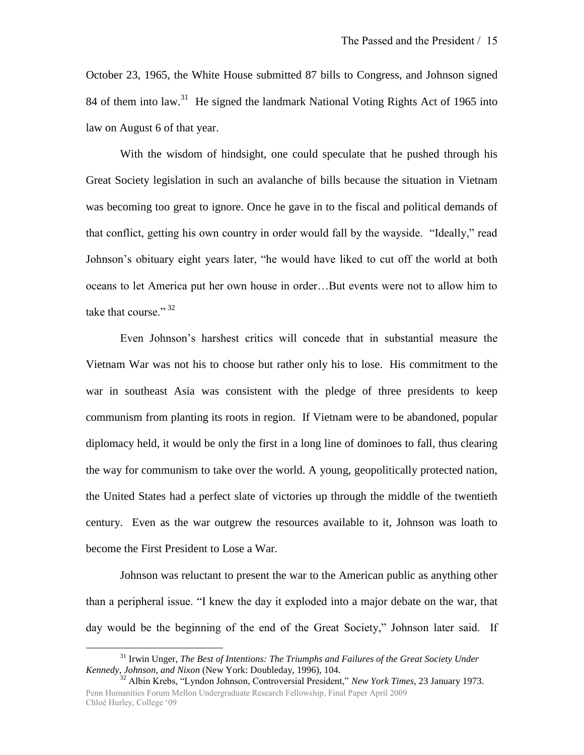October 23, 1965, the White House submitted 87 bills to Congress, and Johnson signed 84 of them into law.<sup>31</sup> He signed the landmark National Voting Rights Act of 1965 into law on August 6 of that year.

With the wisdom of hindsight, one could speculate that he pushed through his Great Society legislation in such an avalanche of bills because the situation in Vietnam was becoming too great to ignore. Once he gave in to the fiscal and political demands of that conflict, getting his own country in order would fall by the wayside. "Ideally," read Johnson"s obituary eight years later, "he would have liked to cut off the world at both oceans to let America put her own house in order…But events were not to allow him to take that course."<sup>32</sup>

Even Johnson"s harshest critics will concede that in substantial measure the Vietnam War was not his to choose but rather only his to lose. His commitment to the war in southeast Asia was consistent with the pledge of three presidents to keep communism from planting its roots in region. If Vietnam were to be abandoned, popular diplomacy held, it would be only the first in a long line of dominoes to fall, thus clearing the way for communism to take over the world. A young, geopolitically protected nation, the United States had a perfect slate of victories up through the middle of the twentieth century. Even as the war outgrew the resources available to it, Johnson was loath to become the First President to Lose a War.

Johnson was reluctant to present the war to the American public as anything other than a peripheral issue. "I knew the day it exploded into a major debate on the war, that day would be the beginning of the end of the Great Society," Johnson later said. If

<sup>31</sup> Irwin Unger, *The Best of Intentions: The Triumphs and Failures of the Great Society Under Kennedy, Johnson, and Nixon* (New York: Doubleday, 1996), 104.

Penn Humanities Forum Mellon Undergraduate Research Fellowship, Final Paper April 2009 Chloé Hurley, College "09 <sup>32</sup> Albin Krebs, "Lyndon Johnson, Controversial President," *New York Times*, 23 January 1973.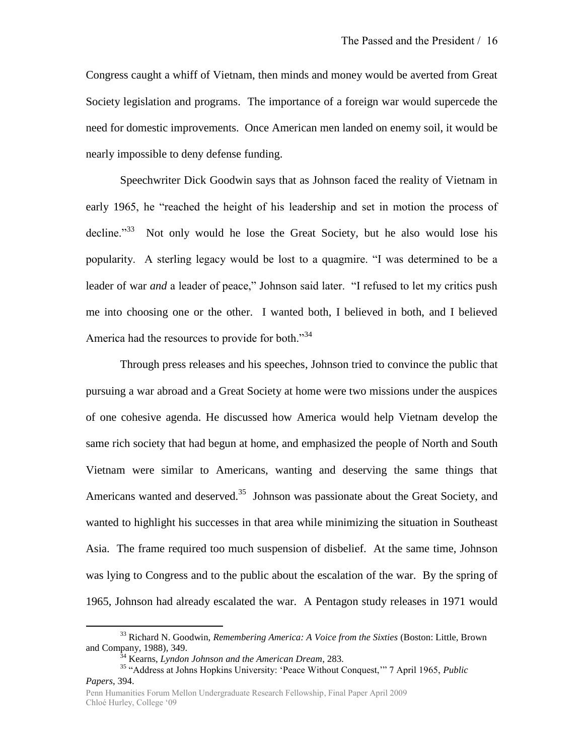Congress caught a whiff of Vietnam, then minds and money would be averted from Great Society legislation and programs. The importance of a foreign war would supercede the need for domestic improvements. Once American men landed on enemy soil, it would be nearly impossible to deny defense funding.

Speechwriter Dick Goodwin says that as Johnson faced the reality of Vietnam in early 1965, he "reached the height of his leadership and set in motion the process of decline." $33$  Not only would he lose the Great Society, but he also would lose his popularity. A sterling legacy would be lost to a quagmire. "I was determined to be a leader of war *and* a leader of peace," Johnson said later. "I refused to let my critics push me into choosing one or the other. I wanted both, I believed in both, and I believed America had the resources to provide for both."<sup>34</sup>

Through press releases and his speeches, Johnson tried to convince the public that pursuing a war abroad and a Great Society at home were two missions under the auspices of one cohesive agenda. He discussed how America would help Vietnam develop the same rich society that had begun at home, and emphasized the people of North and South Vietnam were similar to Americans, wanting and deserving the same things that Americans wanted and deserved.<sup>35</sup> Johnson was passionate about the Great Society, and wanted to highlight his successes in that area while minimizing the situation in Southeast Asia. The frame required too much suspension of disbelief. At the same time, Johnson was lying to Congress and to the public about the escalation of the war. By the spring of 1965, Johnson had already escalated the war. A Pentagon study releases in 1971 would

<sup>33</sup> Richard N. Goodwin, *Remembering America: A Voice from the Sixties* (Boston: Little, Brown and Company, 1988), 349.

<sup>34</sup> Kearns, *Lyndon Johnson and the American Dream*, 283.

<sup>35</sup> "Address at Johns Hopkins University: "Peace Without Conquest,"" 7 April 1965, *Public Papers*, 394.

Penn Humanities Forum Mellon Undergraduate Research Fellowship, Final Paper April 2009 Chloé Hurley, College "09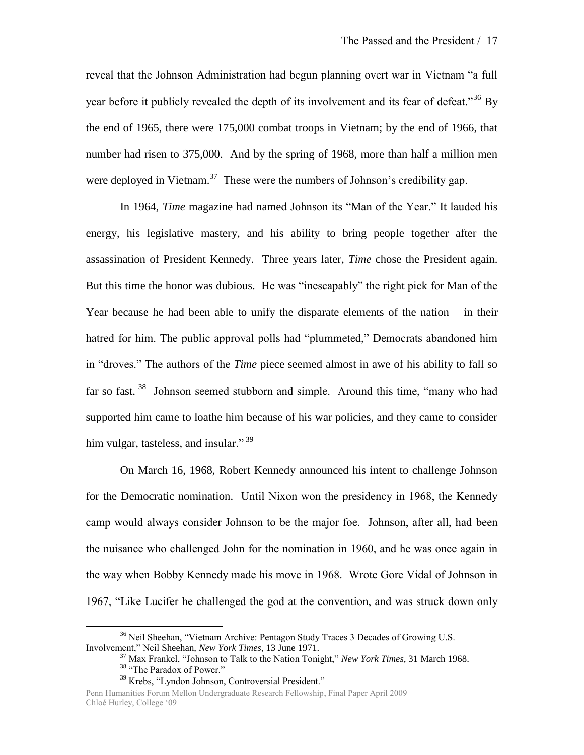reveal that the Johnson Administration had begun planning overt war in Vietnam "a full year before it publicly revealed the depth of its involvement and its fear of defeat."<sup>36</sup> By the end of 1965, there were 175,000 combat troops in Vietnam; by the end of 1966, that number had risen to 375,000. And by the spring of 1968, more than half a million men were deployed in Vietnam.<sup>37</sup> These were the numbers of Johnson's credibility gap.

In 1964, *Time* magazine had named Johnson its "Man of the Year." It lauded his energy, his legislative mastery, and his ability to bring people together after the assassination of President Kennedy. Three years later, *Time* chose the President again. But this time the honor was dubious. He was "inescapably" the right pick for Man of the Year because he had been able to unify the disparate elements of the nation – in their hatred for him. The public approval polls had "plummeted," Democrats abandoned him in "droves." The authors of the *Time* piece seemed almost in awe of his ability to fall so far so fast.<sup>38</sup> Johnson seemed stubborn and simple. Around this time, "many who had supported him came to loathe him because of his war policies, and they came to consider him vulgar, tasteless, and insular."<sup>39</sup>

On March 16, 1968, Robert Kennedy announced his intent to challenge Johnson for the Democratic nomination. Until Nixon won the presidency in 1968, the Kennedy camp would always consider Johnson to be the major foe. Johnson, after all, had been the nuisance who challenged John for the nomination in 1960, and he was once again in the way when Bobby Kennedy made his move in 1968. Wrote Gore Vidal of Johnson in 1967, "Like Lucifer he challenged the god at the convention, and was struck down only

<sup>&</sup>lt;sup>36</sup> Neil Sheehan, "Vietnam Archive: Pentagon Study Traces 3 Decades of Growing U.S. Involvement," Neil Sheehan, *New York Times*, 13 June 1971.

<sup>37</sup> Max Frankel, "Johnson to Talk to the Nation Tonight," *New York Times*, 31 March 1968.

<sup>&</sup>lt;sup>38</sup> "The Paradox of Power."

<sup>39</sup> Krebs, "Lyndon Johnson, Controversial President."

Penn Humanities Forum Mellon Undergraduate Research Fellowship, Final Paper April 2009 Chloé Hurley, College "09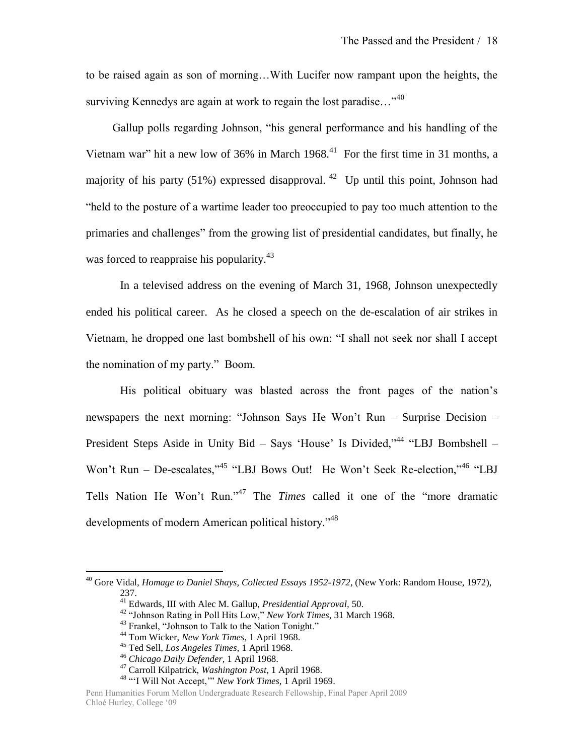to be raised again as son of morning…With Lucifer now rampant upon the heights, the surviving Kennedys are again at work to regain the lost paradise... $^{40}$ 

Gallup polls regarding Johnson, "his general performance and his handling of the Vietnam war" hit a new low of 36% in March  $1968$ .<sup>41</sup> For the first time in 31 months, a majority of his party (51%) expressed disapproval. <sup>42</sup> Up until this point, Johnson had "held to the posture of a wartime leader too preoccupied to pay too much attention to the primaries and challenges" from the growing list of presidential candidates, but finally, he was forced to reappraise his popularity.<sup>43</sup>

In a televised address on the evening of March 31, 1968, Johnson unexpectedly ended his political career. As he closed a speech on the de-escalation of air strikes in Vietnam, he dropped one last bombshell of his own: "I shall not seek nor shall I accept the nomination of my party." Boom.

His political obituary was blasted across the front pages of the nation"s newspapers the next morning: "Johnson Says He Won"t Run – Surprise Decision – President Steps Aside in Unity Bid – Says 'House' Is Divided,"<sup>44</sup> "LBJ Bombshell – Won't Run – De-escalates,"<sup>45</sup> "LBJ Bows Out! He Won't Seek Re-election,"<sup>46</sup> "LBJ Tells Nation He Won"t Run."<sup>47</sup> The *Times* called it one of the "more dramatic developments of modern American political history.<sup>"48</sup>

<sup>40</sup> Gore Vidal, *Homage to Daniel Shays, Collected Essays 1952-1972*, (New York: Random House, 1972), 237.

<sup>41</sup> Edwards, III with Alec M. Gallup, *Presidential Approval,* 50.

<sup>42</sup> "Johnson Rating in Poll Hits Low," *New York Times*, 31 March 1968.

<sup>43</sup> Frankel, "Johnson to Talk to the Nation Tonight."

<sup>44</sup> Tom Wicker, *New York Times,* 1 April 1968.

<sup>45</sup> Ted Sell, *Los Angeles Times,* 1 April 1968.

<sup>46</sup> *Chicago Daily Defender,* 1 April 1968.

<sup>47</sup> Carroll Kilpatrick, *Washington Post*, 1 April 1968.

<sup>48</sup> ""I Will Not Accept,"" *New York Times*, 1 April 1969.

Penn Humanities Forum Mellon Undergraduate Research Fellowship, Final Paper April 2009 Chloé Hurley, College "09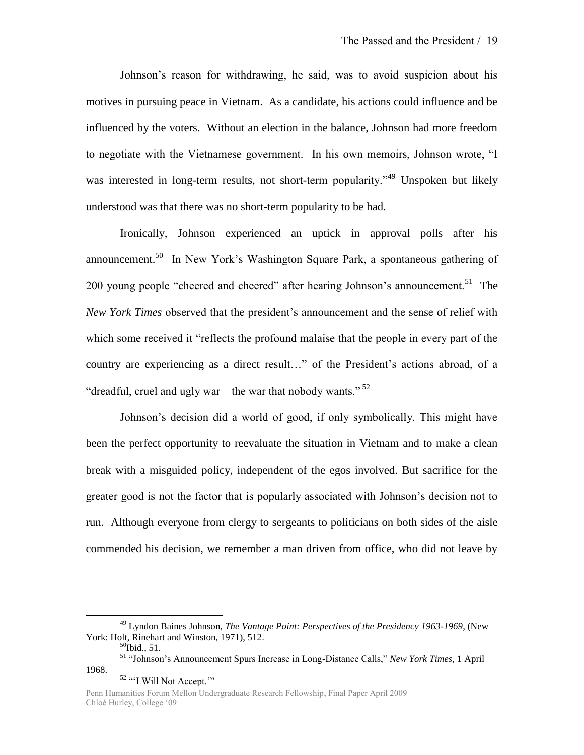Johnson"s reason for withdrawing, he said, was to avoid suspicion about his motives in pursuing peace in Vietnam. As a candidate, his actions could influence and be influenced by the voters. Without an election in the balance, Johnson had more freedom to negotiate with the Vietnamese government. In his own memoirs, Johnson wrote, "I was interested in long-term results, not short-term popularity.<sup>49</sup> Unspoken but likely understood was that there was no short-term popularity to be had.

Ironically, Johnson experienced an uptick in approval polls after his announcement.<sup>50</sup> In New York's Washington Square Park, a spontaneous gathering of 200 young people "cheered and cheered" after hearing Johnson's announcement.<sup>51</sup> The *New York Times* observed that the president's announcement and the sense of relief with which some received it "reflects the profound malaise that the people in every part of the country are experiencing as a direct result..." of the President's actions abroad, of a "dreadful, cruel and ugly war – the war that nobody wants."<sup>52</sup>

Johnson"s decision did a world of good, if only symbolically. This might have been the perfect opportunity to reevaluate the situation in Vietnam and to make a clean break with a misguided policy, independent of the egos involved. But sacrifice for the greater good is not the factor that is popularly associated with Johnson"s decision not to run. Although everyone from clergy to sergeants to politicians on both sides of the aisle commended his decision, we remember a man driven from office, who did not leave by

<sup>49</sup> Lyndon Baines Johnson, *The Vantage Point: Perspectives of the Presidency 1963-1969*, (New York: Holt, Rinehart and Winston, 1971), 512.

 $50$ Ibid., 51.

<sup>51</sup> "Johnson"s Announcement Spurs Increase in Long-Distance Calls," *New York Times*, 1 April 1968.

<sup>&</sup>lt;sup>52</sup> ""I Will Not Accept.""

Penn Humanities Forum Mellon Undergraduate Research Fellowship, Final Paper April 2009 Chloé Hurley, College "09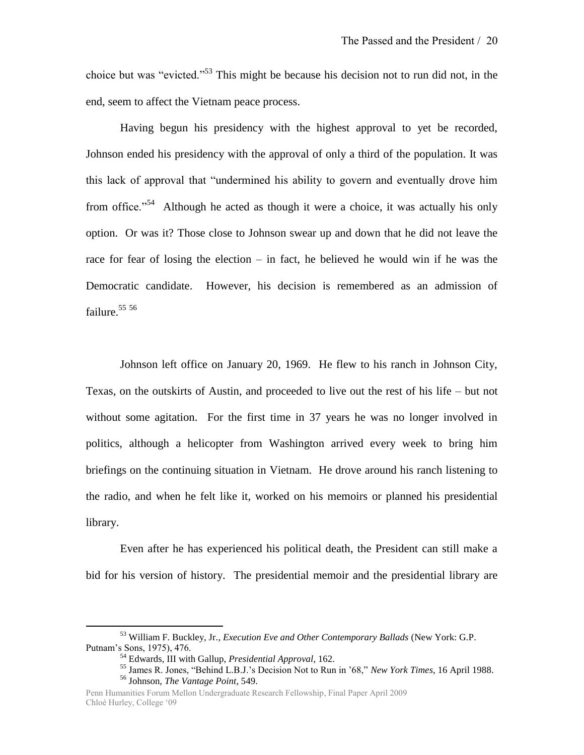choice but was "evicted."<sup>53</sup> This might be because his decision not to run did not, in the end, seem to affect the Vietnam peace process.

Having begun his presidency with the highest approval to yet be recorded, Johnson ended his presidency with the approval of only a third of the population. It was this lack of approval that "undermined his ability to govern and eventually drove him from office."<sup>54</sup> Although he acted as though it were a choice, it was actually his only option. Or was it? Those close to Johnson swear up and down that he did not leave the race for fear of losing the election – in fact, he believed he would win if he was the Democratic candidate. However, his decision is remembered as an admission of failure.<sup>55 56</sup>

Johnson left office on January 20, 1969. He flew to his ranch in Johnson City, Texas, on the outskirts of Austin, and proceeded to live out the rest of his life – but not without some agitation. For the first time in 37 years he was no longer involved in politics, although a helicopter from Washington arrived every week to bring him briefings on the continuing situation in Vietnam. He drove around his ranch listening to the radio, and when he felt like it, worked on his memoirs or planned his presidential library.

Even after he has experienced his political death, the President can still make a bid for his version of history. The presidential memoir and the presidential library are

<sup>53</sup> William F. Buckley, Jr., *Execution Eve and Other Contemporary Ballads* (New York: G.P. Putnam"s Sons, 1975), 476.

<sup>54</sup> Edwards, III with Gallup, *Presidential Approval*, 162.

<sup>55</sup> James R. Jones, "Behind L.B.J."s Decision Not to Run in "68," *New York Times*, 16 April 1988. <sup>56</sup> Johnson, *The Vantage Point*, 549.

Penn Humanities Forum Mellon Undergraduate Research Fellowship, Final Paper April 2009 Chloé Hurley, College "09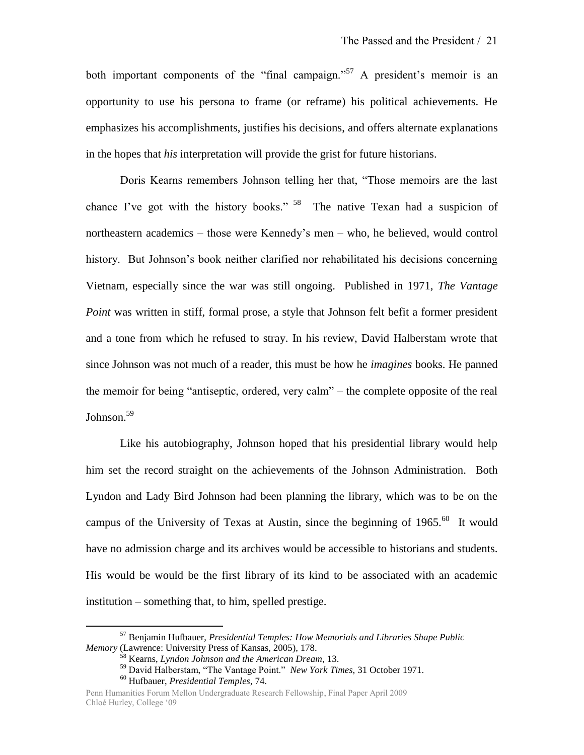both important components of the "final campaign."<sup>57</sup> A president's memoir is an opportunity to use his persona to frame (or reframe) his political achievements. He emphasizes his accomplishments, justifies his decisions, and offers alternate explanations in the hopes that *his* interpretation will provide the grist for future historians.

Doris Kearns remembers Johnson telling her that, "Those memoirs are the last chance I've got with the history books."  $58$  The native Texan had a suspicion of northeastern academics – those were Kennedy"s men – who, he believed, would control history. But Johnson"s book neither clarified nor rehabilitated his decisions concerning Vietnam, especially since the war was still ongoing. Published in 1971, *The Vantage Point* was written in stiff, formal prose, a style that Johnson felt befit a former president and a tone from which he refused to stray. In his review, David Halberstam wrote that since Johnson was not much of a reader, this must be how he *imagines* books. He panned the memoir for being "antiseptic, ordered, very calm" – the complete opposite of the real Johnson.<sup>59</sup>

Like his autobiography, Johnson hoped that his presidential library would help him set the record straight on the achievements of the Johnson Administration. Both Lyndon and Lady Bird Johnson had been planning the library, which was to be on the campus of the University of Texas at Austin, since the beginning of  $1965$ .<sup>60</sup> It would have no admission charge and its archives would be accessible to historians and students. His would be would be the first library of its kind to be associated with an academic institution – something that, to him, spelled prestige.

<sup>57</sup> Benjamin Hufbauer, *Presidential Temples: How Memorials and Libraries Shape Public Memory* (Lawrence: University Press of Kansas, 2005), 178.

<sup>58</sup> Kearns, *Lyndon Johnson and the American Dream*, 13.

<sup>59</sup> David Halberstam, "The Vantage Point." *New York Times*, 31 October 1971.

<sup>60</sup> Hufbauer, *Presidential Temples*, 74.

Penn Humanities Forum Mellon Undergraduate Research Fellowship, Final Paper April 2009 Chloé Hurley, College "09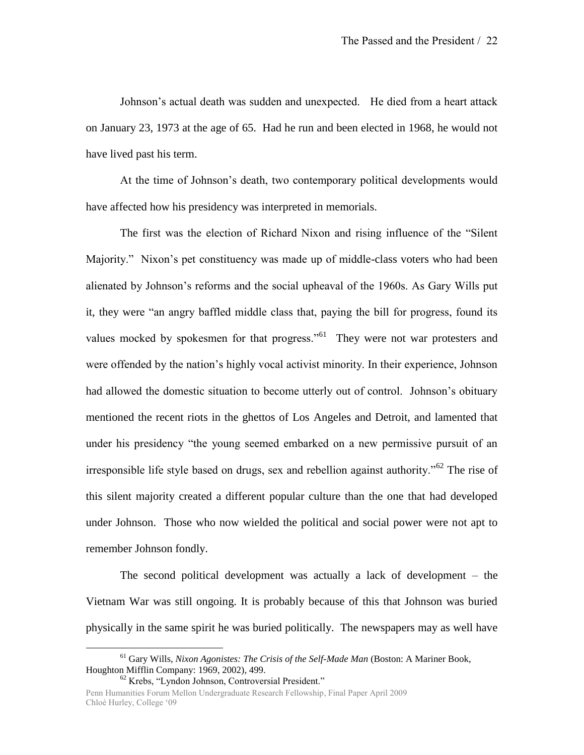Johnson"s actual death was sudden and unexpected. He died from a heart attack on January 23, 1973 at the age of 65. Had he run and been elected in 1968, he would not have lived past his term.

At the time of Johnson"s death, two contemporary political developments would have affected how his presidency was interpreted in memorials.

The first was the election of Richard Nixon and rising influence of the "Silent Majority." Nixon"s pet constituency was made up of middle-class voters who had been alienated by Johnson"s reforms and the social upheaval of the 1960s. As Gary Wills put it, they were "an angry baffled middle class that, paying the bill for progress, found its values mocked by spokesmen for that progress."<sup>61</sup> They were not war protesters and were offended by the nation"s highly vocal activist minority. In their experience, Johnson had allowed the domestic situation to become utterly out of control. Johnson's obituary mentioned the recent riots in the ghettos of Los Angeles and Detroit, and lamented that under his presidency "the young seemed embarked on a new permissive pursuit of an irresponsible life style based on drugs, sex and rebellion against authority.<sup> $10^{2}$ </sup> The rise of this silent majority created a different popular culture than the one that had developed under Johnson. Those who now wielded the political and social power were not apt to remember Johnson fondly.

The second political development was actually a lack of development – the Vietnam War was still ongoing. It is probably because of this that Johnson was buried physically in the same spirit he was buried politically. The newspapers may as well have

<sup>61</sup> Gary Wills, *Nixon Agonistes: The Crisis of the Self-Made Man* (Boston: A Mariner Book, Houghton Mifflin Company: 1969, 2002), 499.

<sup>62</sup> Krebs, "Lyndon Johnson, Controversial President."

Penn Humanities Forum Mellon Undergraduate Research Fellowship, Final Paper April 2009 Chloé Hurley, College "09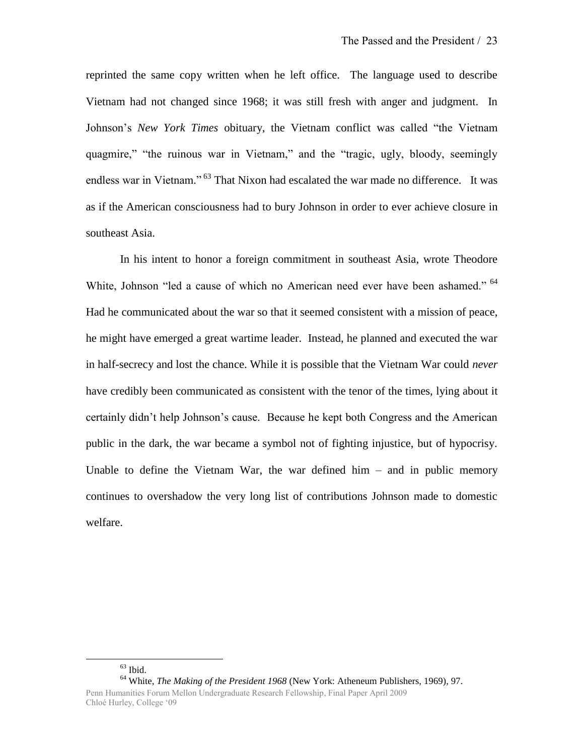reprinted the same copy written when he left office. The language used to describe Vietnam had not changed since 1968; it was still fresh with anger and judgment. In Johnson"s *New York Times* obituary, the Vietnam conflict was called "the Vietnam quagmire," "the ruinous war in Vietnam," and the "tragic, ugly, bloody, seemingly endless war in Vietnam."<sup>63</sup> That Nixon had escalated the war made no difference. It was as if the American consciousness had to bury Johnson in order to ever achieve closure in southeast Asia.

In his intent to honor a foreign commitment in southeast Asia, wrote Theodore White, Johnson "led a cause of which no American need ever have been ashamed." <sup>64</sup> Had he communicated about the war so that it seemed consistent with a mission of peace, he might have emerged a great wartime leader. Instead, he planned and executed the war in half-secrecy and lost the chance. While it is possible that the Vietnam War could *never* have credibly been communicated as consistent with the tenor of the times, lying about it certainly didn"t help Johnson"s cause. Because he kept both Congress and the American public in the dark, the war became a symbol not of fighting injustice, but of hypocrisy. Unable to define the Vietnam War, the war defined him  $-$  and in public memory continues to overshadow the very long list of contributions Johnson made to domestic welfare.

## $63$  Ibid.

Penn Humanities Forum Mellon Undergraduate Research Fellowship, Final Paper April 2009 Chloé Hurley, College "09 <sup>64</sup> White, *The Making of the President 1968* (New York: Atheneum Publishers, 1969), 97.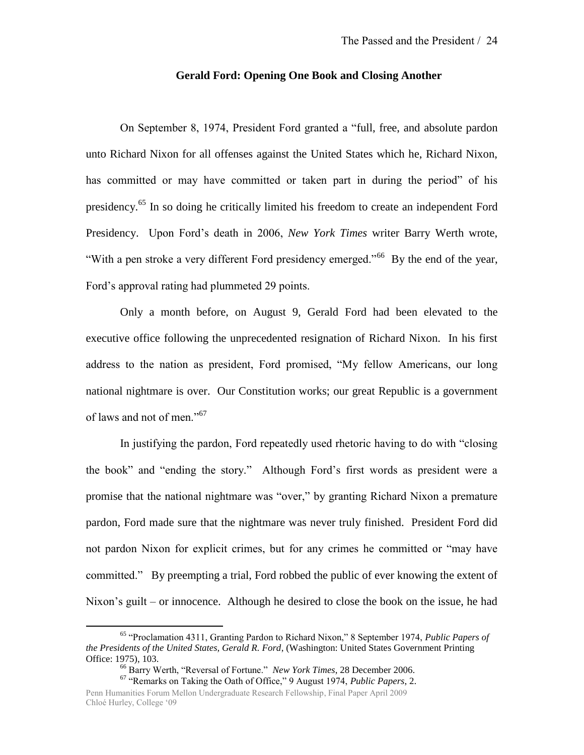### **Gerald Ford: Opening One Book and Closing Another**

On September 8, 1974, President Ford granted a "full, free, and absolute pardon unto Richard Nixon for all offenses against the United States which he, Richard Nixon, has committed or may have committed or taken part in during the period" of his presidency.<sup>65</sup> In so doing he critically limited his freedom to create an independent Ford Presidency.Upon Ford"s death in 2006, *New York Times* writer Barry Werth wrote, "With a pen stroke a very different Ford presidency emerged."<sup>66</sup> By the end of the year, Ford"s approval rating had plummeted 29 points.

Only a month before, on August 9, Gerald Ford had been elevated to the executive office following the unprecedented resignation of Richard Nixon. In his first address to the nation as president, Ford promised, "My fellow Americans, our long national nightmare is over. Our Constitution works; our great Republic is a government of laws and not of men."<sup>67</sup>

In justifying the pardon, Ford repeatedly used rhetoric having to do with "closing the book" and "ending the story." Although Ford"s first words as president were a promise that the national nightmare was "over," by granting Richard Nixon a premature pardon, Ford made sure that the nightmare was never truly finished. President Ford did not pardon Nixon for explicit crimes, but for any crimes he committed or "may have committed." By preempting a trial, Ford robbed the public of ever knowing the extent of Nixon's guilt – or innocence. Although he desired to close the book on the issue, he had

<sup>65</sup> "Proclamation 4311, Granting Pardon to Richard Nixon," 8 September 1974, *Public Papers of the Presidents of the United States, Gerald R. Ford*, (Washington: United States Government Printing Office: 1975), 103.

<sup>66</sup> Barry Werth, "Reversal of Fortune." *New York Times*, 28 December 2006.

<sup>67</sup> "Remarks on Taking the Oath of Office," 9 August 1974, *Public Papers*, 2.

Penn Humanities Forum Mellon Undergraduate Research Fellowship, Final Paper April 2009 Chloé Hurley, College "09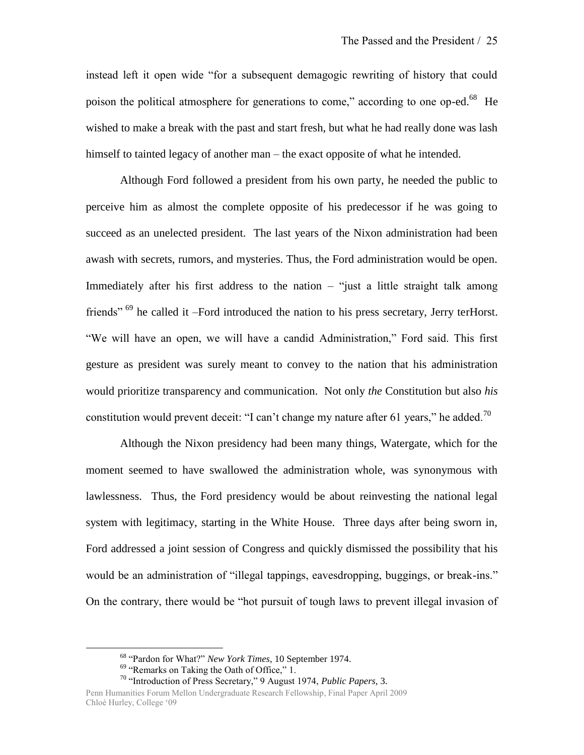instead left it open wide "for a subsequent demagogic rewriting of history that could poison the political atmosphere for generations to come," according to one op-ed.<sup>68</sup> He wished to make a break with the past and start fresh, but what he had really done was lash himself to tainted legacy of another man – the exact opposite of what he intended.

Although Ford followed a president from his own party, he needed the public to perceive him as almost the complete opposite of his predecessor if he was going to succeed as an unelected president. The last years of the Nixon administration had been awash with secrets, rumors, and mysteries. Thus, the Ford administration would be open. Immediately after his first address to the nation  $-$  "just a little straight talk among friends" <sup>69</sup> he called it –Ford introduced the nation to his press secretary, Jerry terHorst. "We will have an open, we will have a candid Administration," Ford said. This first gesture as president was surely meant to convey to the nation that his administration would prioritize transparency and communication. Not only *the* Constitution but also *his* constitution would prevent deceit: "I can't change my nature after 61 years," he added.<sup>70</sup>

Although the Nixon presidency had been many things, Watergate, which for the moment seemed to have swallowed the administration whole, was synonymous with lawlessness. Thus, the Ford presidency would be about reinvesting the national legal system with legitimacy, starting in the White House. Three days after being sworn in, Ford addressed a joint session of Congress and quickly dismissed the possibility that his would be an administration of "illegal tappings, eavesdropping, buggings, or break-ins." On the contrary, there would be "hot pursuit of tough laws to prevent illegal invasion of

<sup>68</sup> "Pardon for What?" *New York Times*, 10 September 1974.

<sup>69</sup> "Remarks on Taking the Oath of Office," 1.

<sup>70</sup> "Introduction of Press Secretary," 9 August 1974, *Public Papers,* 3.

Penn Humanities Forum Mellon Undergraduate Research Fellowship, Final Paper April 2009 Chloé Hurley, College "09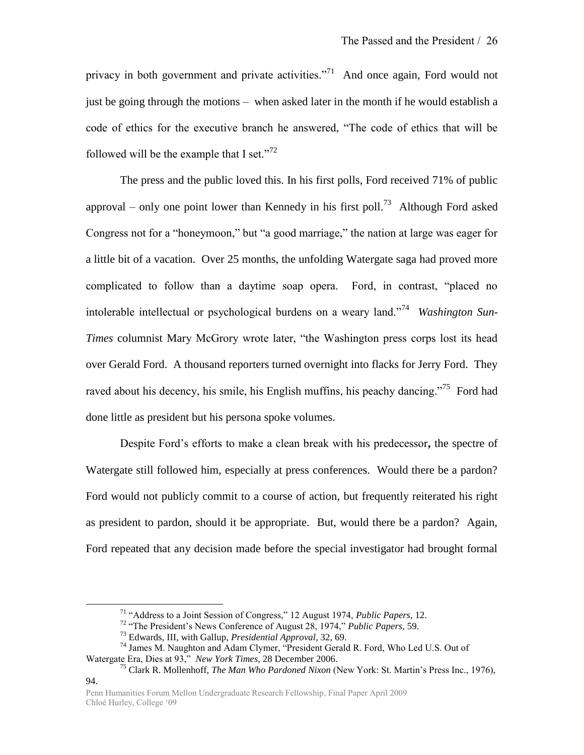privacy in both government and private activities."<sup>71</sup> And once again, Ford would not just be going through the motions – when asked later in the month if he would establish a code of ethics for the executive branch he answered, "The code of ethics that will be followed will be the example that I set."<sup>72</sup>

The press and the public loved this. In his first polls, Ford received 71% of public approval – only one point lower than Kennedy in his first poll.<sup>73</sup> Although Ford asked Congress not for a "honeymoon," but "a good marriage," the nation at large was eager for a little bit of a vacation. Over 25 months, the unfolding Watergate saga had proved more complicated to follow than a daytime soap opera. Ford, in contrast, "placed no intolerable intellectual or psychological burdens on a weary land."<sup>74</sup> *Washington Sun-Times* columnist Mary McGrory wrote later, "the Washington press corps lost its head over Gerald Ford. A thousand reporters turned overnight into flacks for Jerry Ford. They raved about his decency, his smile, his English muffins, his peachy dancing."<sup>75</sup> Ford had done little as president but his persona spoke volumes.

Despite Ford"s efforts to make a clean break with his predecessor**,** the spectre of Watergate still followed him, especially at press conferences. Would there be a pardon? Ford would not publicly commit to a course of action, but frequently reiterated his right as president to pardon, should it be appropriate. But, would there be a pardon? Again, Ford repeated that any decision made before the special investigator had brought formal

<sup>71</sup> "Address to a Joint Session of Congress," 12 August 1974, *Public Papers*, 12.

<sup>72</sup> "The President"s News Conference of August 28, 1974," *Public Papers,* 59.

<sup>73</sup> Edwards, III, with Gallup, *Presidential Approval*, 32, 69.

<sup>74</sup> James M. Naughton and Adam Clymer, "President Gerald R. Ford, Who Led U.S. Out of

Watergate Era, Dies at 93," *New York Times*, 28 December 2006.

<sup>75</sup> Clark R. Mollenhoff, *The Man Who Pardoned Nixon* (New York: St. Martin"s Press Inc., 1976), 94.

Penn Humanities Forum Mellon Undergraduate Research Fellowship, Final Paper April 2009 Chloé Hurley, College "09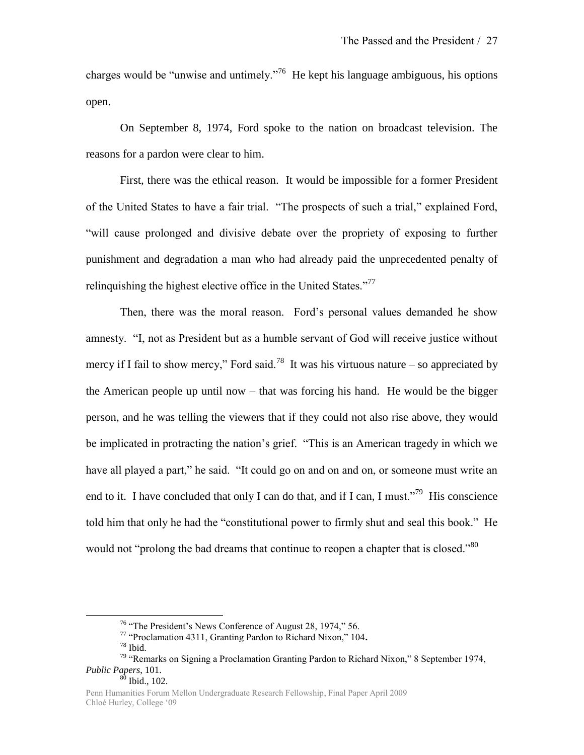charges would be "unwise and untimely."<sup>76</sup> He kept his language ambiguous, his options open.

On September 8, 1974, Ford spoke to the nation on broadcast television. The reasons for a pardon were clear to him.

First, there was the ethical reason. It would be impossible for a former President of the United States to have a fair trial. "The prospects of such a trial," explained Ford, "will cause prolonged and divisive debate over the propriety of exposing to further punishment and degradation a man who had already paid the unprecedented penalty of relinquishing the highest elective office in the United States."<sup>77</sup>

Then, there was the moral reason. Ford"s personal values demanded he show amnesty. "I, not as President but as a humble servant of God will receive justice without mercy if I fail to show mercy," Ford said.<sup>78</sup> It was his virtuous nature – so appreciated by the American people up until now – that was forcing his hand. He would be the bigger person, and he was telling the viewers that if they could not also rise above, they would be implicated in protracting the nation"s grief. "This is an American tragedy in which we have all played a part," he said. "It could go on and on and on, or someone must write an end to it. I have concluded that only I can do that, and if I can, I must.<sup> $79$ </sup> His conscience told him that only he had the "constitutional power to firmly shut and seal this book." He would not "prolong the bad dreams that continue to reopen a chapter that is closed."<sup>80</sup>

<sup>78</sup> Ibid.

<sup>&</sup>lt;sup>76</sup> "The President's News Conference of August 28, 1974," 56.

<sup>77</sup> "Proclamation 4311, Granting Pardon to Richard Nixon," 104**.**

<sup>79</sup> "Remarks on Signing a Proclamation Granting Pardon to Richard Nixon," 8 September 1974, *Public Papers*, 101.

 $80$  Ibid., 102.

Penn Humanities Forum Mellon Undergraduate Research Fellowship, Final Paper April 2009 Chloé Hurley, College "09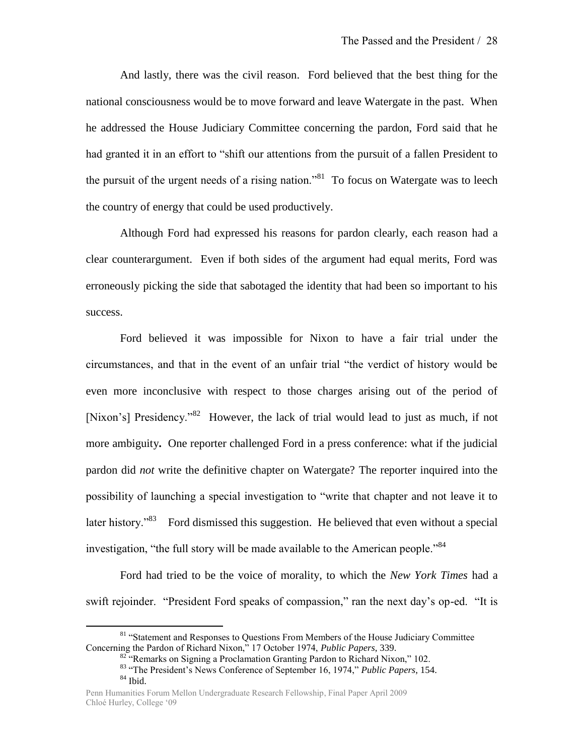And lastly, there was the civil reason. Ford believed that the best thing for the national consciousness would be to move forward and leave Watergate in the past. When he addressed the House Judiciary Committee concerning the pardon, Ford said that he had granted it in an effort to "shift our attentions from the pursuit of a fallen President to the pursuit of the urgent needs of a rising nation."<sup>81</sup> To focus on Watergate was to leech the country of energy that could be used productively.

Although Ford had expressed his reasons for pardon clearly, each reason had a clear counterargument. Even if both sides of the argument had equal merits, Ford was erroneously picking the side that sabotaged the identity that had been so important to his success.

Ford believed it was impossible for Nixon to have a fair trial under the circumstances, and that in the event of an unfair trial "the verdict of history would be even more inconclusive with respect to those charges arising out of the period of [Nixon's] Presidency."<sup>82</sup> However, the lack of trial would lead to just as much, if not more ambiguity**.** One reporter challenged Ford in a press conference: what if the judicial pardon did *not* write the definitive chapter on Watergate? The reporter inquired into the possibility of launching a special investigation to "write that chapter and not leave it to later history."<sup>83</sup> Ford dismissed this suggestion. He believed that even without a special investigation, "the full story will be made available to the American people."<sup>84</sup>

Ford had tried to be the voice of morality, to which the *New York Times* had a swift rejoinder. "President Ford speaks of compassion," ran the next day"s op-ed. "It is

<sup>&</sup>lt;sup>81</sup> "Statement and Responses to Questions From Members of the House Judiciary Committee Concerning the Pardon of Richard Nixon," 17 October 1974, *Public Papers*, 339.

 $82$ <sup>62</sup> "Remarks on Signing a Proclamation Granting Pardon to Richard Nixon," 102.

<sup>83</sup> "The President"s News Conference of September 16, 1974," *Public Papers*, 154.  $84$  Ibid.

Penn Humanities Forum Mellon Undergraduate Research Fellowship, Final Paper April 2009 Chloé Hurley, College "09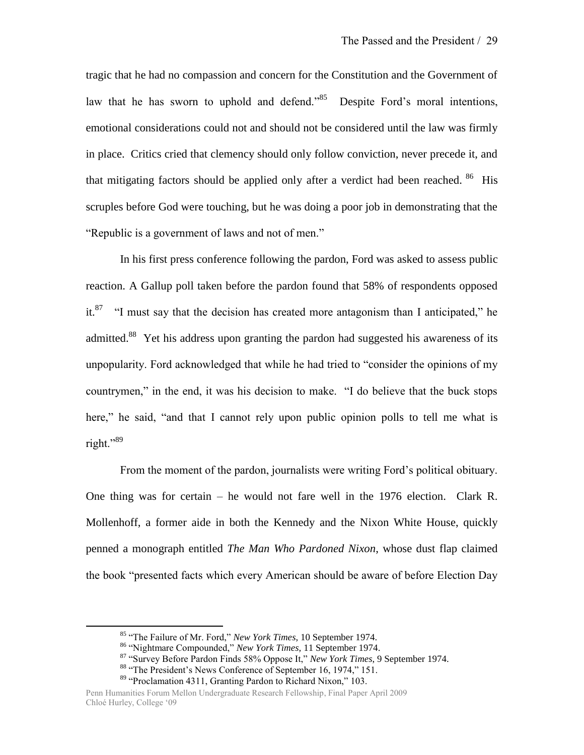tragic that he had no compassion and concern for the Constitution and the Government of law that he has sworn to uphold and defend."<sup>85</sup> Despite Ford's moral intentions, emotional considerations could not and should not be considered until the law was firmly in place. Critics cried that clemency should only follow conviction, never precede it, and that mitigating factors should be applied only after a verdict had been reached. <sup>86</sup> His scruples before God were touching, but he was doing a poor job in demonstrating that the "Republic is a government of laws and not of men."

In his first press conference following the pardon, Ford was asked to assess public reaction. A Gallup poll taken before the pardon found that 58% of respondents opposed it.<sup>87</sup> "I must say that the decision has created more antagonism than I anticipated," he admitted.<sup>88</sup> Yet his address upon granting the pardon had suggested his awareness of its unpopularity. Ford acknowledged that while he had tried to "consider the opinions of my countrymen," in the end, it was his decision to make. "I do believe that the buck stops here," he said, "and that I cannot rely upon public opinion polls to tell me what is right."89

From the moment of the pardon, journalists were writing Ford"s political obituary. One thing was for certain – he would not fare well in the 1976 election. Clark R. Mollenhoff, a former aide in both the Kennedy and the Nixon White House, quickly penned a monograph entitled *The Man Who Pardoned Nixon*, whose dust flap claimed the book "presented facts which every American should be aware of before Election Day

<sup>85</sup> "The Failure of Mr. Ford," *New York Times*, 10 September 1974.

<sup>86</sup> "Nightmare Compounded," *New York Times,* 11 September 1974.

<sup>87</sup> "Survey Before Pardon Finds 58% Oppose It," *New York Times*, 9 September 1974.

<sup>&</sup>lt;sup>88</sup> "The President's News Conference of September 16, 1974," 151.

<sup>&</sup>lt;sup>89</sup> "Proclamation 4311, Granting Pardon to Richard Nixon," 103.

Penn Humanities Forum Mellon Undergraduate Research Fellowship, Final Paper April 2009 Chloé Hurley, College "09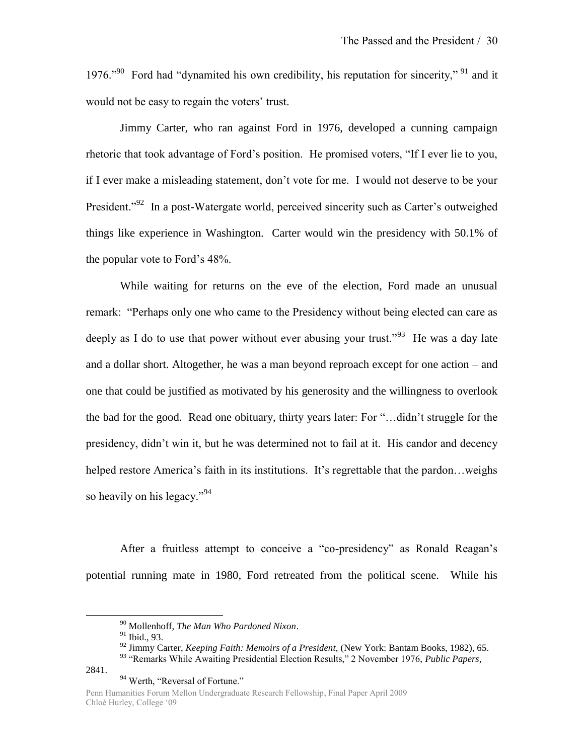1976."<sup>90</sup> Ford had "dynamited his own credibility, his reputation for sincerity,"  $91$  and it would not be easy to regain the voters' trust.

Jimmy Carter, who ran against Ford in 1976, developed a cunning campaign rhetoric that took advantage of Ford"s position. He promised voters, "If I ever lie to you, if I ever make a misleading statement, don"t vote for me. I would not deserve to be your President."<sup>92</sup> In a post-Watergate world, perceived sincerity such as Carter's outweighed things like experience in Washington. Carter would win the presidency with 50.1% of the popular vote to Ford"s 48%.

While waiting for returns on the eve of the election, Ford made an unusual remark: "Perhaps only one who came to the Presidency without being elected can care as deeply as I do to use that power without ever abusing your trust."<sup>93</sup> He was a day late and a dollar short. Altogether, he was a man beyond reproach except for one action – and one that could be justified as motivated by his generosity and the willingness to overlook the bad for the good. Read one obituary, thirty years later: For "…didn"t struggle for the presidency, didn"t win it, but he was determined not to fail at it. His candor and decency helped restore America's faith in its institutions. It's regrettable that the pardon...weighs so heavily on his legacy."<sup>94</sup>

After a fruitless attempt to conceive a "co-presidency" as Ronald Reagan's potential running mate in 1980, Ford retreated from the political scene. While his

2841.

<sup>90</sup> Mollenhoff, *The Man Who Pardoned Nixon*.

 $91$  Ibid., 93.

<sup>92</sup> Jimmy Carter, *Keeping Faith: Memoirs of a President,* (New York: Bantam Books, 1982), 65.

<sup>93</sup> "Remarks While Awaiting Presidential Election Results," 2 November 1976, *Public Papers*,

<sup>&</sup>lt;sup>94</sup> Werth, "Reversal of Fortune."

Penn Humanities Forum Mellon Undergraduate Research Fellowship, Final Paper April 2009 Chloé Hurley, College "09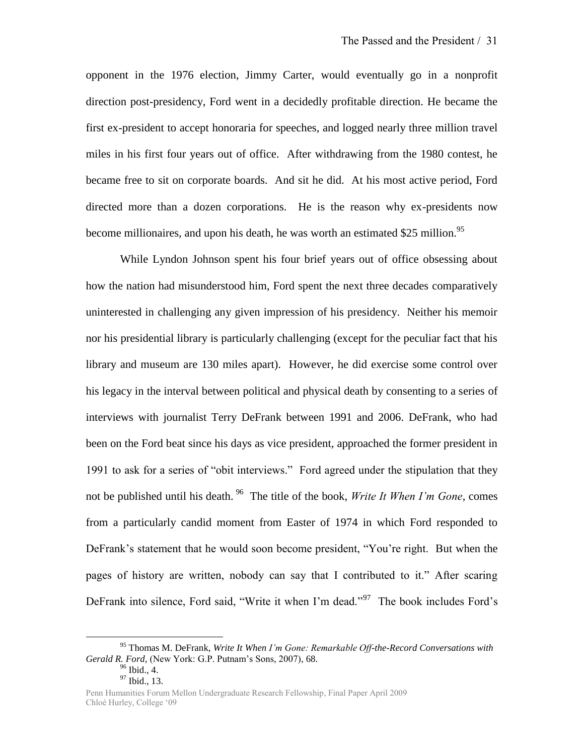opponent in the 1976 election, Jimmy Carter, would eventually go in a nonprofit direction post-presidency, Ford went in a decidedly profitable direction. He became the first ex-president to accept honoraria for speeches, and logged nearly three million travel miles in his first four years out of office. After withdrawing from the 1980 contest, he became free to sit on corporate boards. And sit he did. At his most active period, Ford directed more than a dozen corporations. He is the reason why ex-presidents now become millionaires, and upon his death, he was worth an estimated \$25 million.<sup>95</sup>

While Lyndon Johnson spent his four brief years out of office obsessing about how the nation had misunderstood him, Ford spent the next three decades comparatively uninterested in challenging any given impression of his presidency. Neither his memoir nor his presidential library is particularly challenging (except for the peculiar fact that his library and museum are 130 miles apart). However, he did exercise some control over his legacy in the interval between political and physical death by consenting to a series of interviews with journalist Terry DeFrank between 1991 and 2006. DeFrank, who had been on the Ford beat since his days as vice president, approached the former president in 1991 to ask for a series of "obit interviews." Ford agreed under the stipulation that they not be published until his death.<sup>96</sup> The title of the book, *Write It When I'm Gone*, comes from a particularly candid moment from Easter of 1974 in which Ford responded to DeFrank"s statement that he would soon become president, "You"re right. But when the pages of history are written, nobody can say that I contributed to it." After scaring DeFrank into silence, Ford said, "Write it when I'm dead."<sup>97</sup> The book includes Ford's

<sup>95</sup> Thomas M. DeFrank, *Write It When I'm Gone: Remarkable Off-the-Record Conversations with Gerald R. Ford,* (New York: G.P. Putnam"s Sons, 2007), 68.

 $96$  Ibid., 4.

<sup>97</sup> Ibid., 13.

Penn Humanities Forum Mellon Undergraduate Research Fellowship, Final Paper April 2009 Chloé Hurley, College "09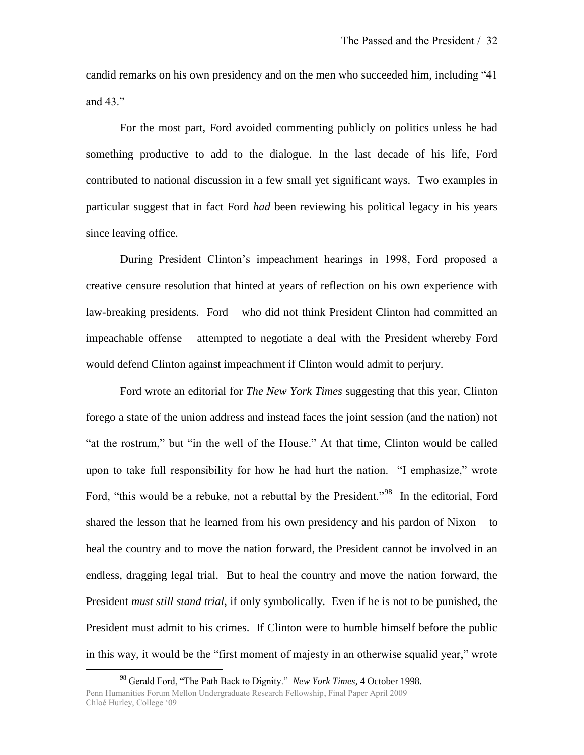candid remarks on his own presidency and on the men who succeeded him, including "41 and 43."

For the most part, Ford avoided commenting publicly on politics unless he had something productive to add to the dialogue. In the last decade of his life, Ford contributed to national discussion in a few small yet significant ways. Two examples in particular suggest that in fact Ford *had* been reviewing his political legacy in his years since leaving office.

During President Clinton"s impeachment hearings in 1998, Ford proposed a creative censure resolution that hinted at years of reflection on his own experience with law-breaking presidents. Ford – who did not think President Clinton had committed an impeachable offense – attempted to negotiate a deal with the President whereby Ford would defend Clinton against impeachment if Clinton would admit to perjury.

Ford wrote an editorial for *The New York Times* suggesting that this year, Clinton forego a state of the union address and instead faces the joint session (and the nation) not "at the rostrum," but "in the well of the House." At that time, Clinton would be called upon to take full responsibility for how he had hurt the nation. "I emphasize," wrote Ford, "this would be a rebuke, not a rebuttal by the President."<sup>98</sup> In the editorial, Ford shared the lesson that he learned from his own presidency and his pardon of Nixon – to heal the country and to move the nation forward, the President cannot be involved in an endless, dragging legal trial. But to heal the country and move the nation forward, the President *must still stand trial*, if only symbolically. Even if he is not to be punished, the President must admit to his crimes. If Clinton were to humble himself before the public in this way, it would be the "first moment of majesty in an otherwise squalid year," wrote

Penn Humanities Forum Mellon Undergraduate Research Fellowship, Final Paper April 2009 Chloé Hurley, College "09 <sup>98</sup> Gerald Ford, "The Path Back to Dignity." *New York Times*, 4 October 1998.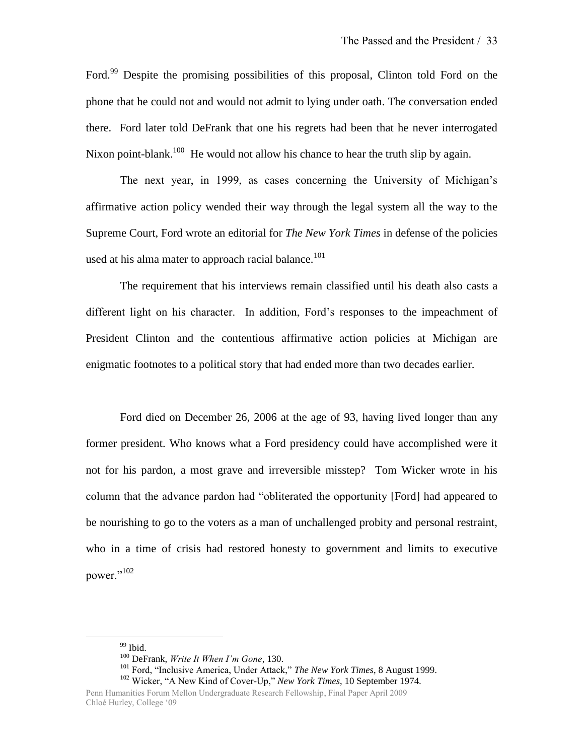Ford.<sup>99</sup> Despite the promising possibilities of this proposal, Clinton told Ford on the phone that he could not and would not admit to lying under oath. The conversation ended there. Ford later told DeFrank that one his regrets had been that he never interrogated Nixon point-blank.<sup>100</sup> He would not allow his chance to hear the truth slip by again.

The next year, in 1999, as cases concerning the University of Michigan"s affirmative action policy wended their way through the legal system all the way to the Supreme Court, Ford wrote an editorial for *The New York Times* in defense of the policies used at his alma mater to approach racial balance.<sup>101</sup>

The requirement that his interviews remain classified until his death also casts a different light on his character. In addition, Ford's responses to the impeachment of President Clinton and the contentious affirmative action policies at Michigan are enigmatic footnotes to a political story that had ended more than two decades earlier.

Ford died on December 26, 2006 at the age of 93, having lived longer than any former president. Who knows what a Ford presidency could have accomplished were it not for his pardon, a most grave and irreversible misstep? Tom Wicker wrote in his column that the advance pardon had "obliterated the opportunity [Ford] had appeared to be nourishing to go to the voters as a man of unchallenged probity and personal restraint, who in a time of crisis had restored honesty to government and limits to executive power."<sup>102</sup>

 $99$  Ibid.

<sup>100</sup> DeFrank, *Write It When I'm Gone,* 130.

<sup>101</sup> Ford, "Inclusive America, Under Attack," *The New York Times*, 8 August 1999.

<sup>102</sup> Wicker, "A New Kind of Cover-Up," *New York Times*, 10 September 1974.

Penn Humanities Forum Mellon Undergraduate Research Fellowship, Final Paper April 2009 Chloé Hurley, College "09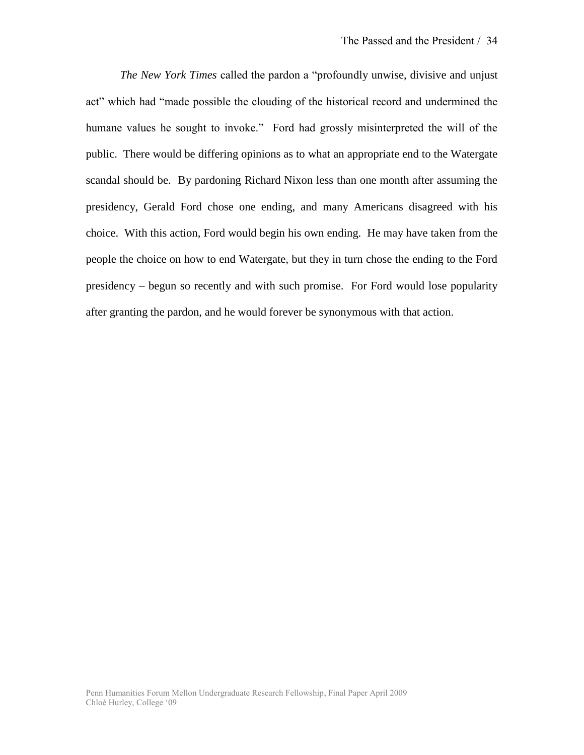*The New York Times* called the pardon a "profoundly unwise, divisive and unjust act" which had "made possible the clouding of the historical record and undermined the humane values he sought to invoke." Ford had grossly misinterpreted the will of the public. There would be differing opinions as to what an appropriate end to the Watergate scandal should be. By pardoning Richard Nixon less than one month after assuming the presidency, Gerald Ford chose one ending, and many Americans disagreed with his choice. With this action, Ford would begin his own ending. He may have taken from the people the choice on how to end Watergate, but they in turn chose the ending to the Ford presidency – begun so recently and with such promise. For Ford would lose popularity after granting the pardon, and he would forever be synonymous with that action.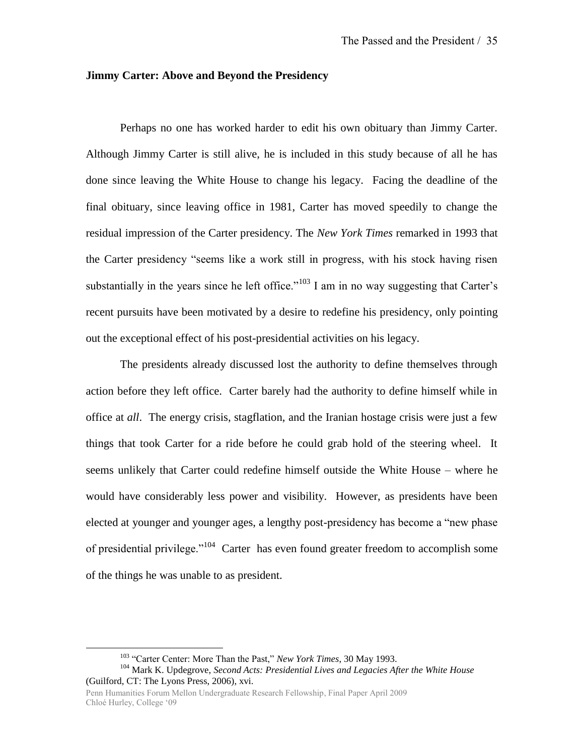### **Jimmy Carter: Above and Beyond the Presidency**

Perhaps no one has worked harder to edit his own obituary than Jimmy Carter. Although Jimmy Carter is still alive, he is included in this study because of all he has done since leaving the White House to change his legacy. Facing the deadline of the final obituary, since leaving office in 1981, Carter has moved speedily to change the residual impression of the Carter presidency. The *New York Times* remarked in 1993 that the Carter presidency "seems like a work still in progress, with his stock having risen substantially in the years since he left office."<sup>103</sup> I am in no way suggesting that Carter's recent pursuits have been motivated by a desire to redefine his presidency, only pointing out the exceptional effect of his post-presidential activities on his legacy.

The presidents already discussed lost the authority to define themselves through action before they left office. Carter barely had the authority to define himself while in office at *all*. The energy crisis, stagflation, and the Iranian hostage crisis were just a few things that took Carter for a ride before he could grab hold of the steering wheel. It seems unlikely that Carter could redefine himself outside the White House – where he would have considerably less power and visibility. However, as presidents have been elected at younger and younger ages, a lengthy post-presidency has become a "new phase of presidential privilege."<sup>104</sup> Carter has even found greater freedom to accomplish some of the things he was unable to as president.

<sup>103</sup> "Carter Center: More Than the Past," *New York Times*, 30 May 1993.

<sup>104</sup> Mark K. Updegrove, *Second Acts: Presidential Lives and Legacies After the White House* (Guilford, CT: The Lyons Press, 2006), xvi.

Penn Humanities Forum Mellon Undergraduate Research Fellowship, Final Paper April 2009 Chloé Hurley, College "09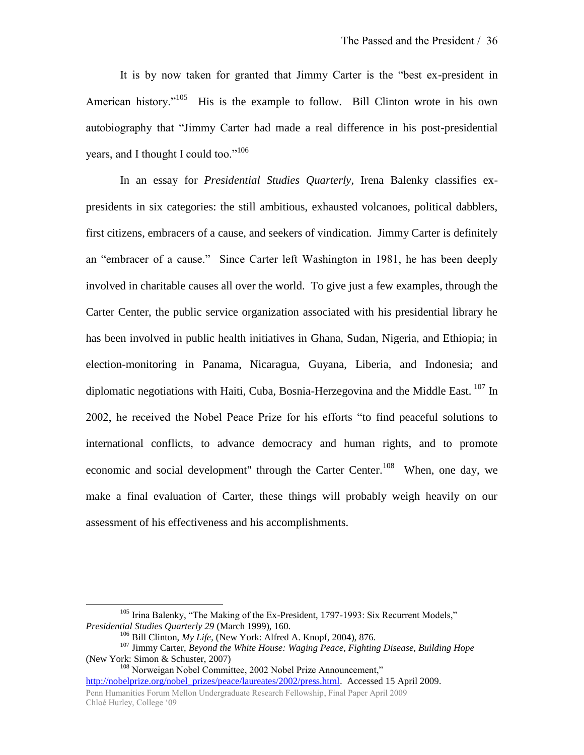It is by now taken for granted that Jimmy Carter is the "best ex-president in American history."<sup>105</sup> His is the example to follow. Bill Clinton wrote in his own autobiography that "Jimmy Carter had made a real difference in his post-presidential years, and I thought I could too."<sup>106</sup>

In an essay for *Presidential Studies Quarterly*, Irena Balenky classifies expresidents in six categories: the still ambitious, exhausted volcanoes, political dabblers, first citizens, embracers of a cause, and seekers of vindication. Jimmy Carter is definitely an "embracer of a cause." Since Carter left Washington in 1981, he has been deeply involved in charitable causes all over the world. To give just a few examples, through the Carter Center, the public service organization associated with his presidential library he has been involved in public health initiatives in Ghana, Sudan, Nigeria, and Ethiopia; in election-monitoring in Panama, Nicaragua, Guyana, Liberia, and Indonesia; and diplomatic negotiations with Haiti, Cuba, Bosnia-Herzegovina and the Middle East.  $^{107}$  In 2002, he received the Nobel Peace Prize for his efforts "to find peaceful solutions to international conflicts, to advance democracy and human rights, and to promote economic and social development" through the Carter Center.<sup>108</sup> When, one day, we make a final evaluation of Carter, these things will probably weigh heavily on our assessment of his effectiveness and his accomplishments.

 $\overline{a}$ 

Penn Humanities Forum Mellon Undergraduate Research Fellowship, Final Paper April 2009 Chloé Hurley, College "09 <sup>108</sup> Norweigan Nobel Committee, 2002 Nobel Prize Announcement," [http://nobelprize.org/nobel\\_prizes/peace/laureates/2002/press.html.](http://nobelprize.org/nobel_prizes/peace/laureates/2002/press.html) Accessed 15 April 2009.

<sup>&</sup>lt;sup>105</sup> Irina Balenky, "The Making of the Ex-President, 1797-1993: Six Recurrent Models," *Presidential Studies Quarterly 29* (March 1999), 160.

<sup>106</sup> Bill Clinton, *My Life*, (New York: Alfred A. Knopf, 2004), 876.

<sup>107</sup> Jimmy Carter, *Beyond the White House: Waging Peace, Fighting Disease, Building Hope* (New York: Simon & Schuster, 2007)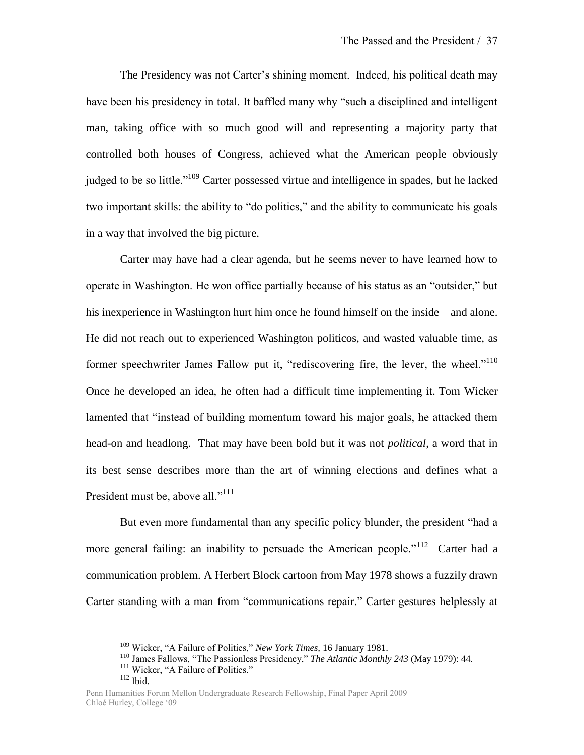The Presidency was not Carter's shining moment. Indeed, his political death may have been his presidency in total. It baffled many why "such a disciplined and intelligent man, taking office with so much good will and representing a majority party that controlled both houses of Congress, achieved what the American people obviously judged to be so little."<sup>109</sup> Carter possessed virtue and intelligence in spades, but he lacked two important skills: the ability to "do politics," and the ability to communicate his goals in a way that involved the big picture.

Carter may have had a clear agenda, but he seems never to have learned how to operate in Washington. He won office partially because of his status as an "outsider," but his inexperience in Washington hurt him once he found himself on the inside – and alone. He did not reach out to experienced Washington politicos, and wasted valuable time, as former speechwriter James Fallow put it, "rediscovering fire, the lever, the wheel."<sup>110</sup> Once he developed an idea, he often had a difficult time implementing it. Tom Wicker lamented that "instead of building momentum toward his major goals, he attacked them head-on and headlong. That may have been bold but it was not *political*, a word that in its best sense describes more than the art of winning elections and defines what a President must be, above all."<sup>111</sup>

But even more fundamental than any specific policy blunder, the president "had a more general failing: an inability to persuade the American people."<sup>112</sup> Carter had a communication problem. A Herbert Block cartoon from May 1978 shows a fuzzily drawn Carter standing with a man from "communications repair." Carter gestures helplessly at

<sup>109</sup> Wicker, "A Failure of Politics," *New York Times,* 16 January 1981.

<sup>110</sup> James Fallows, "The Passionless Presidency," *The Atlantic Monthly 243* (May 1979): 44.

 $111$  Wicker, "A Failure of Politics."

 $112$  Ibid.

Penn Humanities Forum Mellon Undergraduate Research Fellowship, Final Paper April 2009 Chloé Hurley, College "09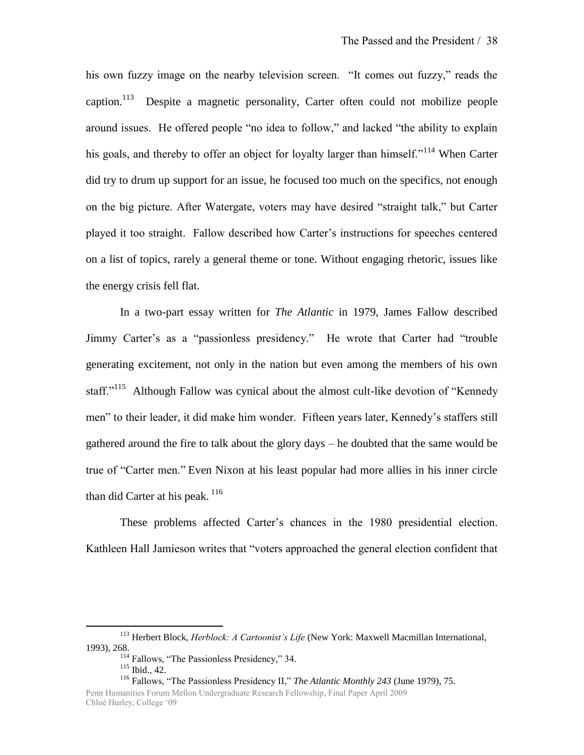his own fuzzy image on the nearby television screen. "It comes out fuzzy," reads the caption.<sup>113</sup> Despite a magnetic personality, Carter often could not mobilize people around issues. He offered people "no idea to follow," and lacked "the ability to explain his goals, and thereby to offer an object for loyalty larger than himself."<sup>114</sup> When Carter did try to drum up support for an issue, he focused too much on the specifics, not enough on the big picture. After Watergate, voters may have desired "straight talk," but Carter played it too straight. Fallow described how Carter"s instructions for speeches centered on a list of topics, rarely a general theme or tone. Without engaging rhetoric, issues like the energy crisis fell flat.

In a two-part essay written for *The Atlantic* in 1979, James Fallow described Jimmy Carter's as a "passionless presidency." He wrote that Carter had "trouble generating excitement, not only in the nation but even among the members of his own staff."<sup>115</sup> Although Fallow was cynical about the almost cult-like devotion of "Kennedy" men" to their leader, it did make him wonder. Fifteen years later, Kennedy"s staffers still gathered around the fire to talk about the glory days – he doubted that the same would be true of "Carter men." Even Nixon at his least popular had more allies in his inner circle than did Carter at his peak.  $116$ 

These problems affected Carter's chances in the 1980 presidential election. Kathleen Hall Jamieson writes that "voters approached the general election confident that

<sup>113</sup> Herbert Block, *Herblock: A Cartoonist's Life* (New York: Maxwell Macmillan International, 1993), 268.

<sup>&</sup>lt;sup>114</sup> Fallows, "The Passionless Presidency," 34.

<sup>115</sup> Ibid., 42.

<sup>116</sup> Fallows, "The Passionless Presidency II," *The Atlantic Monthly 243* (June 1979), 75.

Penn Humanities Forum Mellon Undergraduate Research Fellowship, Final Paper April 2009 Chloé Hurley, College "09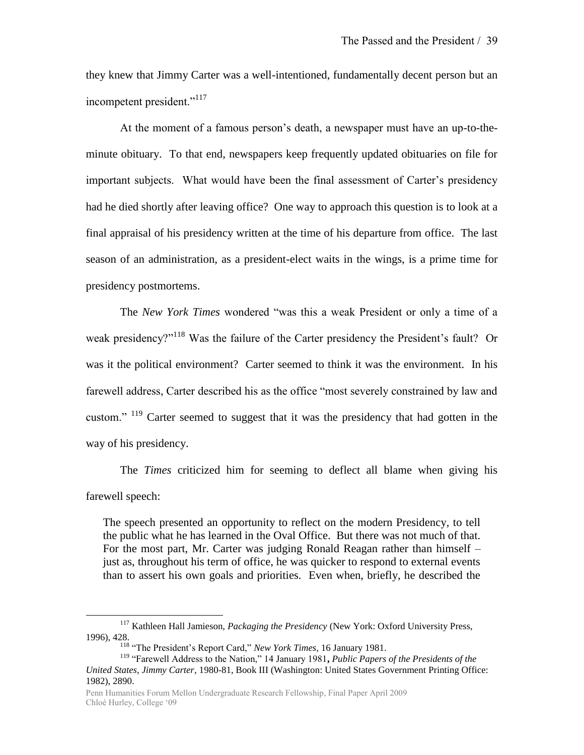they knew that Jimmy Carter was a well-intentioned, fundamentally decent person but an incompetent president."<sup>117</sup>

At the moment of a famous person"s death, a newspaper must have an up-to-theminute obituary. To that end, newspapers keep frequently updated obituaries on file for important subjects. What would have been the final assessment of Carter's presidency had he died shortly after leaving office? One way to approach this question is to look at a final appraisal of his presidency written at the time of his departure from office. The last season of an administration, as a president-elect waits in the wings, is a prime time for presidency postmortems.

The *New York Times* wondered "was this a weak President or only a time of a weak presidency?"<sup>118</sup> Was the failure of the Carter presidency the President's fault? Or was it the political environment? Carter seemed to think it was the environment. In his farewell address, Carter described his as the office "most severely constrained by law and custom." <sup>119</sup> Carter seemed to suggest that it was the presidency that had gotten in the way of his presidency.

The *Times* criticized him for seeming to deflect all blame when giving his farewell speech:

The speech presented an opportunity to reflect on the modern Presidency, to tell the public what he has learned in the Oval Office. But there was not much of that. For the most part, Mr. Carter was judging Ronald Reagan rather than himself – just as, throughout his term of office, he was quicker to respond to external events than to assert his own goals and priorities. Even when, briefly, he described the

<sup>117</sup> Kathleen Hall Jamieson, *Packaging the Presidency* (New York: Oxford University Press, 1996), 428.

<sup>118</sup> "The President"s Report Card," *New York Times,* 16 January 1981.

<sup>119</sup> "Farewell Address to the Nation," 14 January 1981**,** *Public Papers of the Presidents of the United States, Jimmy Carter*, 1980-81, Book III (Washington: United States Government Printing Office: 1982), 2890.

Penn Humanities Forum Mellon Undergraduate Research Fellowship, Final Paper April 2009 Chloé Hurley, College "09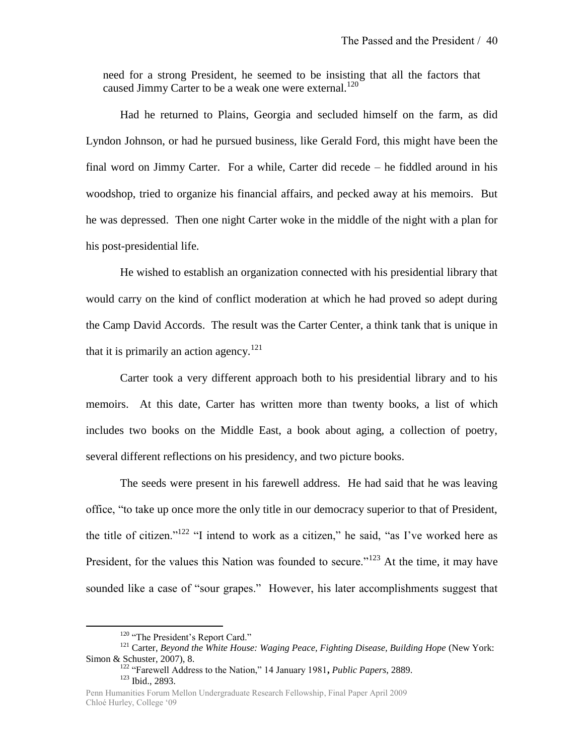need for a strong President, he seemed to be insisting that all the factors that caused Jimmy Carter to be a weak one were external.<sup>120</sup>

Had he returned to Plains, Georgia and secluded himself on the farm, as did Lyndon Johnson, or had he pursued business, like Gerald Ford, this might have been the final word on Jimmy Carter. For a while, Carter did recede – he fiddled around in his woodshop, tried to organize his financial affairs, and pecked away at his memoirs. But he was depressed. Then one night Carter woke in the middle of the night with a plan for his post-presidential life.

He wished to establish an organization connected with his presidential library that would carry on the kind of conflict moderation at which he had proved so adept during the Camp David Accords. The result was the Carter Center, a think tank that is unique in that it is primarily an action agency.<sup>121</sup>

Carter took a very different approach both to his presidential library and to his memoirs. At this date, Carter has written more than twenty books, a list of which includes two books on the Middle East, a book about aging, a collection of poetry, several different reflections on his presidency, and two picture books.

The seeds were present in his farewell address. He had said that he was leaving office, "to take up once more the only title in our democracy superior to that of President, the title of citizen."<sup>122</sup> "I intend to work as a citizen," he said, "as I've worked here as President, for the values this Nation was founded to secure."<sup>123</sup> At the time, it may have sounded like a case of "sour grapes." However, his later accomplishments suggest that

<sup>&</sup>lt;sup>120</sup> "The President's Report Card."

<sup>&</sup>lt;sup>121</sup> Carter, *Beyond the White House: Waging Peace, Fighting Disease, Building Hope* (New York: Simon & Schuster, 2007), 8.

<sup>122</sup> "Farewell Address to the Nation," 14 January 1981**,** *Public Papers*, 2889. <sup>123</sup> Ibid., 2893.

Penn Humanities Forum Mellon Undergraduate Research Fellowship, Final Paper April 2009 Chloé Hurley, College "09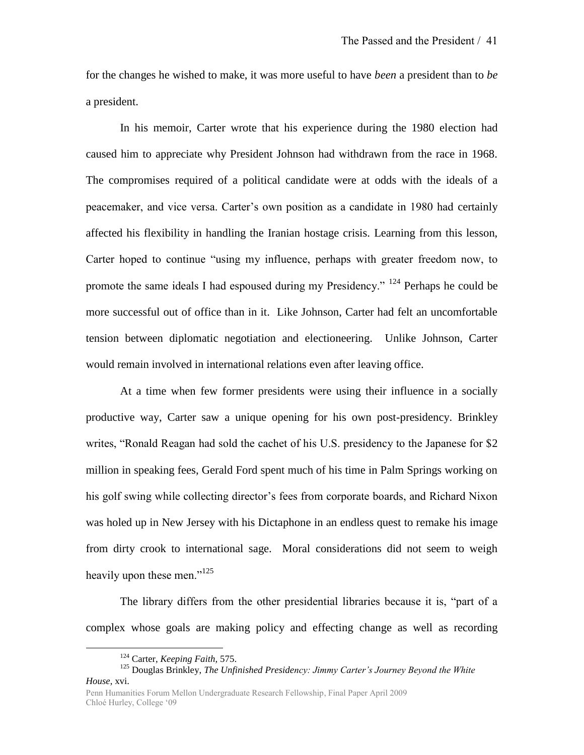for the changes he wished to make, it was more useful to have *been* a president than to *be* a president.

In his memoir, Carter wrote that his experience during the 1980 election had caused him to appreciate why President Johnson had withdrawn from the race in 1968. The compromises required of a political candidate were at odds with the ideals of a peacemaker, and vice versa. Carter"s own position as a candidate in 1980 had certainly affected his flexibility in handling the Iranian hostage crisis. Learning from this lesson, Carter hoped to continue "using my influence, perhaps with greater freedom now, to promote the same ideals I had espoused during my Presidency."  $^{124}$  Perhaps he could be more successful out of office than in it. Like Johnson, Carter had felt an uncomfortable tension between diplomatic negotiation and electioneering. Unlike Johnson, Carter would remain involved in international relations even after leaving office.

At a time when few former presidents were using their influence in a socially productive way, Carter saw a unique opening for his own post-presidency. Brinkley writes, "Ronald Reagan had sold the cachet of his U.S. presidency to the Japanese for \$2 million in speaking fees, Gerald Ford spent much of his time in Palm Springs working on his golf swing while collecting director's fees from corporate boards, and Richard Nixon was holed up in New Jersey with his Dictaphone in an endless quest to remake his image from dirty crook to international sage. Moral considerations did not seem to weigh heavily upon these men."<sup>125</sup>

The library differs from the other presidential libraries because it is, "part of a complex whose goals are making policy and effecting change as well as recording

<sup>124</sup> Carter, *Keeping Faith,* 575.

<sup>125</sup> Douglas Brinkley, *The Unfinished Presidency: Jimmy Carter's Journey Beyond the White House*, xvi.

Penn Humanities Forum Mellon Undergraduate Research Fellowship, Final Paper April 2009 Chloé Hurley, College "09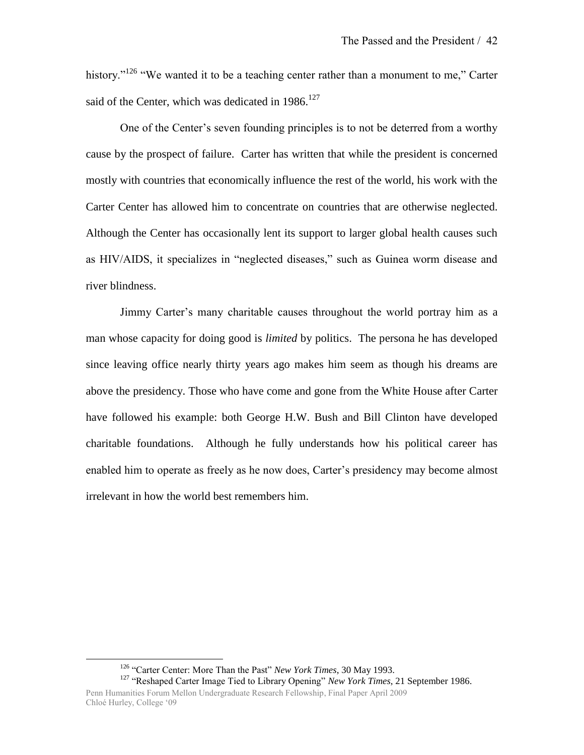history."<sup>126</sup> "We wanted it to be a teaching center rather than a monument to me," Carter said of the Center, which was dedicated in 1986.<sup>127</sup>

One of the Center"s seven founding principles is to not be deterred from a worthy cause by the prospect of failure. Carter has written that while the president is concerned mostly with countries that economically influence the rest of the world, his work with the Carter Center has allowed him to concentrate on countries that are otherwise neglected. Although the Center has occasionally lent its support to larger global health causes such as HIV/AIDS, it specializes in "neglected diseases," such as Guinea worm disease and river blindness.

Jimmy Carter"s many charitable causes throughout the world portray him as a man whose capacity for doing good is *limited* by politics. The persona he has developed since leaving office nearly thirty years ago makes him seem as though his dreams are above the presidency. Those who have come and gone from the White House after Carter have followed his example: both George H.W. Bush and Bill Clinton have developed charitable foundations. Although he fully understands how his political career has enabled him to operate as freely as he now does, Carter"s presidency may become almost irrelevant in how the world best remembers him.

<sup>126</sup> "Carter Center: More Than the Past" *New York Times*, 30 May 1993.

<sup>127</sup> "Reshaped Carter Image Tied to Library Opening" *New York Times*, 21 September 1986.

Penn Humanities Forum Mellon Undergraduate Research Fellowship, Final Paper April 2009 Chloé Hurley, College "09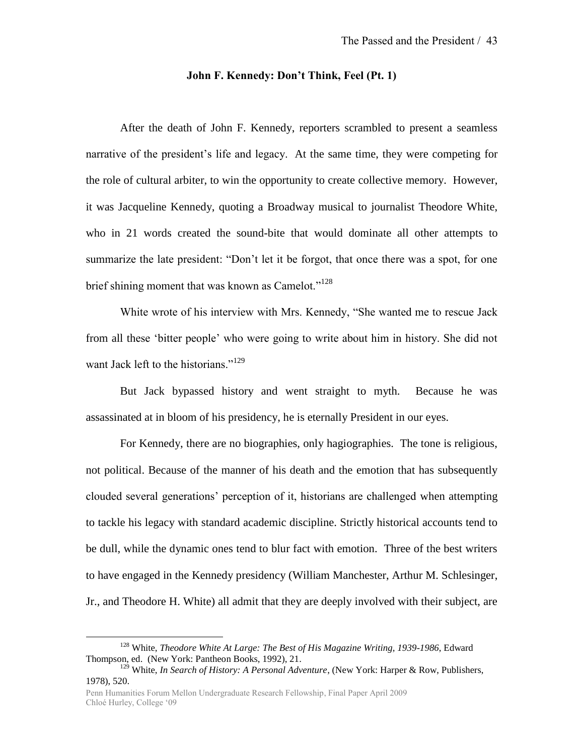### **John F. Kennedy: Don't Think, Feel (Pt. 1)**

After the death of John F. Kennedy, reporters scrambled to present a seamless narrative of the president"s life and legacy. At the same time, they were competing for the role of cultural arbiter, to win the opportunity to create collective memory. However, it was Jacqueline Kennedy, quoting a Broadway musical to journalist Theodore White, who in 21 words created the sound-bite that would dominate all other attempts to summarize the late president: "Don"t let it be forgot, that once there was a spot, for one brief shining moment that was known as Camelot." $128$ 

White wrote of his interview with Mrs. Kennedy, "She wanted me to rescue Jack from all these "bitter people" who were going to write about him in history. She did not want Jack left to the historians."<sup>129</sup>

But Jack bypassed history and went straight to myth. Because he was assassinated at in bloom of his presidency, he is eternally President in our eyes.

For Kennedy, there are no biographies, only hagiographies. The tone is religious, not political. Because of the manner of his death and the emotion that has subsequently clouded several generations" perception of it, historians are challenged when attempting to tackle his legacy with standard academic discipline. Strictly historical accounts tend to be dull, while the dynamic ones tend to blur fact with emotion. Three of the best writers to have engaged in the Kennedy presidency (William Manchester, Arthur M. Schlesinger, Jr., and Theodore H. White) all admit that they are deeply involved with their subject, are

<sup>128</sup> White, *Theodore White At Large: The Best of His Magazine Writing, 1939-1986*, Edward Thompson, ed. (New York: Pantheon Books, 1992), 21.

<sup>&</sup>lt;sup>129</sup> White, *In Search of History: A Personal Adventure*, (New York: Harper & Row, Publishers, 1978), 520.

Penn Humanities Forum Mellon Undergraduate Research Fellowship, Final Paper April 2009 Chloé Hurley, College "09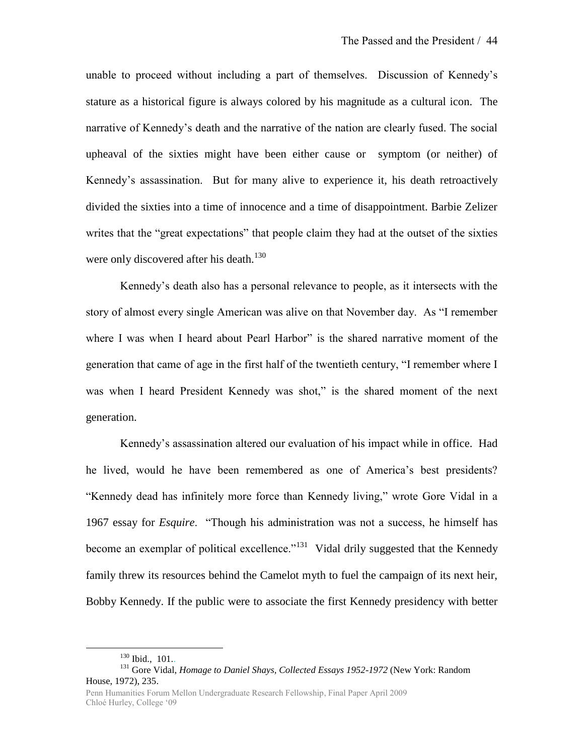unable to proceed without including a part of themselves. Discussion of Kennedy"s stature as a historical figure is always colored by his magnitude as a cultural icon. The narrative of Kennedy"s death and the narrative of the nation are clearly fused. The social upheaval of the sixties might have been either cause or symptom (or neither) of Kennedy"s assassination. But for many alive to experience it, his death retroactively divided the sixties into a time of innocence and a time of disappointment. Barbie Zelizer writes that the "great expectations" that people claim they had at the outset of the sixties were only discovered after his death.<sup>130</sup>

Kennedy"s death also has a personal relevance to people, as it intersects with the story of almost every single American was alive on that November day. As "I remember where I was when I heard about Pearl Harbor" is the shared narrative moment of the generation that came of age in the first half of the twentieth century, "I remember where I was when I heard President Kennedy was shot," is the shared moment of the next generation.

Kennedy"s assassination altered our evaluation of his impact while in office. Had he lived, would he have been remembered as one of America"s best presidents? "Kennedy dead has infinitely more force than Kennedy living," wrote Gore Vidal in a 1967 essay for *Esquire*. "Though his administration was not a success, he himself has become an exemplar of political excellence."<sup>131</sup> Vidal drily suggested that the Kennedy family threw its resources behind the Camelot myth to fuel the campaign of its next heir, Bobby Kennedy. If the public were to associate the first Kennedy presidency with better

<sup>130</sup> Ibid., 101..

<sup>131</sup> Gore Vidal, *Homage to Daniel Shays, Collected Essays 1952-1972* (New York: Random House, 1972), 235.

Penn Humanities Forum Mellon Undergraduate Research Fellowship, Final Paper April 2009 Chloé Hurley, College "09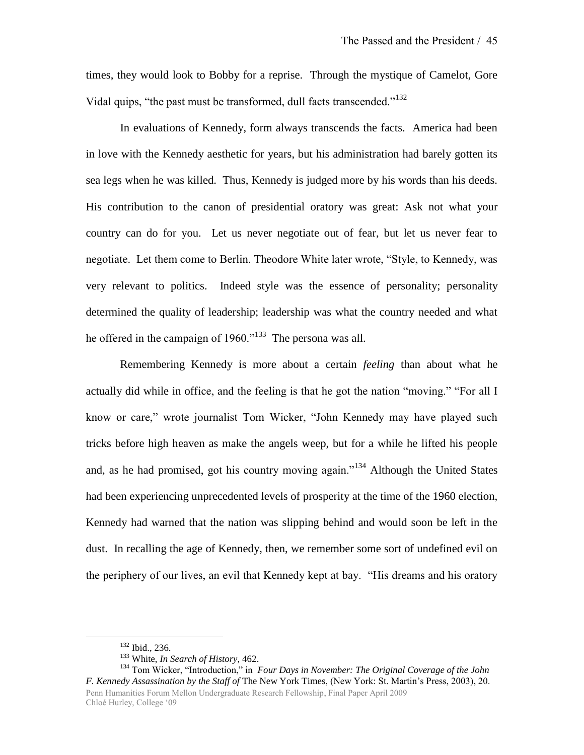times, they would look to Bobby for a reprise. Through the mystique of Camelot, Gore Vidal quips, "the past must be transformed, dull facts transcended."<sup>132</sup>

In evaluations of Kennedy, form always transcends the facts. America had been in love with the Kennedy aesthetic for years, but his administration had barely gotten its sea legs when he was killed. Thus, Kennedy is judged more by his words than his deeds. His contribution to the canon of presidential oratory was great: Ask not what your country can do for you. Let us never negotiate out of fear, but let us never fear to negotiate. Let them come to Berlin. Theodore White later wrote, "Style, to Kennedy, was very relevant to politics. Indeed style was the essence of personality; personality determined the quality of leadership; leadership was what the country needed and what he offered in the campaign of  $1960.^{133}$  The persona was all.

Remembering Kennedy is more about a certain *feeling* than about what he actually did while in office, and the feeling is that he got the nation "moving." "For all I know or care," wrote journalist Tom Wicker, "John Kennedy may have played such tricks before high heaven as make the angels weep, but for a while he lifted his people and, as he had promised, got his country moving again."<sup>134</sup> Although the United States had been experiencing unprecedented levels of prosperity at the time of the 1960 election, Kennedy had warned that the nation was slipping behind and would soon be left in the dust. In recalling the age of Kennedy, then, we remember some sort of undefined evil on the periphery of our lives, an evil that Kennedy kept at bay. "His dreams and his oratory

<sup>132</sup> Ibid., 236.

<sup>133</sup> White, *In Search of History*, 462.

Penn Humanities Forum Mellon Undergraduate Research Fellowship, Final Paper April 2009 Chloé Hurley, College "09 <sup>134</sup> Tom Wicker, "Introduction," in *Four Days in November: The Original Coverage of the John F. Kennedy Assassination by the Staff of* The New York Times, (New York: St. Martin"s Press, 2003), 20.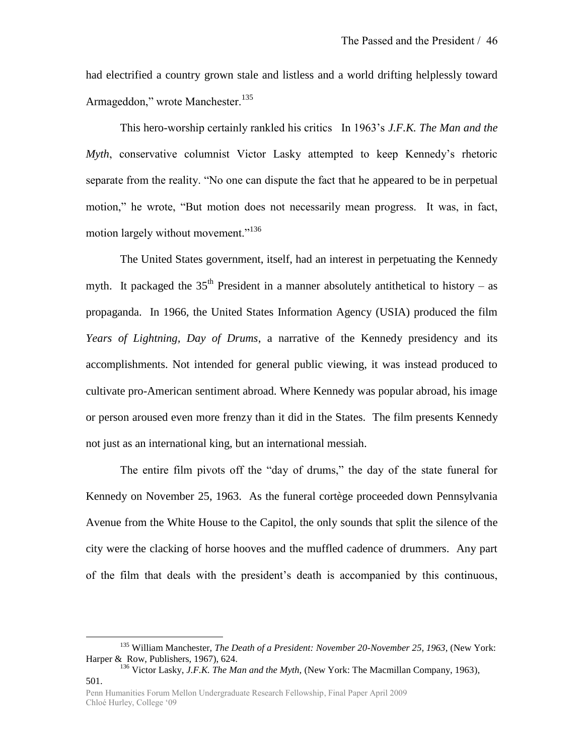had electrified a country grown stale and listless and a world drifting helplessly toward Armageddon," wrote Manchester.<sup>135</sup>

This hero-worship certainly rankled his critics In 1963"s *J.F.K. The Man and the Myth*, conservative columnist Victor Lasky attempted to keep Kennedy"s rhetoric separate from the reality. "No one can dispute the fact that he appeared to be in perpetual motion," he wrote, "But motion does not necessarily mean progress. It was, in fact, motion largely without movement."<sup>136</sup>

The United States government, itself, had an interest in perpetuating the Kennedy myth. It packaged the  $35<sup>th</sup>$  President in a manner absolutely antithetical to history – as propaganda. In 1966, the United States Information Agency (USIA) produced the film *Years of Lightning, Day of Drums*, a narrative of the Kennedy presidency and its accomplishments. Not intended for general public viewing, it was instead produced to cultivate pro-American sentiment abroad. Where Kennedy was popular abroad, his image or person aroused even more frenzy than it did in the States. The film presents Kennedy not just as an international king, but an international messiah.

The entire film pivots off the "day of drums," the day of the state funeral for Kennedy on November 25, 1963. As the funeral cortège proceeded down Pennsylvania Avenue from the White House to the Capitol, the only sounds that split the silence of the city were the clacking of horse hooves and the muffled cadence of drummers. Any part of the film that deals with the president"s death is accompanied by this continuous,

<sup>135</sup> William Manchester, *The Death of a President: November 20-November 25, 1963*, (New York: Harper & Row, Publishers, 1967), 624.

<sup>136</sup> Victor Lasky, *J.F.K. The Man and the Myth,* (New York: The Macmillan Company, 1963), 501.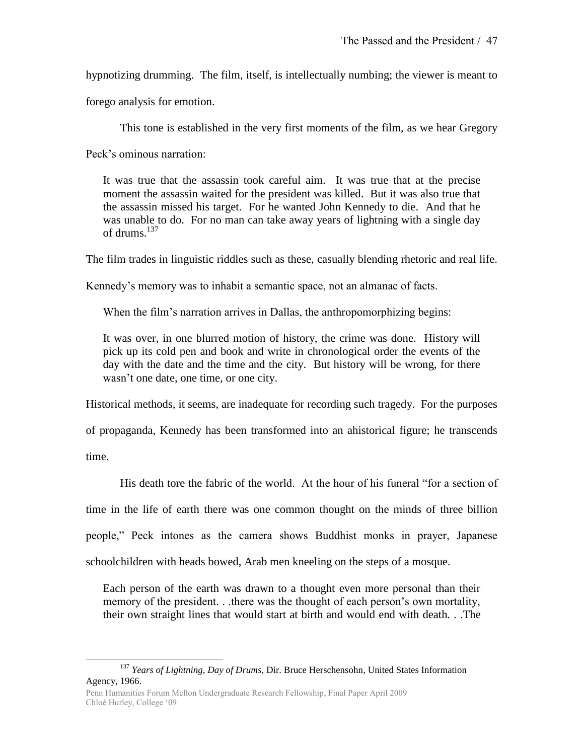hypnotizing drumming. The film, itself, is intellectually numbing; the viewer is meant to

forego analysis for emotion.

This tone is established in the very first moments of the film, as we hear Gregory

Peck's ominous narration:

It was true that the assassin took careful aim. It was true that at the precise moment the assassin waited for the president was killed. But it was also true that the assassin missed his target. For he wanted John Kennedy to die. And that he was unable to do. For no man can take away years of lightning with a single day of drums.<sup>137</sup>

The film trades in linguistic riddles such as these, casually blending rhetoric and real life.

Kennedy"s memory was to inhabit a semantic space, not an almanac of facts.

When the film's narration arrives in Dallas, the anthropomorphizing begins:

It was over, in one blurred motion of history, the crime was done. History will pick up its cold pen and book and write in chronological order the events of the day with the date and the time and the city. But history will be wrong, for there wasn"t one date, one time, or one city.

Historical methods, it seems, are inadequate for recording such tragedy. For the purposes

of propaganda, Kennedy has been transformed into an ahistorical figure; he transcends

time.

 $\overline{a}$ 

His death tore the fabric of the world. At the hour of his funeral "for a section of time in the life of earth there was one common thought on the minds of three billion people," Peck intones as the camera shows Buddhist monks in prayer, Japanese schoolchildren with heads bowed, Arab men kneeling on the steps of a mosque.

Each person of the earth was drawn to a thought even more personal than their memory of the president. . .there was the thought of each person's own mortality, their own straight lines that would start at birth and would end with death. . .The

<sup>137</sup> *Years of Lightning, Day of Drums*, Dir. Bruce Herschensohn, United States Information Agency, 1966.

Penn Humanities Forum Mellon Undergraduate Research Fellowship, Final Paper April 2009 Chloé Hurley, College "09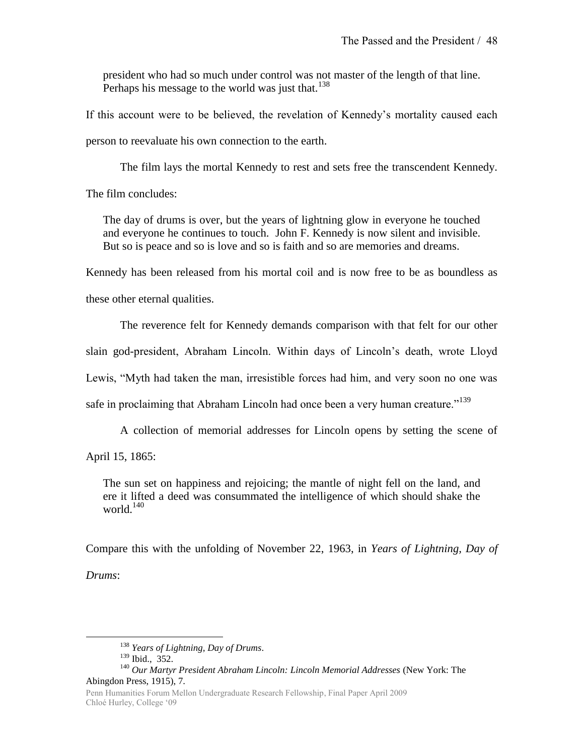president who had so much under control was not master of the length of that line. Perhaps his message to the world was just that.<sup>138</sup>

If this account were to be believed, the revelation of Kennedy"s mortality caused each person to reevaluate his own connection to the earth.

The film lays the mortal Kennedy to rest and sets free the transcendent Kennedy.

The film concludes:

The day of drums is over, but the years of lightning glow in everyone he touched and everyone he continues to touch. John F. Kennedy is now silent and invisible. But so is peace and so is love and so is faith and so are memories and dreams.

Kennedy has been released from his mortal coil and is now free to be as boundless as these other eternal qualities.

The reverence felt for Kennedy demands comparison with that felt for our other slain god-president, Abraham Lincoln. Within days of Lincoln"s death, wrote Lloyd Lewis, "Myth had taken the man, irresistible forces had him, and very soon no one was safe in proclaiming that Abraham Lincoln had once been a very human creature."<sup>139</sup>

A collection of memorial addresses for Lincoln opens by setting the scene of

April 15, 1865:

The sun set on happiness and rejoicing; the mantle of night fell on the land, and ere it lifted a deed was consummated the intelligence of which should shake the world. $^{140}$ 

Compare this with the unfolding of November 22, 1963, in *Years of Lightning, Day of* 

*Drums*:

<sup>138</sup> *Years of Lightning, Day of Drums*.

 $139$  Ibid.,  $352$ .

<sup>140</sup> *Our Martyr President Abraham Lincoln: Lincoln Memorial Addresses* (New York: The Abingdon Press, 1915), 7.

Penn Humanities Forum Mellon Undergraduate Research Fellowship, Final Paper April 2009 Chloé Hurley, College "09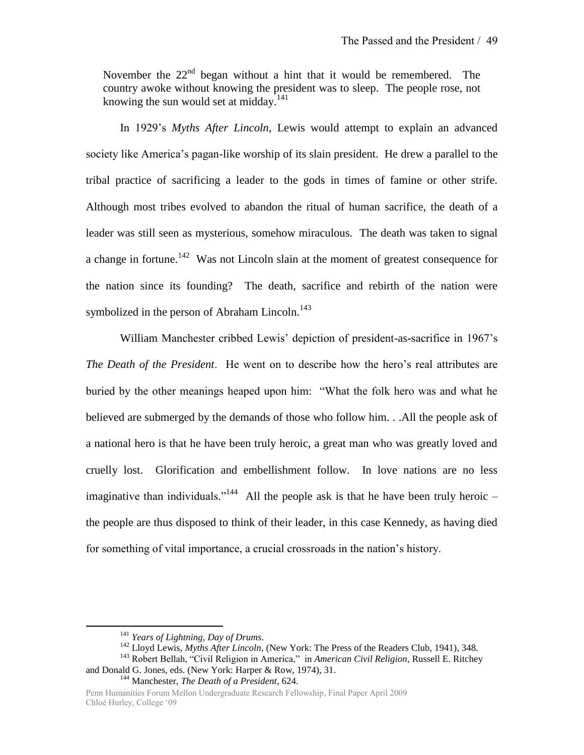November the  $22<sup>nd</sup>$  began without a hint that it would be remembered. The country awoke without knowing the president was to sleep. The people rose, not knowing the sun would set at midday.<sup>141</sup>

In 1929"s *Myths After Lincoln*, Lewis would attempt to explain an advanced society like America"s pagan-like worship of its slain president. He drew a parallel to the tribal practice of sacrificing a leader to the gods in times of famine or other strife. Although most tribes evolved to abandon the ritual of human sacrifice, the death of a leader was still seen as mysterious, somehow miraculous. The death was taken to signal a change in fortune.<sup>142</sup> Was not Lincoln slain at the moment of greatest consequence for the nation since its founding? The death, sacrifice and rebirth of the nation were symbolized in the person of Abraham Lincoln.<sup>143</sup>

William Manchester cribbed Lewis' depiction of president-as-sacrifice in 1967's *The Death of the President*. He went on to describe how the hero"s real attributes are buried by the other meanings heaped upon him: "What the folk hero was and what he believed are submerged by the demands of those who follow him. . .All the people ask of a national hero is that he have been truly heroic, a great man who was greatly loved and cruelly lost. Glorification and embellishment follow. In love nations are no less imaginative than individuals."<sup>144</sup> All the people ask is that he have been truly heroic  $$ the people are thus disposed to think of their leader, in this case Kennedy, as having died for something of vital importance, a crucial crossroads in the nation"s history.

<sup>141</sup> *Years of Lightning, Day of Drums*.

<sup>142</sup> Lloyd Lewis, *Myths After Lincoln*, (New York: The Press of the Readers Club, 1941), 348.

<sup>143</sup> Robert Bellah, "Civil Religion in America," in *American Civil Religion*, Russell E. Ritchey and Donald G. Jones, eds. (New York: Harper & Row, 1974), 31.

<sup>144</sup> Manchester, *The Death of a President*, 624.

Penn Humanities Forum Mellon Undergraduate Research Fellowship, Final Paper April 2009 Chloé Hurley, College "09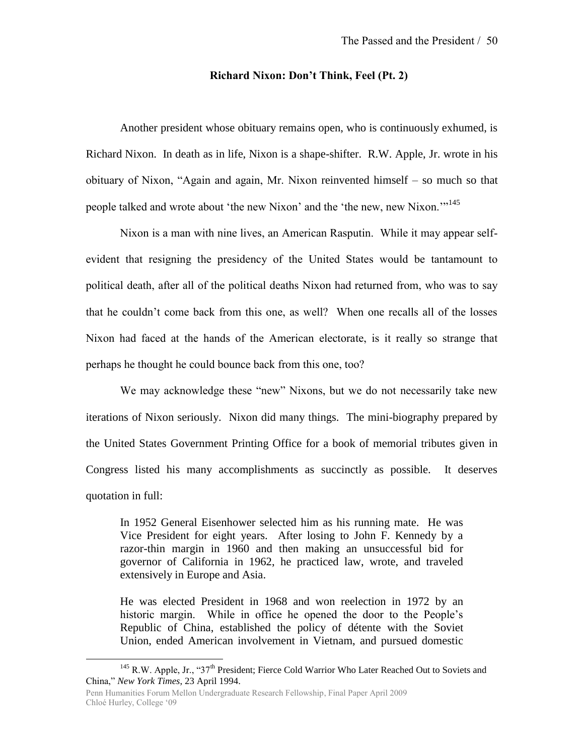### **Richard Nixon: Don't Think, Feel (Pt. 2)**

Another president whose obituary remains open, who is continuously exhumed, is Richard Nixon. In death as in life, Nixon is a shape-shifter. R.W. Apple, Jr. wrote in his obituary of Nixon, "Again and again, Mr. Nixon reinvented himself – so much so that people talked and wrote about 'the new Nixon' and the 'the new, new Nixon."<sup>145</sup>

Nixon is a man with nine lives, an American Rasputin. While it may appear selfevident that resigning the presidency of the United States would be tantamount to political death, after all of the political deaths Nixon had returned from, who was to say that he couldn"t come back from this one, as well? When one recalls all of the losses Nixon had faced at the hands of the American electorate, is it really so strange that perhaps he thought he could bounce back from this one, too?

We may acknowledge these "new" Nixons, but we do not necessarily take new iterations of Nixon seriously.Nixon did many things. The mini-biography prepared by the United States Government Printing Office for a book of memorial tributes given in Congress listed his many accomplishments as succinctly as possible. It deserves quotation in full:

In 1952 General Eisenhower selected him as his running mate. He was Vice President for eight years. After losing to John F. Kennedy by a razor-thin margin in 1960 and then making an unsuccessful bid for governor of California in 1962, he practiced law, wrote, and traveled extensively in Europe and Asia.

He was elected President in 1968 and won reelection in 1972 by an historic margin. While in office he opened the door to the People's Republic of China, established the policy of détente with the Soviet Union, ended American involvement in Vietnam, and pursued domestic

 $145$  R.W. Apple, Jr., "37<sup>th</sup> President; Fierce Cold Warrior Who Later Reached Out to Soviets and China," *New York Times*, 23 April 1994.

Penn Humanities Forum Mellon Undergraduate Research Fellowship, Final Paper April 2009 Chloé Hurley, College "09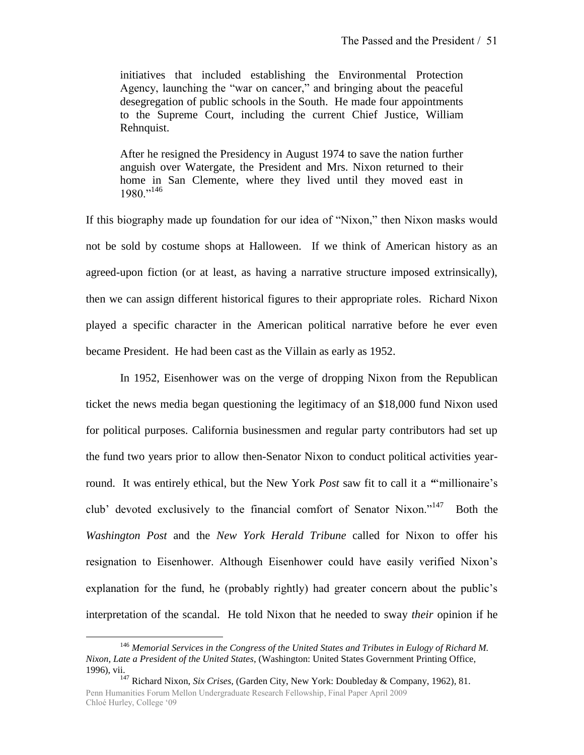initiatives that included establishing the Environmental Protection Agency, launching the "war on cancer," and bringing about the peaceful desegregation of public schools in the South. He made four appointments to the Supreme Court, including the current Chief Justice, William Rehnquist.

After he resigned the Presidency in August 1974 to save the nation further anguish over Watergate, the President and Mrs. Nixon returned to their home in San Clemente, where they lived until they moved east in  $1980 \cdot 146$ 

If this biography made up foundation for our idea of "Nixon," then Nixon masks would not be sold by costume shops at Halloween. If we think of American history as an agreed-upon fiction (or at least, as having a narrative structure imposed extrinsically), then we can assign different historical figures to their appropriate roles. Richard Nixon played a specific character in the American political narrative before he ever even became President. He had been cast as the Villain as early as 1952.

In 1952, Eisenhower was on the verge of dropping Nixon from the Republican ticket the news media began questioning the legitimacy of an \$18,000 fund Nixon used for political purposes. California businessmen and regular party contributors had set up the fund two years prior to allow then-Senator Nixon to conduct political activities yearround. It was entirely ethical, but the New York *Post* saw fit to call it a *"*"millionaire"s club' devoted exclusively to the financial comfort of Senator Nixon."<sup>147</sup> Both the *Washington Post* and the *New York Herald Tribune* called for Nixon to offer his resignation to Eisenhower. Although Eisenhower could have easily verified Nixon"s explanation for the fund, he (probably rightly) had greater concern about the public"s interpretation of the scandal. He told Nixon that he needed to sway *their* opinion if he

<sup>146</sup> *Memorial Services in the Congress of the United States and Tributes in Eulogy of Richard M. Nixon, Late a President of the United States*, (Washington: United States Government Printing Office, 1996), vii.

Penn Humanities Forum Mellon Undergraduate Research Fellowship, Final Paper April 2009 Chloé Hurley, College "09 <sup>147</sup> Richard Nixon, *Six Crises*, (Garden City, New York: Doubleday & Company, 1962), 81.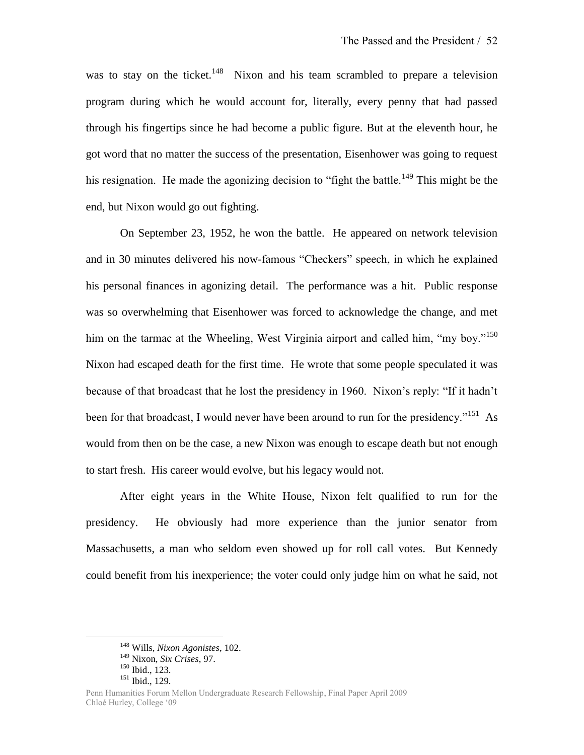was to stay on the ticket.<sup>148</sup> Nixon and his team scrambled to prepare a television program during which he would account for, literally, every penny that had passed through his fingertips since he had become a public figure. But at the eleventh hour, he got word that no matter the success of the presentation, Eisenhower was going to request his resignation. He made the agonizing decision to "fight the battle.<sup>149</sup> This might be the end, but Nixon would go out fighting.

On September 23, 1952, he won the battle. He appeared on network television and in 30 minutes delivered his now-famous "Checkers" speech, in which he explained his personal finances in agonizing detail. The performance was a hit. Public response was so overwhelming that Eisenhower was forced to acknowledge the change, and met him on the tarmac at the Wheeling, West Virginia airport and called him, "my boy."<sup>150</sup> Nixon had escaped death for the first time. He wrote that some people speculated it was because of that broadcast that he lost the presidency in 1960. Nixon"s reply: "If it hadn"t been for that broadcast, I would never have been around to run for the presidency."<sup>151</sup> As would from then on be the case, a new Nixon was enough to escape death but not enough to start fresh. His career would evolve, but his legacy would not.

After eight years in the White House, Nixon felt qualified to run for the presidency. He obviously had more experience than the junior senator from Massachusetts, a man who seldom even showed up for roll call votes. But Kennedy could benefit from his inexperience; the voter could only judge him on what he said, not

<sup>148</sup> Wills, *Nixon Agonistes*, 102.

<sup>149</sup> Nixon, *Six Crises*, 97.

<sup>150</sup> Ibid., 123.

<sup>151</sup> Ibid., 129.

Penn Humanities Forum Mellon Undergraduate Research Fellowship, Final Paper April 2009 Chloé Hurley, College "09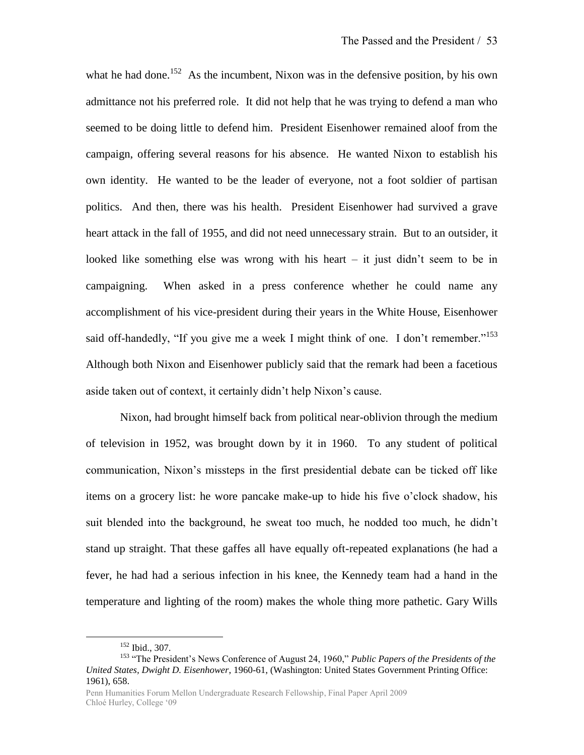what he had done.<sup>152</sup> As the incumbent, Nixon was in the defensive position, by his own admittance not his preferred role. It did not help that he was trying to defend a man who seemed to be doing little to defend him. President Eisenhower remained aloof from the campaign, offering several reasons for his absence. He wanted Nixon to establish his own identity. He wanted to be the leader of everyone, not a foot soldier of partisan politics. And then, there was his health. President Eisenhower had survived a grave heart attack in the fall of 1955, and did not need unnecessary strain. But to an outsider, it looked like something else was wrong with his heart  $-$  it just didn't seem to be in campaigning. When asked in a press conference whether he could name any accomplishment of his vice-president during their years in the White House, Eisenhower said off-handedly, "If you give me a week I might think of one. I don't remember."<sup>153</sup> Although both Nixon and Eisenhower publicly said that the remark had been a facetious aside taken out of context, it certainly didn"t help Nixon"s cause.

Nixon, had brought himself back from political near-oblivion through the medium of television in 1952, was brought down by it in 1960. To any student of political communication, Nixon"s missteps in the first presidential debate can be ticked off like items on a grocery list: he wore pancake make-up to hide his five o"clock shadow, his suit blended into the background, he sweat too much, he nodded too much, he didn"t stand up straight. That these gaffes all have equally oft-repeated explanations (he had a fever, he had had a serious infection in his knee, the Kennedy team had a hand in the temperature and lighting of the room) makes the whole thing more pathetic. Gary Wills

<sup>152</sup> Ibid., 307.

<sup>153</sup> "The President"s News Conference of August 24, 1960," *Public Papers of the Presidents of the United States, Dwight D. Eisenhower*, 1960-61, (Washington: United States Government Printing Office: 1961), 658.

Penn Humanities Forum Mellon Undergraduate Research Fellowship, Final Paper April 2009 Chloé Hurley, College "09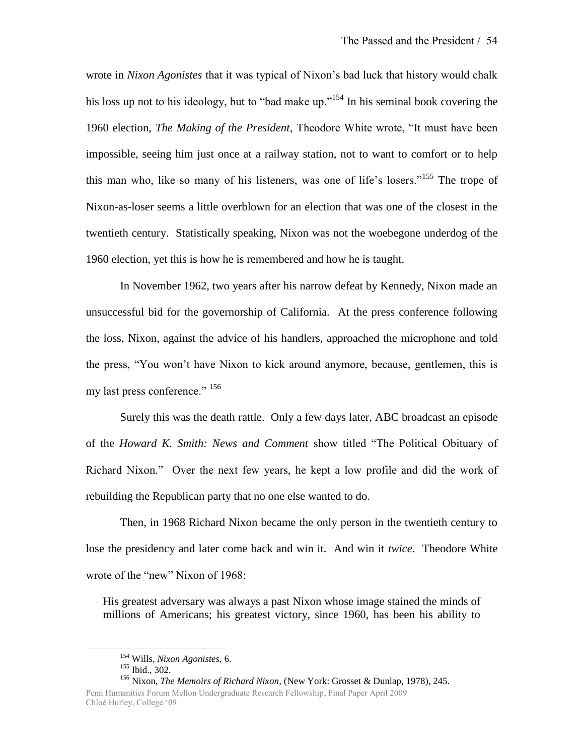wrote in *Nixon Agonistes* that it was typical of Nixon"s bad luck that history would chalk his loss up not to his ideology, but to "bad make up."<sup>154</sup> In his seminal book covering the 1960 election, *The Making of the President*, Theodore White wrote, "It must have been impossible, seeing him just once at a railway station, not to want to comfort or to help this man who, like so many of his listeners, was one of life's losers."<sup>155</sup> The trope of Nixon-as-loser seems a little overblown for an election that was one of the closest in the twentieth century. Statistically speaking, Nixon was not the woebegone underdog of the 1960 election, yet this is how he is remembered and how he is taught.

In November 1962, two years after his narrow defeat by Kennedy, Nixon made an unsuccessful bid for the governorship of California. At the press conference following the loss, Nixon, against the advice of his handlers, approached the microphone and told the press, "You won"t have Nixon to kick around anymore, because, gentlemen, this is my last press conference." <sup>156</sup>

Surely this was the death rattle. Only a few days later, ABC broadcast an episode of the *Howard K. Smith: News and Comment* show titled "The Political Obituary of Richard Nixon." Over the next few years, he kept a low profile and did the work of rebuilding the Republican party that no one else wanted to do.

Then, in 1968 Richard Nixon became the only person in the twentieth century to lose the presidency and later come back and win it. And win it *twice*.Theodore White wrote of the "new" Nixon of 1968:

His greatest adversary was always a past Nixon whose image stained the minds of millions of Americans; his greatest victory, since 1960, has been his ability to

<sup>154</sup> Wills, *Nixon Agonistes*, 6.

<sup>155</sup> Ibid., 302.

Penn Humanities Forum Mellon Undergraduate Research Fellowship, Final Paper April 2009 <sup>156</sup> Nixon, *The Memoirs of Richard Nixon*, (New York: Grosset & Dunlap, 1978), 245.

Chloé Hurley, College "09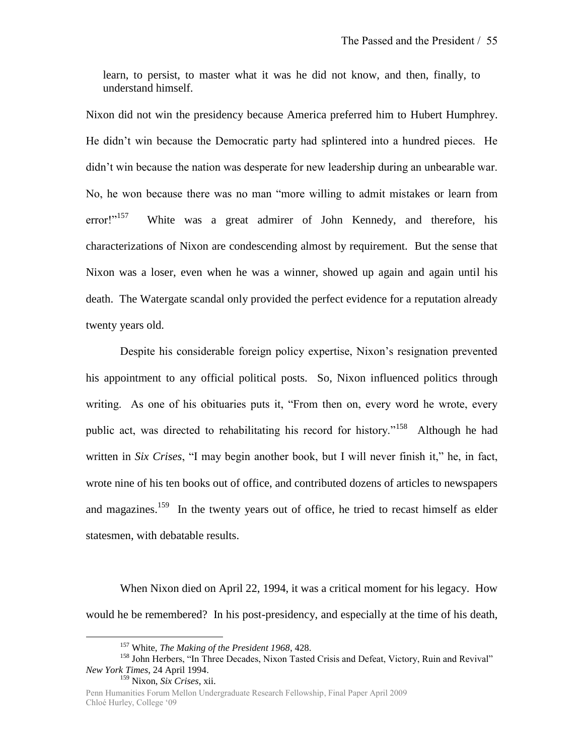learn, to persist, to master what it was he did not know, and then, finally, to understand himself.

Nixon did not win the presidency because America preferred him to Hubert Humphrey. He didn"t win because the Democratic party had splintered into a hundred pieces. He didn't win because the nation was desperate for new leadership during an unbearable war. No, he won because there was no man "more willing to admit mistakes or learn from error!" $^{157}$  White was a great admirer of John Kennedy, and therefore, his characterizations of Nixon are condescending almost by requirement. But the sense that Nixon was a loser, even when he was a winner, showed up again and again until his death. The Watergate scandal only provided the perfect evidence for a reputation already twenty years old.

Despite his considerable foreign policy expertise, Nixon's resignation prevented his appointment to any official political posts. So, Nixon influenced politics through writing. As one of his obituaries puts it, "From then on, every word he wrote, every public act, was directed to rehabilitating his record for history."<sup>158</sup> Although he had written in *Six Crises*, "I may begin another book, but I will never finish it," he, in fact, wrote nine of his ten books out of office, and contributed dozens of articles to newspapers and magazines.<sup>159</sup> In the twenty years out of office, he tried to recast himself as elder statesmen, with debatable results.

When Nixon died on April 22, 1994, it was a critical moment for his legacy. How would he be remembered? In his post-presidency, and especially at the time of his death,

<sup>157</sup> White, *The Making of the President 1968*, 428.

<sup>&</sup>lt;sup>158</sup> John Herbers, "In Three Decades, Nixon Tasted Crisis and Defeat, Victory, Ruin and Revival" *New York Times*, 24 April 1994.

<sup>159</sup> Nixon, *Six Crises*, xii.

Penn Humanities Forum Mellon Undergraduate Research Fellowship, Final Paper April 2009 Chloé Hurley, College "09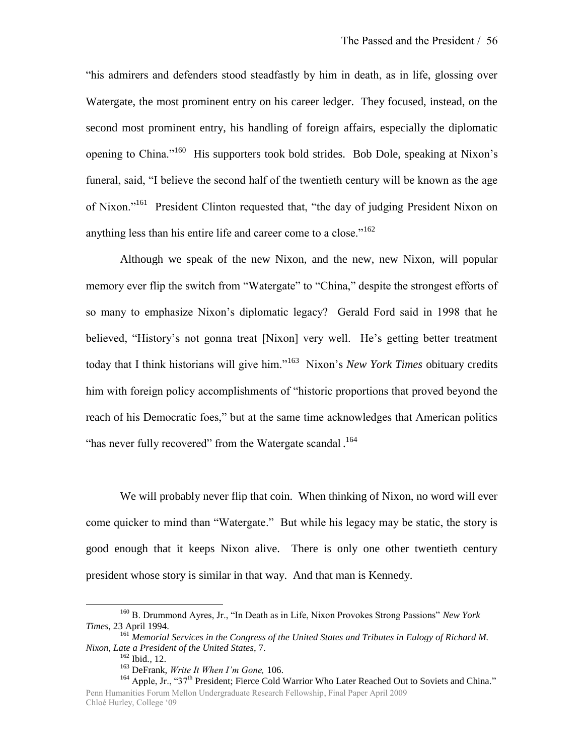"his admirers and defenders stood steadfastly by him in death, as in life, glossing over Watergate, the most prominent entry on his career ledger. They focused, instead, on the second most prominent entry, his handling of foreign affairs, especially the diplomatic opening to China."<sup>160</sup> His supporters took bold strides. Bob Dole, speaking at Nixon's funeral, said, "I believe the second half of the twentieth century will be known as the age of Nixon."<sup>161</sup> President Clinton requested that, "the day of judging President Nixon on anything less than his entire life and career come to a close."<sup>162</sup>

Although we speak of the new Nixon, and the new, new Nixon, will popular memory ever flip the switch from "Watergate" to "China," despite the strongest efforts of so many to emphasize Nixon's diplomatic legacy? Gerald Ford said in 1998 that he believed, "History's not gonna treat [Nixon] very well. He's getting better treatment today that I think historians will give him."<sup>163</sup> Nixon's *New York Times* obituary credits him with foreign policy accomplishments of "historic proportions that proved beyond the reach of his Democratic foes," but at the same time acknowledges that American politics "has never fully recovered" from the Watergate scandal.<sup>164</sup>

We will probably never flip that coin. When thinking of Nixon, no word will ever come quicker to mind than "Watergate." But while his legacy may be static, the story is good enough that it keeps Nixon alive. There is only one other twentieth century president whose story is similar in that way. And that man is Kennedy.

<sup>160</sup> B. Drummond Ayres, Jr., "In Death as in Life, Nixon Provokes Strong Passions" *New York Times*, 23 April 1994.

<sup>&</sup>lt;sup>161</sup> Memorial Services in the Congress of the United States and Tributes in Eulogy of Richard M. *Nixon, Late a President of the United States*, 7.

<sup>162</sup> Ibid*.,* 12.

<sup>163</sup> DeFrank, *Write It When I'm Gone,* 106.

Penn Humanities Forum Mellon Undergraduate Research Fellowship, Final Paper April 2009 Chloé Hurley, College "09 <sup>164</sup> Apple, Jr., "37<sup>th</sup> President; Fierce Cold Warrior Who Later Reached Out to Soviets and China."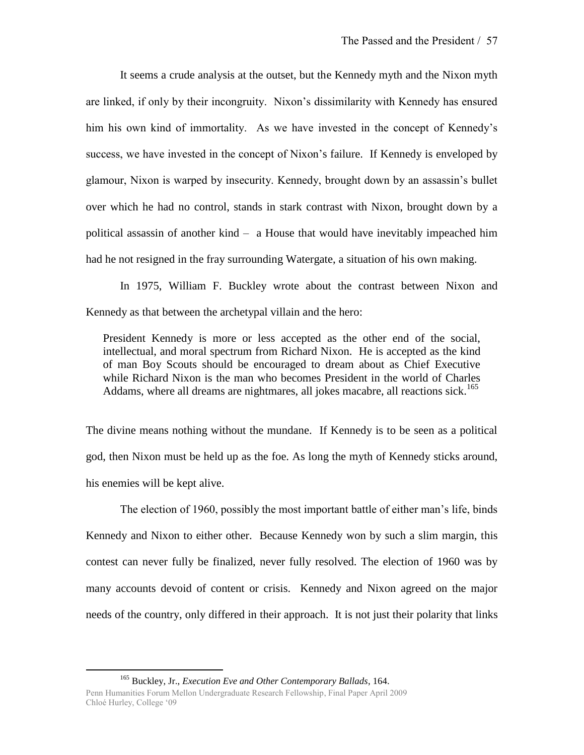It seems a crude analysis at the outset, but the Kennedy myth and the Nixon myth are linked, if only by their incongruity. Nixon"s dissimilarity with Kennedy has ensured him his own kind of immortality. As we have invested in the concept of Kennedy's success, we have invested in the concept of Nixon"s failure. If Kennedy is enveloped by glamour, Nixon is warped by insecurity. Kennedy, brought down by an assassin"s bullet over which he had no control, stands in stark contrast with Nixon, brought down by a political assassin of another kind – a House that would have inevitably impeached him had he not resigned in the fray surrounding Watergate, a situation of his own making.

In 1975, William F. Buckley wrote about the contrast between Nixon and Kennedy as that between the archetypal villain and the hero:

President Kennedy is more or less accepted as the other end of the social, intellectual, and moral spectrum from Richard Nixon. He is accepted as the kind of man Boy Scouts should be encouraged to dream about as Chief Executive while Richard Nixon is the man who becomes President in the world of Charles Addams, where all dreams are nightmares, all jokes macabre, all reactions sick.<sup>165</sup>

The divine means nothing without the mundane. If Kennedy is to be seen as a political god, then Nixon must be held up as the foe. As long the myth of Kennedy sticks around, his enemies will be kept alive.

The election of 1960, possibly the most important battle of either man"s life, binds Kennedy and Nixon to either other. Because Kennedy won by such a slim margin, this contest can never fully be finalized, never fully resolved. The election of 1960 was by many accounts devoid of content or crisis. Kennedy and Nixon agreed on the major needs of the country, only differed in their approach. It is not just their polarity that links

<sup>165</sup> Buckley, Jr., *Execution Eve and Other Contemporary Ballads*, 164.

Penn Humanities Forum Mellon Undergraduate Research Fellowship, Final Paper April 2009 Chloé Hurley, College "09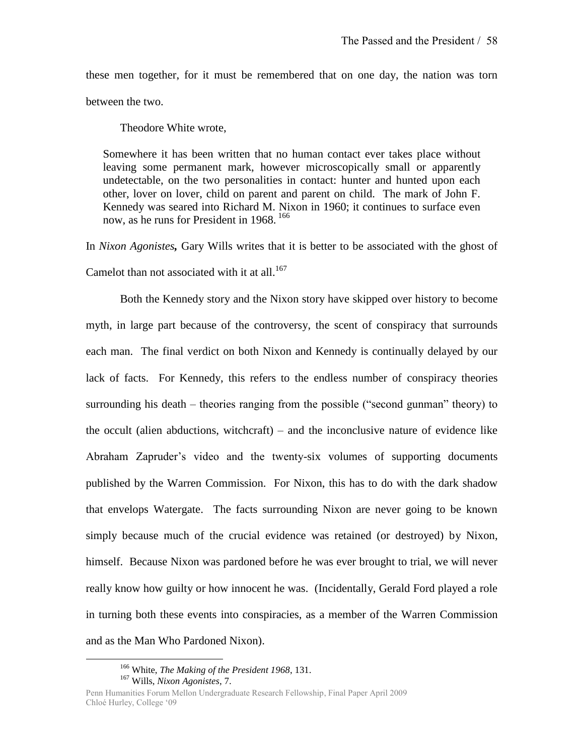these men together, for it must be remembered that on one day, the nation was torn between the two.

Theodore White wrote,

Somewhere it has been written that no human contact ever takes place without leaving some permanent mark, however microscopically small or apparently undetectable, on the two personalities in contact: hunter and hunted upon each other, lover on lover, child on parent and parent on child. The mark of John F. Kennedy was seared into Richard M. Nixon in 1960; it continues to surface even now, as he runs for President in 1968.<sup>166</sup>

In *Nixon Agonistes,* Gary Wills writes that it is better to be associated with the ghost of Camelot than not associated with it at all.<sup>167</sup>

Both the Kennedy story and the Nixon story have skipped over history to become myth, in large part because of the controversy, the scent of conspiracy that surrounds each man.The final verdict on both Nixon and Kennedy is continually delayed by our lack of facts. For Kennedy, this refers to the endless number of conspiracy theories surrounding his death – theories ranging from the possible ("second gunman" theory) to the occult (alien abductions, witchcraft) – and the inconclusive nature of evidence like Abraham Zapruder"s video and the twenty-six volumes of supporting documents published by the Warren Commission. For Nixon, this has to do with the dark shadow that envelops Watergate. The facts surrounding Nixon are never going to be known simply because much of the crucial evidence was retained (or destroyed) by Nixon, himself. Because Nixon was pardoned before he was ever brought to trial, we will never really know how guilty or how innocent he was. (Incidentally, Gerald Ford played a role in turning both these events into conspiracies, as a member of the Warren Commission and as the Man Who Pardoned Nixon).

<sup>166</sup> White, *The Making of the President 1968*, 131.

<sup>167</sup> Wills, *Nixon Agonistes*, 7.

Penn Humanities Forum Mellon Undergraduate Research Fellowship, Final Paper April 2009 Chloé Hurley, College "09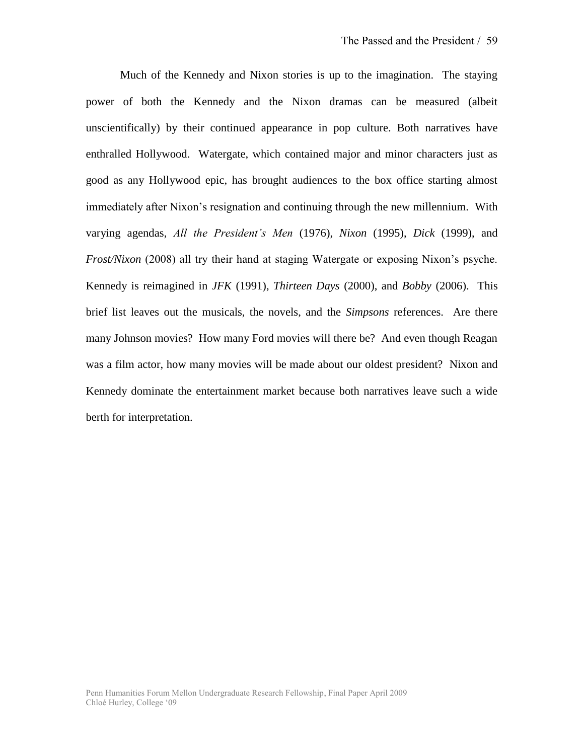Much of the Kennedy and Nixon stories is up to the imagination. The staying power of both the Kennedy and the Nixon dramas can be measured (albeit unscientifically) by their continued appearance in pop culture. Both narratives have enthralled Hollywood. Watergate, which contained major and minor characters just as good as any Hollywood epic, has brought audiences to the box office starting almost immediately after Nixon's resignation and continuing through the new millennium. With varying agendas, *All the President's Men* (1976), *Nixon* (1995), *Dick* (1999), and *Frost/Nixon* (2008) all try their hand at staging Watergate or exposing Nixon's psyche. Kennedy is reimagined in *JFK* (1991), *Thirteen Days* (2000), and *Bobby* (2006). This brief list leaves out the musicals, the novels, and the *Simpsons* references. Are there many Johnson movies? How many Ford movies will there be? And even though Reagan was a film actor, how many movies will be made about our oldest president? Nixon and Kennedy dominate the entertainment market because both narratives leave such a wide berth for interpretation.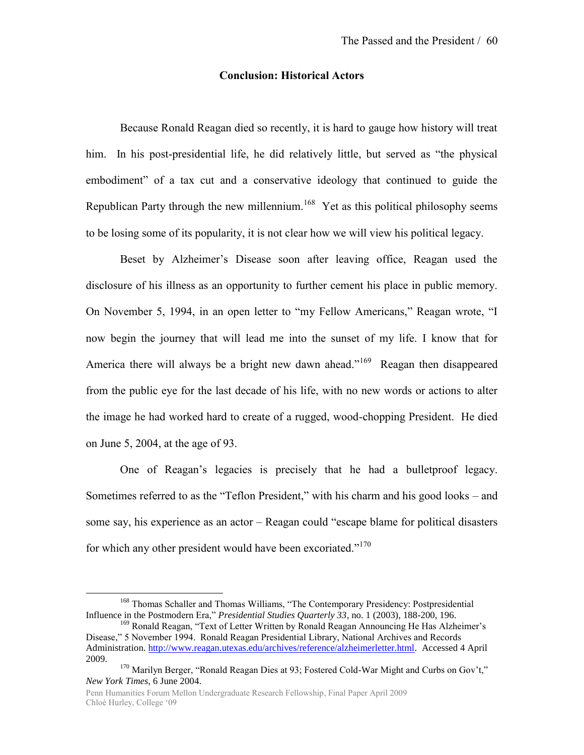# **Conclusion: Historical Actors**

Because Ronald Reagan died so recently, it is hard to gauge how history will treat him. In his post-presidential life, he did relatively little, but served as "the physical embodiment" of a tax cut and a conservative ideology that continued to guide the Republican Party through the new millennium.<sup>168</sup> Yet as this political philosophy seems to be losing some of its popularity, it is not clear how we will view his political legacy.

Beset by Alzheimer's Disease soon after leaving office, Reagan used the disclosure of his illness as an opportunity to further cement his place in public memory. On November 5, 1994, in an open letter to "my Fellow Americans," Reagan wrote, "I now begin the journey that will lead me into the sunset of my life. I know that for America there will always be a bright new dawn ahead."<sup>169</sup> Reagan then disappeared from the public eye for the last decade of his life, with no new words or actions to alter the image he had worked hard to create of a rugged, wood-chopping President. He died on June 5, 2004, at the age of 93.

One of Reagan"s legacies is precisely that he had a bulletproof legacy. Sometimes referred to as the "Teflon President," with his charm and his good looks – and some say, his experience as an actor – Reagan could "escape blame for political disasters for which any other president would have been excoriated."<sup>170</sup>

<sup>168</sup> Thomas Schaller and Thomas Williams, "The Contemporary Presidency: Postpresidential Influence in the Postmodern Era," *Presidential Studies Quarterly 33*, no. 1 (2003), 188-200, 196.

<sup>&</sup>lt;sup>169</sup> Ronald Reagan, "Text of Letter Written by Ronald Reagan Announcing He Has Alzheimer's Disease," 5 November 1994. Ronald Reagan Presidential Library, National Archives and Records Administration. [http://www.reagan.utexas.edu/archives/reference/alzheimerletter.html.](http://www.reagan.utexas.edu/archives/reference/alzheimerletter.html) Accessed 4 April 2009.

<sup>&</sup>lt;sup>170</sup> Marilyn Berger, "Ronald Reagan Dies at 93; Fostered Cold-War Might and Curbs on Gov't," *New York Times*, 6 June 2004.

Penn Humanities Forum Mellon Undergraduate Research Fellowship, Final Paper April 2009 Chloé Hurley, College "09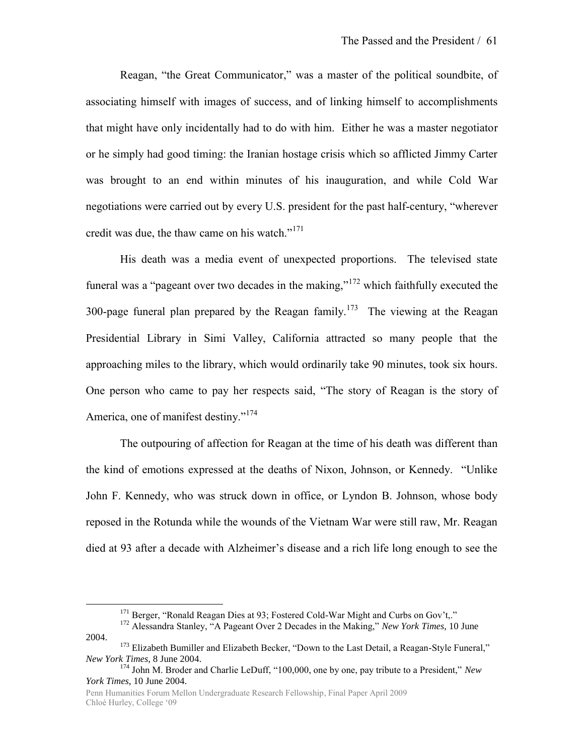Reagan, "the Great Communicator," was a master of the political soundbite, of associating himself with images of success, and of linking himself to accomplishments that might have only incidentally had to do with him. Either he was a master negotiator or he simply had good timing: the Iranian hostage crisis which so afflicted Jimmy Carter was brought to an end within minutes of his inauguration, and while Cold War negotiations were carried out by every U.S. president for the past half-century, "wherever credit was due, the thaw came on his watch."<sup>171</sup>

His death was a media event of unexpected proportions. The televised state funeral was a "pageant over two decades in the making,"<sup>172</sup> which faithfully executed the 300-page funeral plan prepared by the Reagan family.<sup>173</sup> The viewing at the Reagan Presidential Library in Simi Valley, California attracted so many people that the approaching miles to the library, which would ordinarily take 90 minutes, took six hours. One person who came to pay her respects said, "The story of Reagan is the story of America, one of manifest destiny."<sup>174</sup>

The outpouring of affection for Reagan at the time of his death was different than the kind of emotions expressed at the deaths of Nixon, Johnson, or Kennedy. "Unlike John F. Kennedy, who was struck down in office, or Lyndon B. Johnson, whose body reposed in the Rotunda while the wounds of the Vietnam War were still raw, Mr. Reagan died at 93 after a decade with Alzheimer's disease and a rich life long enough to see the

 $171$  Berger, "Ronald Reagan Dies at 93; Fostered Cold-War Might and Curbs on Gov't,."

<sup>172</sup> Alessandra Stanley, "A Pageant Over 2 Decades in the Making," *New York Times*, 10 June 2004.

<sup>&</sup>lt;sup>173</sup> Elizabeth Bumiller and Elizabeth Becker, "Down to the Last Detail, a Reagan-Style Funeral," *New York Times*, 8 June 2004.

<sup>174</sup> John M. Broder and Charlie LeDuff, "100,000, one by one, pay tribute to a President," *New York Times*, 10 June 2004.

Penn Humanities Forum Mellon Undergraduate Research Fellowship, Final Paper April 2009 Chloé Hurley, College "09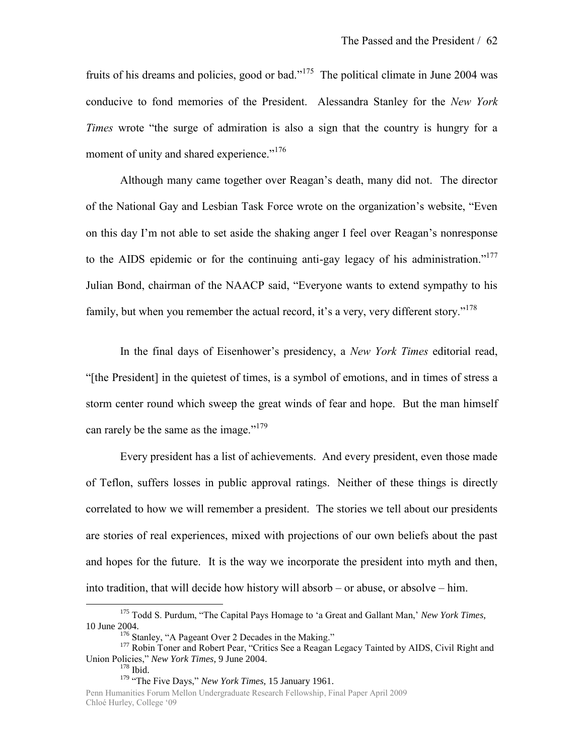fruits of his dreams and policies, good or bad."<sup>175</sup> The political climate in June 2004 was conducive to fond memories of the President. Alessandra Stanley for the *New York Times* wrote "the surge of admiration is also a sign that the country is hungry for a moment of unity and shared experience."<sup>176</sup>

Although many came together over Reagan"s death, many did not. The director of the National Gay and Lesbian Task Force wrote on the organization"s website, "Even on this day I"m not able to set aside the shaking anger I feel over Reagan"s nonresponse to the AIDS epidemic or for the continuing anti-gay legacy of his administration."<sup>177</sup> Julian Bond, chairman of the NAACP said, "Everyone wants to extend sympathy to his family, but when you remember the actual record, it's a very, very different story."<sup>178</sup>

In the final days of Eisenhower"s presidency, a *New York Times* editorial read, "[the President] in the quietest of times, is a symbol of emotions, and in times of stress a storm center round which sweep the great winds of fear and hope. But the man himself can rarely be the same as the image." $179$ 

Every president has a list of achievements. And every president, even those made of Teflon, suffers losses in public approval ratings. Neither of these things is directly correlated to how we will remember a president. The stories we tell about our presidents are stories of real experiences, mixed with projections of our own beliefs about the past and hopes for the future. It is the way we incorporate the president into myth and then, into tradition, that will decide how history will absorb – or abuse, or absolve – him.

<sup>175</sup> Todd S. Purdum, "The Capital Pays Homage to "a Great and Gallant Man," *New York Times*, 10 June 2004.

<sup>&</sup>lt;sup>176</sup> Stanley, "A Pageant Over 2 Decades in the Making."

<sup>&</sup>lt;sup>177</sup> Robin Toner and Robert Pear, "Critics See a Reagan Legacy Tainted by AIDS, Civil Right and Union Policies," *New York Times*, 9 June 2004.

 $178$  Ibid.

<sup>&</sup>lt;sup>179</sup> "The Five Days," *New York Times*, 15 January 1961.

Penn Humanities Forum Mellon Undergraduate Research Fellowship, Final Paper April 2009 Chloé Hurley, College "09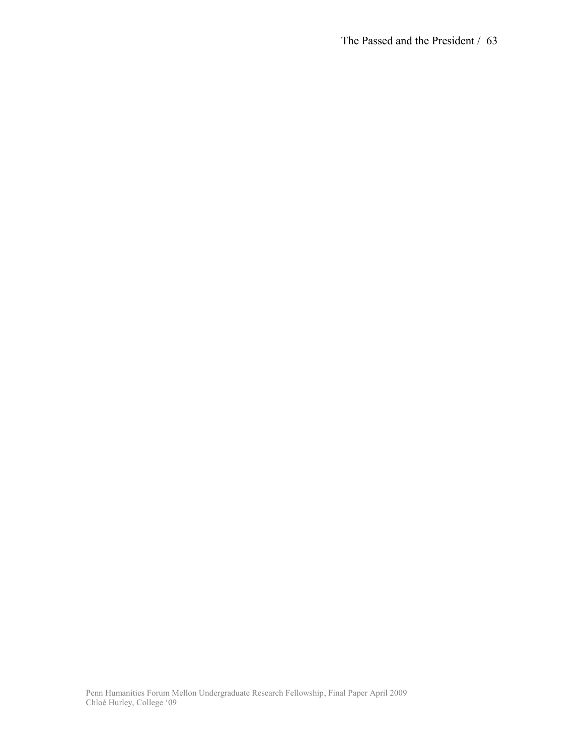The Passed and the President / 63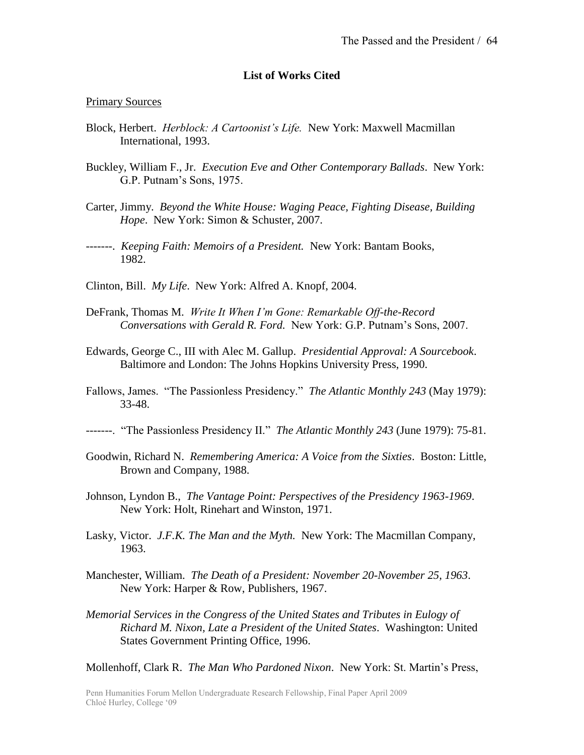### **List of Works Cited**

## Primary Sources

- Block, Herbert. *Herblock: A Cartoonist's Life.* New York: Maxwell Macmillan International, 1993.
- Buckley, William F., Jr. *Execution Eve and Other Contemporary Ballads*. New York: G.P. Putnam"s Sons, 1975.
- Carter, Jimmy. *Beyond the White House: Waging Peace, Fighting Disease, Building Hope*. New York: Simon & Schuster, 2007.
- -------. *Keeping Faith: Memoirs of a President.* New York: Bantam Books, 1982.
- Clinton, Bill. *My Life*. New York: Alfred A. Knopf, 2004.
- DeFrank, Thomas M. *Write It When I'm Gone: Remarkable Off-the-Record Conversations with Gerald R. Ford.* New York: G.P. Putnam"s Sons, 2007.
- Edwards, George C., III with Alec M. Gallup. *Presidential Approval: A Sourcebook*. Baltimore and London: The Johns Hopkins University Press, 1990.
- Fallows, James. "The Passionless Presidency." *The Atlantic Monthly 243* (May 1979): 33-48.

-------. "The Passionless Presidency II." *The Atlantic Monthly 243* (June 1979): 75-81.

- Goodwin, Richard N. *Remembering America: A Voice from the Sixties*. Boston: Little, Brown and Company, 1988.
- Johnson, Lyndon B., *The Vantage Point: Perspectives of the Presidency 1963-1969*. New York: Holt, Rinehart and Winston, 1971.
- Lasky, Victor. *J.F.K. The Man and the Myth.* New York: The Macmillan Company, 1963.
- Manchester, William. *The Death of a President: November 20-November 25, 1963*. New York: Harper & Row, Publishers, 1967.
- *Memorial Services in the Congress of the United States and Tributes in Eulogy of Richard M. Nixon, Late a President of the United States*. Washington: United States Government Printing Office, 1996.

Mollenhoff, Clark R. *The Man Who Pardoned Nixon*. New York: St. Martin"s Press,

Penn Humanities Forum Mellon Undergraduate Research Fellowship, Final Paper April 2009 Chloé Hurley, College "09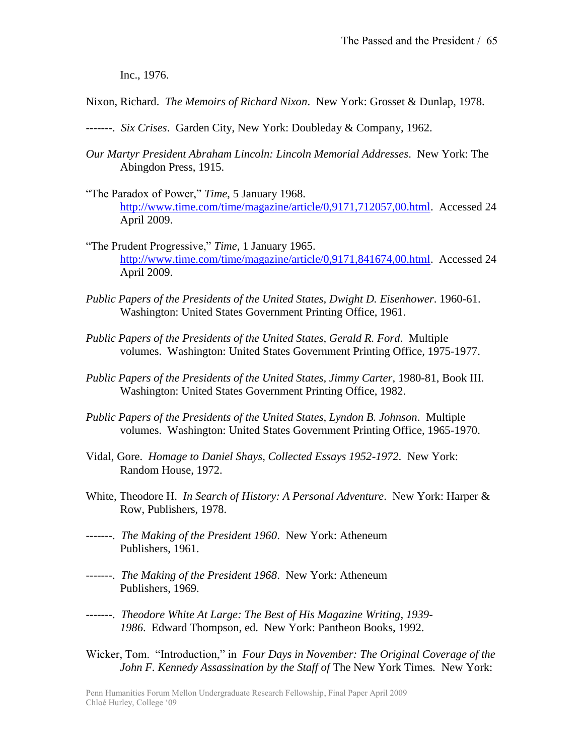Inc., 1976.

Nixon, Richard. *The Memoirs of Richard Nixon*. New York: Grosset & Dunlap, 1978.

- -------. *Six Crises*. Garden City, New York: Doubleday & Company, 1962.
- *Our Martyr President Abraham Lincoln: Lincoln Memorial Addresses*. New York: The Abingdon Press, 1915.
- "The Paradox of Power," *Time*, 5 January 1968. [http://www.time.com/time/magazine/article/0,9171,712057,00.html.](http://www.time.com/time/magazine/article/0,9171,712057,00.html) Accessed 24 April 2009.
- "The Prudent Progressive," *Time*, 1 January 1965. [http://www.time.com/time/magazine/article/0,9171,841674,00.html.](http://www.time.com/time/magazine/article/0,9171,841674,00.html) Accessed 24 April 2009.
- *Public Papers of the Presidents of the United States, Dwight D. Eisenhower*. 1960-61. Washington: United States Government Printing Office, 1961.
- *Public Papers of the Presidents of the United States, Gerald R. Ford*. Multiple volumes. Washington: United States Government Printing Office, 1975-1977.
- *Public Papers of the Presidents of the United States, Jimmy Carter*, 1980-81, Book III. Washington: United States Government Printing Office, 1982.
- *Public Papers of the Presidents of the United States, Lyndon B. Johnson*. Multiple volumes. Washington: United States Government Printing Office, 1965-1970.
- Vidal, Gore. *Homage to Daniel Shays, Collected Essays 1952-1972*. New York: Random House, 1972.
- White, Theodore H. *In Search of History: A Personal Adventure*. New York: Harper & Row, Publishers, 1978.
- -------. *The Making of the President 1960*. New York: Atheneum Publishers, 1961.
- -------. *The Making of the President 1968*. New York: Atheneum Publishers, 1969.
- -------. *Theodore White At Large: The Best of His Magazine Writing, 1939- 1986*. Edward Thompson, ed. New York: Pantheon Books, 1992.
- Wicker, Tom. "Introduction," in *Four Days in November: The Original Coverage of the John F. Kennedy Assassination by the Staff of* The New York Times*.* New York: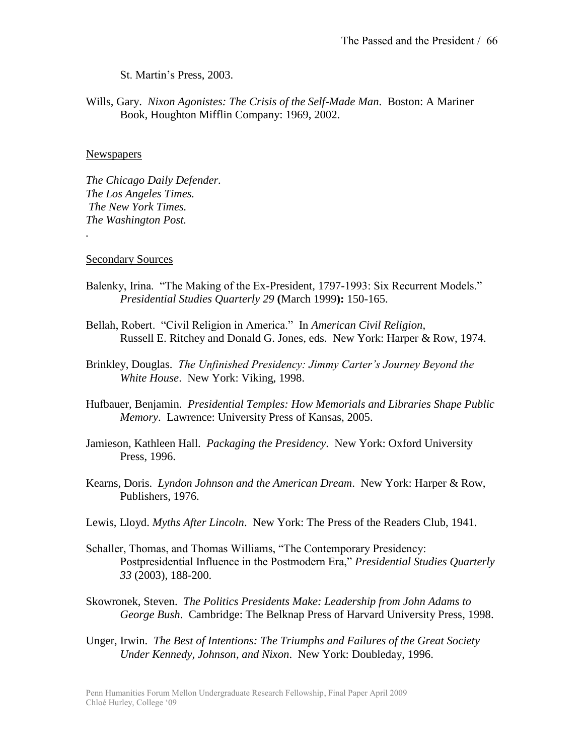St. Martin"s Press, 2003.

Wills, Gary. *Nixon Agonistes: The Crisis of the Self-Made Man*. Boston: A Mariner Book, Houghton Mifflin Company: 1969, 2002.

# **Newspapers**

*.*

*The Chicago Daily Defender. The Los Angeles Times. The New York Times. The Washington Post.*

# Secondary Sources

- Balenky, Irina. "The Making of the Ex-President, 1797-1993: Six Recurrent Models." *Presidential Studies Quarterly 29* **(**March 1999**):** 150-165.
- Bellah, Robert. "Civil Religion in America." In *American Civil Religion*, Russell E. Ritchey and Donald G. Jones, eds. New York: Harper & Row, 1974.
- Brinkley, Douglas. *The Unfinished Presidency: Jimmy Carter's Journey Beyond the White House*. New York: Viking, 1998.
- Hufbauer, Benjamin. *Presidential Temples: How Memorials and Libraries Shape Public Memory*. Lawrence: University Press of Kansas, 2005.
- Jamieson, Kathleen Hall. *Packaging the Presidency*. New York: Oxford University Press, 1996.
- Kearns, Doris. *Lyndon Johnson and the American Dream*. New York: Harper & Row, Publishers, 1976.
- Lewis, Lloyd. *Myths After Lincoln*. New York: The Press of the Readers Club, 1941.
- Schaller, Thomas, and Thomas Williams, "The Contemporary Presidency: Postpresidential Influence in the Postmodern Era," *Presidential Studies Quarterly 33* (2003), 188-200.
- Skowronek, Steven. *The Politics Presidents Make: Leadership from John Adams to George Bush*. Cambridge: The Belknap Press of Harvard University Press, 1998.
- Unger, Irwin. *The Best of Intentions: The Triumphs and Failures of the Great Society Under Kennedy, Johnson, and Nixon*. New York: Doubleday, 1996.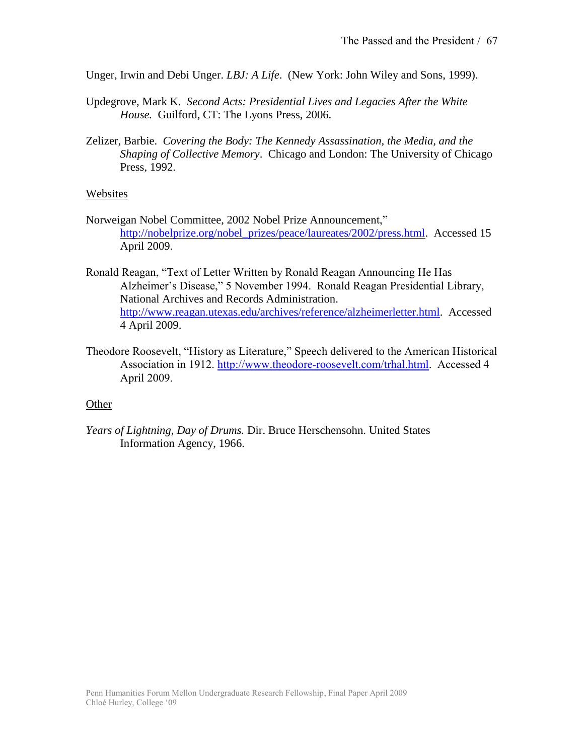Unger, Irwin and Debi Unger. *LBJ: A Life*. (New York: John Wiley and Sons, 1999).

- Updegrove, Mark K. *Second Acts: Presidential Lives and Legacies After the White House.* Guilford, CT: The Lyons Press, 2006.
- Zelizer, Barbie. *Covering the Body: The Kennedy Assassination, the Media, and the Shaping of Collective Memory*. Chicago and London: The University of Chicago Press, 1992.

# **Websites**

- Norweigan Nobel Committee, 2002 Nobel Prize Announcement," [http://nobelprize.org/nobel\\_prizes/peace/laureates/2002/press.html.](http://nobelprize.org/nobel_prizes/peace/laureates/2002/press.html) Accessed 15 April 2009.
- Ronald Reagan, "Text of Letter Written by Ronald Reagan Announcing He Has Alzheimer"s Disease," 5 November 1994. Ronald Reagan Presidential Library, National Archives and Records Administration. [http://www.reagan.utexas.edu/archives/reference/alzheimerletter.html.](http://www.reagan.utexas.edu/archives/reference/alzheimerletter.html) Accessed 4 April 2009.
- Theodore Roosevelt, "History as Literature," Speech delivered to the American Historical Association in 1912. [http://www.theodore-roosevelt.com/trhal.html.](http://www.theodore-roosevelt.com/trhal.html) Accessed 4 April 2009.

# **Other**

*Years of Lightning, Day of Drums.* Dir. Bruce Herschensohn. United States Information Agency, 1966.